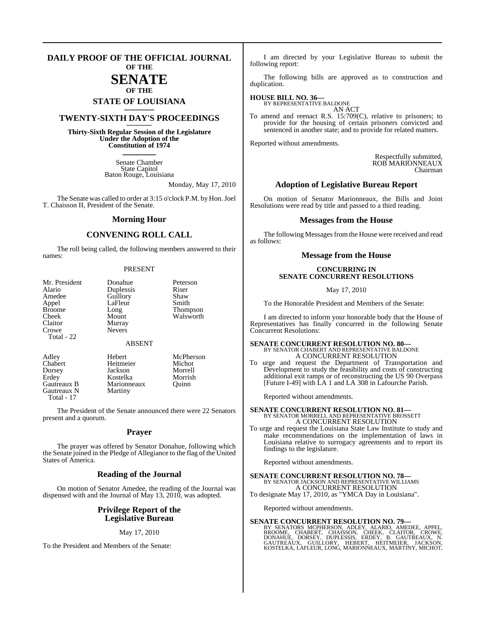#### **DAILY PROOF OF THE OFFICIAL JOURNAL OF THE**

## **SENATE OF THE**

# **STATE OF LOUISIANA \_\_\_\_\_\_\_**

## **TWENTY-SIXTH DAY'S PROCEEDINGS \_\_\_\_\_\_\_**

**Thirty-Sixth Regular Session of the Legislature Under the Adoption of the Constitution of 1974 \_\_\_\_\_\_\_**

> Senate Chamber State Capitol Baton Rouge, Louisiana

> > Monday, May 17, 2010

The Senate was called to order at 3:15 o'clock P.M. by Hon. Joel T. Chaisson II, President of the Senate.

#### **Morning Hour**

### **CONVENING ROLL CALL**

The roll being called, the following members answered to their names:

#### PRESENT

| Mr. President<br>Alario<br>Amedee<br>Appel<br><b>Broome</b><br>Cheek<br>Claitor<br>Crowe<br>Total - 22 | Donahue<br>Duplessis<br>Guillory<br>LaFleur<br>Long<br>Mount<br>Murray<br><b>Nevers</b> | Peterson<br>Riser<br>Shaw<br>Smith<br>Thompson<br>Walsworth |
|--------------------------------------------------------------------------------------------------------|-----------------------------------------------------------------------------------------|-------------------------------------------------------------|
|                                                                                                        | <b>ABSENT</b>                                                                           |                                                             |
| Adley<br>Chabert                                                                                       | Hebert<br>Heitmeier                                                                     | McPherson<br>Michot                                         |

Marionneaux<br>Martiny

Dorsey Jackson Morrell Erdey Kostelka Morrish<br>
Gautreaux B Marionneaux Quinn Gautreaux N

Total - 17

The President of the Senate announced there were 22 Senators present and a quorum.

#### **Prayer**

The prayer was offered by Senator Donahue, following which the Senate joined in the Pledge of Allegiance to the flag of the United States of America.

#### **Reading of the Journal**

On motion of Senator Amedee, the reading of the Journal was dispensed with and the Journal of May 13, 2010, was adopted.

#### **Privilege Report of the Legislative Bureau**

#### May 17, 2010

To the President and Members of the Senate:

I am directed by your Legislative Bureau to submit the following report:

The following bills are approved as to construction and duplication.

## **HOUSE BILL NO. 36—** BY REPRESENTATIVE BALDONE

AN ACT

To amend and reenact R.S. 15:709(C), relative to prisoners; to provide for the housing of certain prisoners convicted and sentenced in another state; and to provide for related matters.

Reported without amendments.

Respectfully submitted, ROB MARIONNEAUX Chairman

#### **Adoption of Legislative Bureau Report**

On motion of Senator Marionneaux, the Bills and Joint Resolutions were read by title and passed to a third reading.

#### **Messages from the House**

The following Messages from the House were received and read as follows:

#### **Message from the House**

#### **CONCURRING IN SENATE CONCURRENT RESOLUTIONS**

May 17, 2010

To the Honorable President and Members of the Senate:

I am directed to inform your honorable body that the House of Representatives has finally concurred in the following Senate Concurrent Resolutions:

## **SENATE CONCURRENT RESOLUTION NO. 80—** BY SENATOR CHABERT AND REPRESENTATIVE BALDONE A CONCURRENT RESOLUTION

To urge and request the Department of Transportation and Development to study the feasibility and costs of constructing additional exit ramps or of reconstructing the US 90 Overpass [Future I-49] with LA 1 and LA 308 in Lafourche Parish.

Reported without amendments.

## **SENATE CONCURRENT RESOLUTION NO. 81—** BY SENATOR MORRELL AND REPRESENTATIVE BROSSETT A CONCURRENT RESOLUTION

To urge and request the Louisiana State Law Institute to study and make recommendations on the implementation of laws in Louisiana relative to surrogacy agreements and to report its findings to the legislature.

Reported without amendments.

#### **SENATE CONCURRENT RESOLUTION NO. 78—** BY SENATOR JACKSON AND REPRESENTATIVE WILLIAMS

A CONCURRENT RESOLUTION To designate May 17, 2010, as "YMCA Day in Louisiana".

Reported without amendments.

### **SENATE CONCURRENT RESOLUTION NO. 79—**

BY SENATORS MCPHERSON, ADLEY, ALARIO, AMEDEE, APPEL,<br>BROOME, CHABERT, CHAISSON, CHEEK, CLAITOR, CROWE,<br>DONAHUE, DORSEY, DUPLESSIS, ERDEY, B. GAUTREAUX, N.<br>GAUTREAUX, GUILLORY, HEBERT, HEITMEIER, JACKSON,<br>KOSTELKA,LAFLEUR,L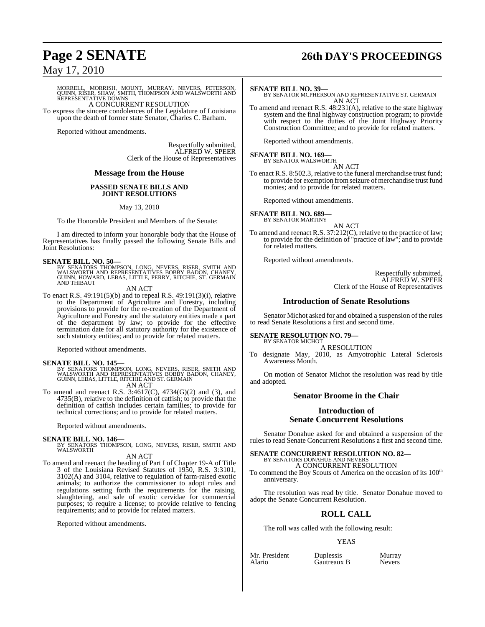# **Page 2 SENATE 26th DAY'S PROCEEDINGS**

May 17, 2010

MORRELL, MORRISH, MOUNT, MURRAY, NEVERS, PETERSON,<br>QUINN, RISER, SHAW, SMITH, THOMPSON AND WALSWORTH AND<br>REPRESENTATIVE DOWNS A CONCURRENT RESOLUTION

To express the sincere condolences of the Legislature of Louisiana upon the death of former state Senator, Charles C. Barham.

Reported without amendments.

Respectfully submitted, ALFRED W. SPEER Clerk of the House of Representatives

#### **Message from the House**

#### **PASSED SENATE BILLS AND JOINT RESOLUTIONS**

May 13, 2010

To the Honorable President and Members of the Senate:

I am directed to inform your honorable body that the House of Representatives has finally passed the following Senate Bills and Joint Resolutions:

#### **SENATE BILL NO. 50—**

BY SENATORS THOMPSON, LONG, NEVERS, RISER, SMITH AND<br>WALSWORTH AND REPRESENTATIVES BOBBY BADON, CHANEY,<br>GUINN, HOWARD, LEBAS, LITTLE, PERRY, RITCHIE, ST. GERMAIN<br>AND THIBAUT

AN ACT

To enact R.S. 49:191(5)(b) and to repeal R.S. 49:191(3)(i), relative to the Department of Agriculture and Forestry, including provisions to provide for the re-creation of the Department of Agriculture and Forestry and the statutory entities made a part of the department by law; to provide for the effective termination date for all statutory authority for the existence of such statutory entities; and to provide for related matters.

Reported without amendments.

- **SENATE BILL NO. 145—**<br>BY SENATORS THOMPSON, LONG, NEVERS, RISER, SMITH AND<br>WALSWORTH AND REPRESENTATIVES BOBBY BADON, CHANEY,<br>GUINN, LEBAS, LITTLE, RITCHIE AND ST. GERMAIN AN ACT
- To amend and reenact R.S. 3:4617(C), 4734(G)(2) and (3), and 4735(B), relative to the definition of catfish; to provide that the definition of catfish includes certain families; to provide for technical corrections; and to provide for related matters.

Reported without amendments.

#### **SENATE BILL NO. 146—**

BY SENATORS THOMPSON, LONG, NEVERS, RISER, SMITH AND WALSWORTH

AN ACT

To amend and reenact the heading of Part I of Chapter 19-A of Title 3 of the Louisiana Revised Statutes of 1950, R.S. 3:3101, 3102(A) and 3104, relative to regulation of farm-raised exotic animals; to authorize the commissioner to adopt rules and regulations setting forth the requirements for the raising, slaughtering, and sale of exotic cervidae for commercial purposes; to require a license; to provide relative to fencing requirements; and to provide for related matters.

Reported without amendments.

#### **SENATE BILL NO. 39—**

BY SENATOR MCPHERSON AND REPRESENTATIVE ST. GERMAIN AN ACT

To amend and reenact R.S. 48:231(A), relative to the state highway system and the final highway construction program; to provide with respect to the duties of the Joint Highway Priority Construction Committee; and to provide for related matters.

Reported without amendments.

## **SENATE BILL NO. 169—** BY SENATOR WALSWORTH

AN ACT

To enact R.S. 8:502.3, relative to the funeral merchandise trust fund; to provide for exemption fromseizure of merchandise trust fund monies; and to provide for related matters.

Reported without amendments.

## **SENATE BILL NO. 689—** BY SENATOR MARTINY

AN ACT

To amend and reenact R.S. 37:212(C), relative to the practice of law; to provide for the definition of "practice of law"; and to provide for related matters.

Reported without amendments.

Respectfully submitted, ALFRED W. SPEER Clerk of the House of Representatives

#### **Introduction of Senate Resolutions**

Senator Michot asked for and obtained a suspension of the rules to read Senate Resolutions a first and second time.

#### **SENATE RESOLUTION NO. 79—** BY SENATOR MICHOT

A RESOLUTION

To designate May, 2010, as Amyotrophic Lateral Sclerosis Awareness Month.

On motion of Senator Michot the resolution was read by title and adopted.

#### **Senator Broome in the Chair**

### **Introduction of Senate Concurrent Resolutions**

Senator Donahue asked for and obtained a suspension of the rules to read Senate Concurrent Resolutions a first and second time.

# **SENATE CONCURRENT RESOLUTION NO. 82—** BY SENATORS DONAHUE AND NEVERS

A CONCURRENT RESOLUTION

To commend the Boy Scouts of America on the occasion of its 100<sup>th</sup> anniversary.

The resolution was read by title. Senator Donahue moved to adopt the Senate Concurrent Resolution.

### **ROLL CALL**

The roll was called with the following result:

#### YEAS

| Mr. President | Duplessis   | Murray        |
|---------------|-------------|---------------|
| Alario        | Gautreaux B | <b>Nevers</b> |
|               |             |               |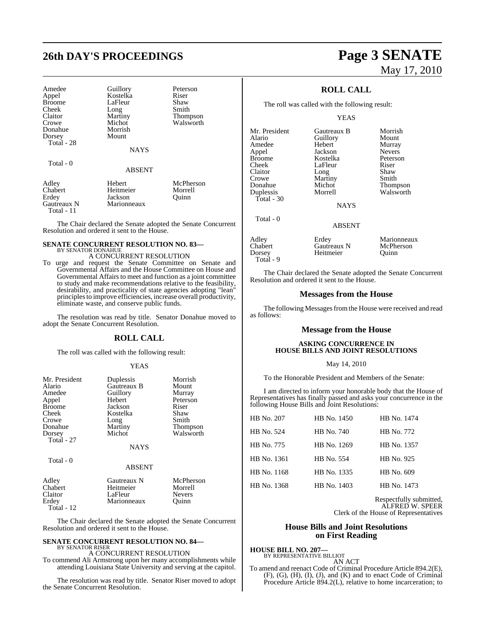# **26th DAY'S PROCEEDINGS Page 3 SENATE**

| Amedee<br>Appel<br><b>Broome</b><br>Cheek<br>Claitor | Guillory<br>Kostelka<br>LaFleur<br>Long<br>Martiny | Peterson<br>Riser<br>Shaw<br>Smith<br>Thompson |
|------------------------------------------------------|----------------------------------------------------|------------------------------------------------|
| Crowe                                                | Michot                                             | Walsworth                                      |
| Donahue                                              | Morrish                                            |                                                |
| Dorsey<br>Total - 28                                 | Mount                                              |                                                |
|                                                      | <b>NAYS</b>                                        |                                                |
| Total - 0                                            |                                                    |                                                |
|                                                      | <b>ABSENT</b>                                      |                                                |
| Adley<br>Chabert                                     | Hebert<br>Heitmeier                                | McPherson<br>Morrell                           |
| Erdey                                                | Jackson                                            | Ouinn                                          |
| Gautreaux N<br>Total - 11                            | Marionneaux                                        |                                                |

The Chair declared the Senate adopted the Senate Concurrent Resolution and ordered it sent to the House.

#### **SENATE CONCURRENT RESOLUTION NO. 83—** BY SENATOR DONAHUE

## A CONCURRENT RESOLUTION

To urge and request the Senate Committee on Senate and Governmental Affairs and the House Committee on House and Governmental Affairs to meet and function as a joint committee to study and make recommendations relative to the feasibility, desirability, and practicality of state agencies adopting "lean" principlesto improve efficiencies, increase overall productivity, eliminate waste, and conserve public funds.

The resolution was read by title. Senator Donahue moved to adopt the Senate Concurrent Resolution.

## **ROLL CALL**

The roll was called with the following result:

#### YEAS

| Mr. President<br>Alario<br>Amedee<br>Appel<br><b>Broome</b><br>Cheek<br>Crowe | Duplessis<br>Gautreaux B<br>Guillory<br>Hebert<br>Jackson<br>Kostelka<br>Long | Morrish<br>Mount<br>Murray<br>Peterson<br>Riser<br>Shaw<br>Smith |
|-------------------------------------------------------------------------------|-------------------------------------------------------------------------------|------------------------------------------------------------------|
| Donahue<br>Dorsey<br>Total - 27                                               | Martiny<br>Michot<br><b>NAYS</b>                                              | Thompson<br>Walsworth                                            |
| Total - 0                                                                     | <b>ABSENT</b>                                                                 |                                                                  |
| Adley<br>Chabert<br>Claitor<br>Erdey<br>Total - 12                            | Gautreaux N<br>Heitmeier<br>LaFleur<br>Marionneaux                            | McPherson<br>Morrell<br><b>Nevers</b><br>Ouinn                   |

The Chair declared the Senate adopted the Senate Concurrent Resolution and ordered it sent to the House.

#### **SENATE CONCURRENT RESOLUTION NO. 84—** BY SENATOR RISER

A CONCURRENT RESOLUTION

To commend Ali Armstrong upon her many accomplishments while attending Louisiana State University and serving at the capitol.

The resolution was read by title. Senator Riser moved to adopt the Senate Concurrent Resolution.

# May 17, 2010

## **ROLL CALL**

The roll was called with the following result:

#### YEAS

Alario Guillory<br>Amedee Hebert Amedee Hebert Murray<br>
Appel Jackson Nevers Appel Jackson Nevers<br>Broome Kostelka Peterson Broome Kostelka Peters<br>
Cheek LaFleur Riser Cheek LaFleur Riser<br>Claitor Long Shaw Claitor Long Shaw<br>Crowe Martiny Smith Crowe Martiny<br>
Donahue Michot Duplessis

Total - 30

Total - 0

Mr. President Gautreaux B Morrish<br>Alario Guillory Mount Michot Thompson<br>Morrell Walsworth

**NAYS** 

ABSENT

Heitmeier

Adley Erdey Marionneaux<br>
Chabert Gautreaux N McPherson Chabert Gautreaux N McPhe<br>
Dorsey Heitmeier Ouinn Total - 9

The Chair declared the Senate adopted the Senate Concurrent Resolution and ordered it sent to the House.

#### **Messages from the House**

The following Messages from the House were received and read as follows:

#### **Message from the House**

#### **ASKING CONCURRENCE IN HOUSE BILLS AND JOINT RESOLUTIONS**

#### May 14, 2010

To the Honorable President and Members of the Senate:

I am directed to inform your honorable body that the House of Representatives has finally passed and asks your concurrence in the following House Bills and Joint Resolutions:

| HB No. 207  | HB No. 1450 | HB No. 1474 |
|-------------|-------------|-------------|
| HB No. 524  | HB No. 740  | HB No. 772  |
| HB No. 775  | HB No. 1269 | HB No. 1357 |
| HB No. 1361 | HB No. 554  | HB No. 925  |
| HB No. 1168 | HB No. 1335 | HB No. 609  |
| HB No. 1368 | HB No. 1403 | HB No. 1473 |

Respectfully submitted, ALFRED W. SPEER Clerk of the House of Representatives

#### **House Bills and Joint Resolutions on First Reading**

#### **HOUSE BILL NO. 207—**

BY REPRESENTATIVE BILLIOT AN ACT

To amend and reenact Code of Criminal Procedure Article 894.2(E), (F), (G), (H), (I), (J), and (K) and to enact Code of Criminal Procedure Article 894.2(L), relative to home incarceration; to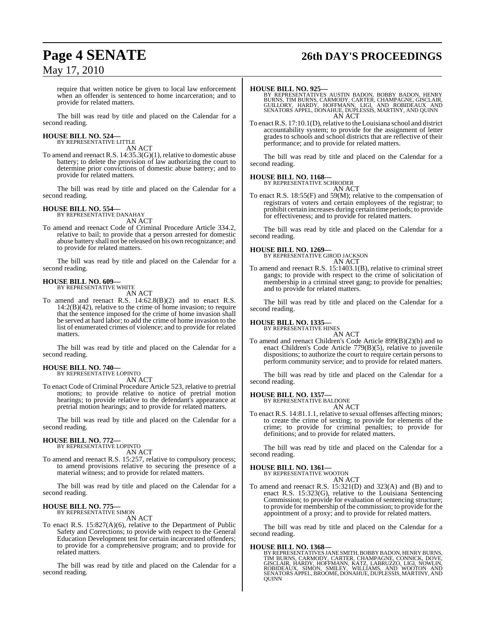## **Page 4 SENATE 26th DAY'S PROCEEDINGS**

require that written notice be given to local law enforcement when an offender is sentenced to home incarceration; and to provide for related matters.

The bill was read by title and placed on the Calendar for a second reading.

#### **HOUSE BILL NO. 524—** BY REPRESENTATIVE LITTLE

AN ACT

To amend and reenact R.S. 14:35.3(G)(1), relative to domestic abuse battery; to delete the provision of law authorizing the court to determine prior convictions of domestic abuse battery; and to provide for related matters.

The bill was read by title and placed on the Calendar for a second reading.

#### **HOUSE BILL NO. 554—**

BY REPRESENTATIVE DANAHAY AN ACT

To amend and reenact Code of Criminal Procedure Article 334.2, relative to bail; to provide that a person arrested for domestic abuse battery shall not be released on his own recognizance; and to provide for related matters.

The bill was read by title and placed on the Calendar for a second reading.

#### **HOUSE BILL NO. 609—** BY REPRESENTATIVE WHITE

AN ACT

To amend and reenact R.S. 14:62.8(B)(2) and to enact R.S.  $14:2(B)(42)$ , relative to the crime of home invasion; to require that the sentence imposed for the crime of home invasion shall be served at hard labor; to add the crime of home invasion to the list of enumerated crimes of violence; and to provide for related matters.

The bill was read by title and placed on the Calendar for a second reading.

#### **HOUSE BILL NO. 740—**

BY REPRESENTATIVE LOPINTO AN ACT

To enact Code of Criminal Procedure Article 523, relative to pretrial motions; to provide relative to notice of pretrial motion hearings; to provide relative to the defendant's appearance at pretrial motion hearings; and to provide for related matters.

The bill was read by title and placed on the Calendar for a second reading.

#### **HOUSE BILL NO. 772—** BY REPRESENTATIVE LOPINTO

AN ACT

To amend and reenact R.S. 15:257, relative to compulsory process; to amend provisions relative to securing the presence of a material witness; and to provide for related matters.

The bill was read by title and placed on the Calendar for a second reading.

## **HOUSE BILL NO. 775—** BY REPRESENTATIVE SIMON

AN ACT

To enact R.S. 15:827(A)(6), relative to the Department of Public Safety and Corrections; to provide with respect to the General Education Development test for certain incarcerated offenders; to provide for a comprehensive program; and to provide for related matters.

The bill was read by title and placed on the Calendar for a second reading.

#### **HOUSE BILL NO. 925—**

BY REPRESENTATIVES AUSTIN BADON, BOBBY BADON, HENRY<br>BURNS, TIM BURNS, CARMODY, CARTER, CHAMPAGNE, GISCLAIR,<br>GUILLORY, HARDY, HOFFMANN, LIGI, AND ROBIDEAUX AND<br>SENATORS APPEL, DONAHUE, DUPLESSIS, MARTINY, AND QUINN AN ACT

To enactR.S. 17:10.1(D), relative to the Louisiana school and district accountability system; to provide for the assignment of letter grades to schools and school districts that are reflective of their performance; and to provide for related matters.

The bill was read by title and placed on the Calendar for a second reading.

#### **HOUSE BILL NO. 1168—**

BY REPRESENTATIVE SCHRODER AN ACT

To enact R.S. 18:55(F) and 59(M); relative to the compensation of registrars of voters and certain employees of the registrar; to prohibit certain increases during certain time periods; to provide for effectiveness; and to provide for related matters.

The bill was read by title and placed on the Calendar for a second reading.

**HOUSE BILL NO. 1269—** BY REPRESENTATIVE GIROD JACKSON AN ACT

To amend and reenact R.S. 15:1403.1(B), relative to criminal street gangs; to provide with respect to the crime of solicitation of membership in a criminal street gang; to provide for penalties; and to provide for related matters.

The bill was read by title and placed on the Calendar for a second reading.

## **HOUSE BILL NO. 1335—** BY REPRESENTATIVE HINES

AN ACT To amend and reenact Children's Code Article 899(B)(2)(b) and to enact Children's Code Article 779(B)(5), relative to juvenile dispositions; to authorize the court to require certain persons to perform community service; and to provide for related matters.

The bill was read by title and placed on the Calendar for a second reading.

**HOUSE BILL NO. 1357—**

BY REPRESENTATIVE BALDONE AN ACT

To enact R.S. 14:81.1.1, relative to sexual offenses affecting minors; to create the crime of sexting; to provide for elements of the crime; to provide for criminal penalties; to provide for definitions; and to provide for related matters.

The bill was read by title and placed on the Calendar for a second reading.

#### **HOUSE BILL NO. 1361—**

BY REPRESENTATIVE WOOTON AN ACT

To amend and reenact R.S. 15:321(D) and 323(A) and (B) and to enact R.S. 15:323(G), relative to the Louisiana Sentencing Commission; to provide for evaluation of sentencing structure; to provide for membership of the commission; to provide for the appointment of a proxy; and to provide for related matters.

The bill was read by title and placed on the Calendar for a second reading.

**HOUSE BILL NO. 1368—**<br>BY REPRESENTATIVES JANE SMITH, BOBBY BADON, HENRY BURNS, TIM BURNS, CARMODY, CARTER, CHAMPAGNE, CONNICK, DOVE,<br>GISCLAIR, HARDY, HOFFMANN, KATZ, LABRUZZO, LIGI, NOWLIN,<br>ROBIDEAUX. SIMON, SMILEY, WILLI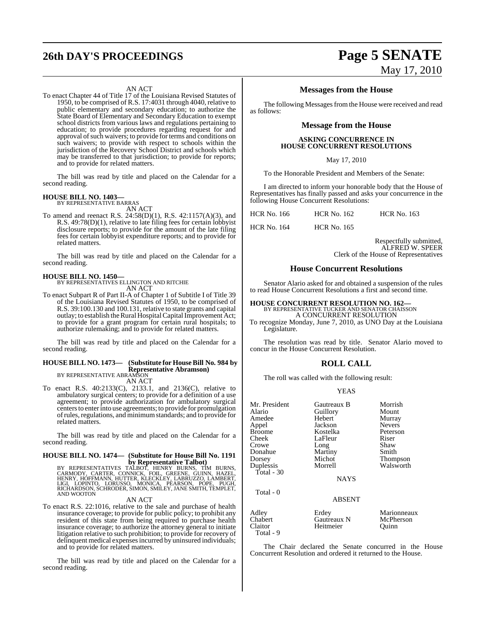# **26th DAY'S PROCEEDINGS Page 5 SENATE**

#### AN ACT

To enact Chapter 44 of Title 17 of the Louisiana Revised Statutes of 1950, to be comprised of R.S. 17:4031 through 4040, relative to public elementary and secondary education; to authorize the State Board of Elementary and Secondary Education to exempt school districts from various laws and regulations pertaining to education; to provide procedures regarding request for and approval of such waivers; to provide for terms and conditions on such waivers; to provide with respect to schools within the jurisdiction of the Recovery School District and schools which may be transferred to that jurisdiction; to provide for reports; and to provide for related matters.

The bill was read by title and placed on the Calendar for a second reading.

## **HOUSE BILL NO. 1403—** BY REPRESENTATIVE BARRAS

AN ACT

To amend and reenact R.S. 24:58(D)(1), R.S. 42:1157(A)(3), and R.S. 49:78(D)(1), relative to late filing fees for certain lobbyist disclosure reports; to provide for the amount of the late filing fees for certain lobbyist expenditure reports; and to provide for related matters.

The bill was read by title and placed on the Calendar for a second reading.

**HOUSE BILL NO. 1450—** BY REPRESENTATIVES ELLINGTON AND RITCHIE AN ACT

To enact Subpart R of Part II-A of Chapter 1 of Subtitle I of Title 39 of the Louisiana Revised Statutes of 1950, to be comprised of R.S. 39:100.130 and 100.131, relative to state grants and capital outlay; to establish the Rural Hospital Capital Improvement Act; to provide for a grant program for certain rural hospitals; to authorize rulemaking; and to provide for related matters.

The bill was read by title and placed on the Calendar for a second reading.

#### **HOUSE BILL NO. 1473— (Substitute for HouseBill No. 984 by Representative Abramson)** BY REPRESENTATIVE ABRAMSON

AN ACT

To enact R.S. 40:2133(C), 2133.1, and 2136(C), relative to ambulatory surgical centers; to provide for a definition of a use agreement; to provide authorization for ambulatory surgical centersto enterinto use agreements; to provide for promulgation ofrules,regulations, and minimumstandards; and to provide for related matters.

The bill was read by title and placed on the Calendar for a second reading.

## **HOUSE BILL NO. 1474— (Substitute for House Bill No. 1191**

**by Representative Talbot)**<br>BY REPRESENTATIVES TALBOT, HENRY BURNS, TIM BURNS,<br>CARMODY, CARTER, CONNICK, FOIL, GREENE, GUINN, HAZEL,<br>HENRY, HOFFMANN, HUTTER, KLECKLEY, LABRUZZO, LAMBERT,<br>RICHARDSON, SCHRODER, SIMON, SMILEY

#### AN ACT

To enact R.S. 22:1016, relative to the sale and purchase of health insurance coverage; to provide for public policy; to prohibit any resident of this state from being required to purchase health insurance coverage; to authorize the attorney general to initiate litigation relative to such prohibition; to provide for recovery of delinquent medical expenses incurred by uninsured individuals; and to provide for related matters.

The bill was read by title and placed on the Calendar for a second reading.

# May 17, 2010

#### **Messages from the House**

The following Messages from the House were received and read as follows:

#### **Message from the House**

#### **ASKING CONCURRENCE IN HOUSE CONCURRENT RESOLUTIONS**

May 17, 2010

To the Honorable President and Members of the Senate:

I am directed to inform your honorable body that the House of Representatives has finally passed and asks your concurrence in the following House Concurrent Resolutions:

| <b>HCR No. 166</b> | <b>HCR No. 162</b> | <b>HCR No. 163</b> |
|--------------------|--------------------|--------------------|
| <b>HCR No. 164</b> | <b>HCR No. 165</b> |                    |

Respectfully submitted, ALFRED W. SPEER Clerk of the House of Representatives

#### **House Concurrent Resolutions**

Senator Alario asked for and obtained a suspension of the rules to read House Concurrent Resolutions a first and second time.

# **HOUSE CONCURRENT RESOLUTION NO. 162—** BY REPRESENTATIVE TUCKER AND SENATOR CHAISSON A CONCURRENT RESOLUTION

To recognize Monday, June 7, 2010, as UNO Day at the Louisiana Legislature.

The resolution was read by title. Senator Alario moved to concur in the House Concurrent Resolution.

#### **ROLL CALL**

The roll was called with the following result:

#### YEAS

| Mr. President<br>Alario<br>Amedee<br>Appel<br><b>Broome</b><br>Cheek<br>Crowe<br>Donahue<br>Dorsey<br>Duplessis<br>Total - $30$<br>Total - 0 | Gautreaux B<br>Guillory<br>Hebert<br>Jackson<br>Kostelka<br>LaFleur<br>Long<br>Martiny<br>Michot<br>Morrell<br><b>NAYS</b><br><b>ABSENT</b> | Morrish<br>Mount<br>Murray<br><b>Nevers</b><br>Peterson<br>Riser<br>Shaw<br>Smith<br>Thompson<br>Walsworth |
|----------------------------------------------------------------------------------------------------------------------------------------------|---------------------------------------------------------------------------------------------------------------------------------------------|------------------------------------------------------------------------------------------------------------|
| Adley<br>Chabert                                                                                                                             | Erdey<br>Gautreaux N                                                                                                                        | Marionneaux<br>McPherson                                                                                   |
| Claitor                                                                                                                                      | Heitmeier                                                                                                                                   | Ouinn                                                                                                      |

The Chair declared the Senate concurred in the House Concurrent Resolution and ordered it returned to the House.

Total - 9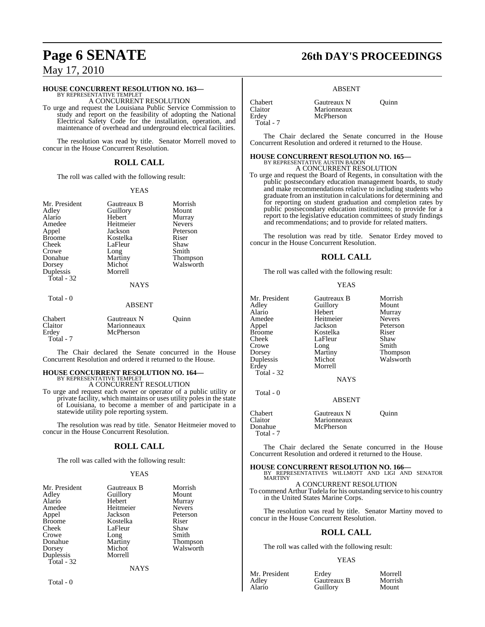#### **HOUSE CONCURRENT RESOLUTION NO. 163—**

BY REPRESENTATIVE TEMPLET A CONCURRENT RESOLUTION

To urge and request the Louisiana Public Service Commission to study and report on the feasibility of adopting the National Electrical Safety Code for the installation, operation, and maintenance of overhead and underground electrical facilities.

The resolution was read by title. Senator Morrell moved to concur in the House Concurrent Resolution.

#### **ROLL CALL**

The roll was called with the following result:

#### YEAS

Peterson<br>Riser

Thompson Walsworth

| Mr. President<br>Adley<br>Alario<br>Amedee<br>Appel<br>Broome<br>Cheek<br>Crowe<br>Donahue<br>Dorsey<br>Duplessis<br>Total - 32 | Gautreaux B<br>Guillory<br>Hebert<br>Heitmeier<br>Jackson<br>Kostelka<br>LaFleur<br>Long<br>Martiny<br>Michot<br>Morrell<br><b>NAYS</b> | Morrish<br>Mount<br>Murray<br><b>Nevers</b><br>Petersor<br>Riser<br>Shaw<br>Smith<br><b>Thomps</b><br>Walswo |
|---------------------------------------------------------------------------------------------------------------------------------|-----------------------------------------------------------------------------------------------------------------------------------------|--------------------------------------------------------------------------------------------------------------|
| Total - 0                                                                                                                       |                                                                                                                                         |                                                                                                              |

#### ABSENT

| <b>Chabert</b> | Gautreaux N | Ouinn |
|----------------|-------------|-------|
| Claitor        | Marionneaux |       |
| Erdey          | McPherson   |       |
| Total - 7      |             |       |

The Chair declared the Senate concurred in the House Concurrent Resolution and ordered it returned to the House.

# **HOUSE CONCURRENT RESOLUTION NO. 164—** BY REPRESENTATIVE TEMPLET

A CONCURRENT RESOLUTION

To urge and request each owner or operator of a public utility or private facility, which maintains or uses utility poles in the state of Louisiana, to become a member of and participate in a statewide utility pole reporting system.

The resolution was read by title. Senator Heitmeier moved to concur in the House Concurrent Resolution.

#### **ROLL CALL**

The roll was called with the following result:

#### YEAS

| Mr. President | Gautreaux B | Morrish       |
|---------------|-------------|---------------|
| Adley         | Guillory    | Mount         |
| Alario        | Hebert      | Murray        |
| Amedee        | Heitmeier   | <b>Nevers</b> |
| Appel         | Jackson     | Peterson      |
| <b>Broome</b> | Kostelka    | Riser         |
| Cheek         | LaFleur     | Shaw          |
| Crowe         | Long        | Smith         |
| Donahue       | Martiny     | Thompson      |
| Dorsey        | Michot      | Walsworth     |
| Duplessis     | Morrell     |               |
| Total $-32$   |             |               |
|               | NAYS        |               |

Claitor Marionneaux<br>Erdey McPherson Total - 7

Chabert Gautreaux N Quinn

The Chair declared the Senate concurred in the House Concurrent Resolution and ordered it returned to the House.

ABSENT

## **HOUSE CONCURRENT RESOLUTION NO. 165—** BY REPRESENTATIVE AUSTIN BADON A CONCURRENT RESOLUTION

**McPherson** 

To urge and request the Board of Regents, in consultation with the public postsecondary education management boards, to study and make recommendations relative to including students who graduate from an institution in calculationsfor determining and for reporting on student graduation and completion rates by public postsecondary education institutions; to provide for a report to the legislative education committees of study findings and recommendations; and to provide for related matters.

The resolution was read by title. Senator Erdey moved to concur in the House Concurrent Resolution.

#### **ROLL CALL**

The roll was called with the following result:

#### YEAS

| Mr. President | Gautreaux B | Morrish         |
|---------------|-------------|-----------------|
| Adley         | Guillory    | Mount           |
| Alario        | Hebert      | Murray          |
| Amedee        | Heitmeier   | <b>Nevers</b>   |
| Appel         | Jackson     | Peterson        |
| <b>Broome</b> | Kostelka    | Riser           |
| Cheek         | LaFleur     | Shaw            |
| Crowe         | Long        | Smith           |
| Dorsey        | Martiny     | <b>Thompson</b> |
| Duplessis     | Michot      | Walsworth       |
| Erdey         | Morrell     |                 |
| Total - 32    |             |                 |
|               | NAYS        |                 |

Total - 0

Total - 7

ABSENT

NAYS

Chabert Gautreaux N Quinn<br>Claitor Marionneaux Claitor Marionneaux<br>
Donahue McPherson McPherson

The Chair declared the Senate concurred in the House Concurrent Resolution and ordered it returned to the House.

**HOUSE CONCURRENT RESOLUTION NO. 166—** BY REPRESENTATIVES WILLMOTT AND LIGI AND SENATOR MARTINY A CONCURRENT RESOLUTION

To commend Arthur Tudela for his outstanding service to his country in the United States Marine Corps.

The resolution was read by title. Senator Martiny moved to concur in the House Concurrent Resolution.

#### **ROLL CALL**

The roll was called with the following result:

#### YEAS

Mr. President Erdey Morrell<br>Adley Gautreaux B Morrish Adley Gautreaux B Morrish

**Guillory** 

Total - 0

## **Page 6 SENATE 26th DAY'S PROCEEDINGS**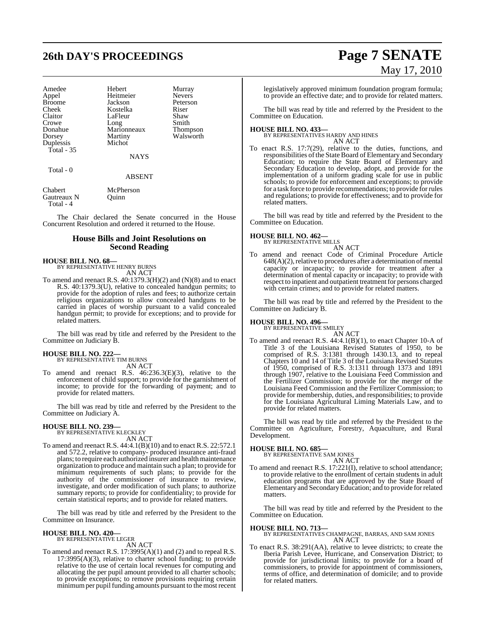# **26th DAY'S PROCEEDINGS Page 7 SENATE**

| Amedee        | Hebert      | Murray          |
|---------------|-------------|-----------------|
| Appel         | Heitmeier   | <b>Nevers</b>   |
| <b>Broome</b> | Jackson     | Peterson        |
| Cheek         | Kostelka    | Riser           |
| Claitor       | LaFleur     | Shaw            |
| Crowe         | Long        | Smith           |
| Donahue       | Marionneaux | <b>Thompson</b> |
| Dorsey        | Martiny     | Walsworth       |
| Duplessis     | Michot      |                 |
| Total - 35    |             |                 |
|               | <b>NAYS</b> |                 |
|               |             |                 |

#### Total - 0

#### ABSENT

Chabert McPherson Gautreaux N Quinn Total - 4

The Chair declared the Senate concurred in the House Concurrent Resolution and ordered it returned to the House.

#### **House Bills and Joint Resolutions on Second Reading**

#### **HOUSE BILL NO. 68—**

BY REPRESENTATIVE HENRY BURNS AN ACT

To amend and reenact R.S.  $40:1379.3(H)(2)$  and  $(N)(8)$  and to enact R.S. 40:1379.3(U), relative to concealed handgun permits; to provide for the adoption of rules and fees; to authorize certain religious organizations to allow concealed handguns to be carried in places of worship pursuant to a valid concealed handgun permit; to provide for exceptions; and to provide for related matters.

The bill was read by title and referred by the President to the Committee on Judiciary B.

## **HOUSE BILL NO. 222—** BY REPRESENTATIVE TIM BURNS

AN ACT To amend and reenact R.S. 46:236.3(E)(3), relative to the enforcement of child support; to provide for the garnishment of income; to provide for the forwarding of payment; and to provide for related matters.

The bill was read by title and referred by the President to the Committee on Judiciary A.

#### **HOUSE BILL NO. 239—** BY REPRESENTATIVE KLECKLEY

AN ACT

To amend and reenact R.S. 44:4.1(B)(10) and to enact R.S. 22:572.1 and 572.2, relative to company- produced insurance anti-fraud plans; to require each authorized insurer and health maintenance organization to produce and maintain such a plan; to provide for minimum requirements of such plans; to provide for the authority of the commissioner of insurance to review, investigate, and order modification of such plans; to authorize summary reports; to provide for confidentiality; to provide for certain statistical reports; and to provide for related matters.

The bill was read by title and referred by the President to the Committee on Insurance.

#### **HOUSE BILL NO. 420—** BY REPRESENTATIVE LEGER

AN ACT

To amend and reenact R.S. 17:3995(A)(1) and (2) and to repeal R.S. 17:3995(A)(3), relative to charter school funding; to provide relative to the use of certain local revenues for computing and allocating the per pupil amount provided to all charter schools; to provide exceptions; to remove provisions requiring certain minimum per pupil funding amounts pursuant to the most recent

# May 17, 2010

legislatively approved minimum foundation program formula; to provide an effective date; and to provide for related matters.

The bill was read by title and referred by the President to the Committee on Education.

#### **HOUSE BILL NO. 433—**

#### BY REPRESENTATIVES HARDY AND HINES AN ACT

To enact R.S. 17:7(29), relative to the duties, functions, and responsibilities of the State Board of Elementary and Secondary Education; to require the State Board of Elementary and Secondary Education to develop, adopt, and provide for the implementation of a uniform grading scale for use in public schools; to provide for enforcement and exceptions; to provide for a task force to provide recommendations; to provide forrules and regulations; to provide for effectiveness; and to provide for related matters.

The bill was read by title and referred by the President to the Committee on Education.

#### **HOUSE BILL NO. 462—**

BY REPRESENTATIVE MILLS

AN ACT To amend and reenact Code of Criminal Procedure Article  $648(A)(2)$ , relative to procedures after a determination of mental capacity or incapacity; to provide for treatment after a determination of mental capacity or incapacity; to provide with respect to inpatient and outpatient treatment for persons charged with certain crimes; and to provide for related matters.

The bill was read by title and referred by the President to the Committee on Judiciary B.

## **HOUSE BILL NO. 496—** BY REPRESENTATIVE SMILEY

AN ACT

To amend and reenact R.S. 44:4.1(B)(1), to enact Chapter 10-A of Title 3 of the Louisiana Revised Statutes of 1950, to be comprised of R.S. 3:1381 through 1430.13, and to repeal Chapters 10 and 14 of Title 3 of the Louisiana Revised Statutes of 1950, comprised of R.S. 3:1311 through 1373 and 1891 through 1907, relative to the Louisiana Feed Commission and the Fertilizer Commission; to provide for the merger of the Louisiana Feed Commission and the Fertilizer Commission; to provide for membership, duties, and responsibilities; to provide for the Louisiana Agricultural Liming Materials Law, and to provide for related matters.

The bill was read by title and referred by the President to the Committee on Agriculture, Forestry, Aquaculture, and Rural Development.

**HOUSE BILL NO. 685—** BY REPRESENTATIVE SAM JONES

AN ACT To amend and reenact R.S. 17:221(I), relative to school attendance; to provide relative to the enrollment of certain students in adult education programs that are approved by the State Board of Elementary and SecondaryEducation; and to provide forrelated matters.

The bill was read by title and referred by the President to the Committee on Education.

#### **HOUSE BILL NO. 713—**

BY REPRESENTATIVES CHAMPAGNE, BARRAS, AND SAM JONES AN ACT

To enact R.S. 38:291(AA), relative to levee districts; to create the Iberia Parish Levee, Hurricane, and Conservation District; to provide for jurisdictional limits; to provide for a board of commissioners, to provide for appointment of commissioners, terms of office, and determination of domicile; and to provide for related matters.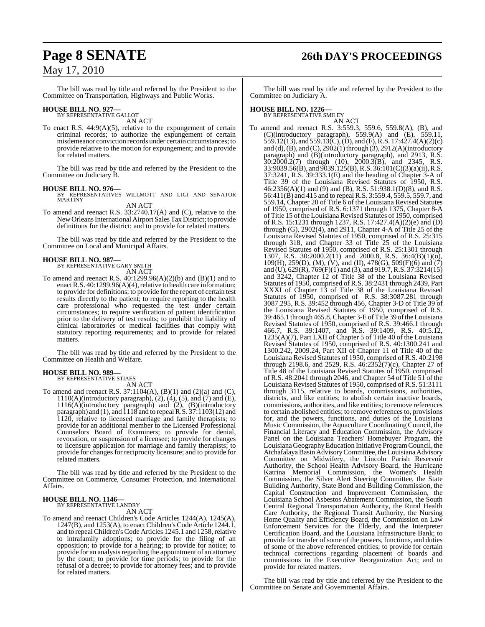## **Page 8 SENATE 26th DAY'S PROCEEDINGS**

## May 17, 2010

The bill was read by title and referred by the President to the Committee on Transportation, Highways and Public Works.

## **HOUSE BILL NO. 927—** BY REPRESENTATIVE GALLOT

AN ACT

To enact R.S. 44:9(A)(5), relative to the expungement of certain criminal records; to authorize the expungement of certain misdemeanor conviction records under certain circumstances; to provide relative to the motion for expungement; and to provide for related matters.

The bill was read by title and referred by the President to the Committee on Judiciary B.

#### **HOUSE BILL NO. 976—**

BY REPRESENTATIVES WILLMOTT AND LIGI AND SENATOR MARTINY

AN ACT

To amend and reenact R.S. 33:2740.17(A) and (C), relative to the New Orleans International Airport Sales Tax District; to provide definitions for the district; and to provide for related matters.

The bill was read by title and referred by the President to the Committee on Local and Municipal Affairs.

## **HOUSE BILL NO. 987—** BY REPRESENTATIVE GARY SMITH

AN ACT

To amend and reenact R.S.  $40:1299.96(A)(2)(b)$  and  $(B)(1)$  and to enact R.S.  $40:1299.96(A)(4)$ , relative to health care information; to provide for definitions; to provide for the report of certain test results directly to the patient; to require reporting to the health care professional who requested the test under certain circumstances; to require verification of patient identification prior to the delivery of test results; to prohibit the liability of clinical laboratories or medical facilities that comply with statutory reporting requirements; and to provide for related matters.

The bill was read by title and referred by the President to the Committee on Health and Welfare.

## **HOUSE BILL NO. 989—** BY REPRESENTATIVE STIAES

AN ACT

To amend and reenact R.S.  $37:1104(A)$ ,  $(B)(1)$  and  $(2)(a)$  and  $(C)$ ,  $1110(A)$ (introductory paragraph),  $(2)$ ,  $(4)$ ,  $(5)$ , and  $(7)$  and  $(E)$ , 1116(A)(introductory paragraph) and (2), (B)(introductory paragraph) and (1), and 1118 and to repealR.S. 37:1103(12) and 1120, relative to licensed marriage and family therapists; to provide for an additional member to the Licensed Professional Counselors Board of Examiners; to provide for denial, revocation, or suspension of a licensee; to provide for changes to licensure application for marriage and family therapists; to provide for changes for reciprocity licensure; and to provide for related matters.

The bill was read by title and referred by the President to the Committee on Commerce, Consumer Protection, and International Affairs.

#### **HOUSE BILL NO. 1146—** BY REPRESENTATIVE LANDRY

AN ACT

To amend and reenact Children's Code Articles 1244(A), 1245(A), 1247(B), and 1253(A), to enact Children's Code Article 1244.1, and to repeal Children's Code Articles 1245.1 and 1258, relative to intrafamily adoptions; to provide for the filing of an opposition; to provide for a hearing; to provide for notice; to provide for an analysis regarding the appointment of an attorney by the court; to provide for time periods; to provide for the refusal of a decree; to provide for attorney fees; and to provide for related matters.

The bill was read by title and referred by the President to the Committee on Judiciary A.

## **HOUSE BILL NO. 1226—** BY REPRESENTATIVE SMILEY

AN ACT To amend and reenact R.S. 3:559.3, 559.6, 559.8(A), (B), and (C)(introductory paragraph), 559.9(A) and (E), 559.11, 559.12(13), and 559.13(C), (D), and (F), R.S. 17:427.4(A)(2)(c) and (d),  $(\overline{B})$ , and  $(\overline{C})$ ,  $2902(1)$  through  $(\overline{3})$ ,  $2912(A)$ (introductory paragraph) and (B)(introductory paragraph), and 2913, R.S. 30:2000.2(7) through (10), 2000.3(B), and 2345, R.S. 33:9039.56(B), and 9039.125(B),R.S. 36:101(C)(3)(a)(ii), R.S. 37:3241, R.S. 39:333.1(E) and the heading of Chapter 3-A of Title 39 of the Louisiana Revised Statutes of 1950, R.S. 46:2356(A)(1) and (9) and (B), R.S. 51:938.1(D)(8), and R.S. 56:411(B) and 415 and to repeal R.S. 3:559.4, 559.5, 559.7, and 559.14, Chapter 20 of Title 6 of the Louisiana Revised Statutes of 1950, comprised of R.S. 6:1371 through 1375, Chapter 8-A of Title 15 of the Louisiana Revised Statutes of 1950, comprised of R.S. 15:1231 through 1237, R.S. 17:427.4(A)(2)(e) and (D) through  $(G)$ , 2902 $(4)$ , and 2911, Chapter 4-A of Title 25 of the Louisiana Revised Statutes of 1950, comprised of R.S. 25:315 through 318, and Chapter 33 of Title 25 of the Louisiana Revised Statutes of 1950, comprised of R.S. 25:1301 through 1307, R.S. 30:2000.2(11) and 2000.8, R.S. 36:4(B)(1)(o), 109(H), 259(D), (M), (V), and (II), 478(G), 509(F)(6) and (7) and (U), 629(R), 769(F)(1) and (3), and 919.7,R.S. 37:3214(15) and 3242, Chapter 12 of Title 38 of the Louisiana Revised Statutes of 1950, comprised of R.S. 38:2431 through 2439, Part XXXI of Chapter 13 of Title 38 of the Louisiana Revised Statutes of 1950, comprised of R.S. 38:3087.281 through 3087.295, R.S. 39:452 through 456, Chapter 3-D of Title 39 of the Louisiana Revised Statutes of 1950, comprised of R.S. 39:465.1 through 465.8,Chapter 3-EofTitle 39 oftheLouisiana Revised Statutes of 1950, comprised of R.S. 39:466.1 through 466.7, R.S. 39:1407, and R.S. 39:1409, R.S. 40:5.12, 1235(A)(7), Part LXII of Chapter 5 of Title 40 of the Louisiana Revised Statutes of 1950, comprised of R.S. 40:1300.241 and 1300.242, 2009.24, Part XII of Chapter 11 of Title 40 of the Louisiana Revised Statutes of 1950, comprised of R.S. 40:2198 through 2198.6, and 2529, R.S. 46:2352(7)(c), Chapter 27 of Title 48 of the Louisiana Revised Statutes of 1950, comprised of R.S. 48:2041 through 2046, and Chapter 54 of Title 51 of the Louisiana Revised Statutes of 1950, comprised of R.S. 51:3111 through 3115, relative to boards, commissions, authorities, districts, and like entities; to abolish certain inactive boards, commissions, authorities, and like entities; to remove references to certain abolished entities; to remove references to, provisions for, and the powers, functions, and duties of the Louisiana Music Commission, the Aquaculture Coordinating Council, the Financial Literacy and Education Commission, the Advisory Panel on the Louisiana Teachers' Homebuyer Program, the LouisianaGeographyEducation Initiative ProgramCouncil, the Atchafalaya Basin Advisory Committee, the Louisiana Advisory Committee on Midwifery, the Lincoln Parish Reservoir Authority, the School Health Advisory Board, the Hurricane Katrina Memorial Commission, the Women's Health Commission, the Silver Alert Steering Committee, the State Building Authority, State Bond and Building Commission, the Capital Construction and Improvement Commission, the Louisiana School Asbestos Abatement Commission, the South Central Regional Transportation Authority, the Rural Health Care Authority, the Regional Transit Authority, the Nursing Home Quality and Efficiency Board, the Commission on Law Enforcement Services for the Elderly, and the Interpreter Certification Board, and the Louisiana Infrastructure Bank; to provide for transfer of some of the powers, functions, and duties of some of the above referenced entities; to provide for certain technical corrections regarding placement of boards and commissions in the Executive Reorganization Act; and to provide for related matters.

The bill was read by title and referred by the President to the Committee on Senate and Governmental Affairs.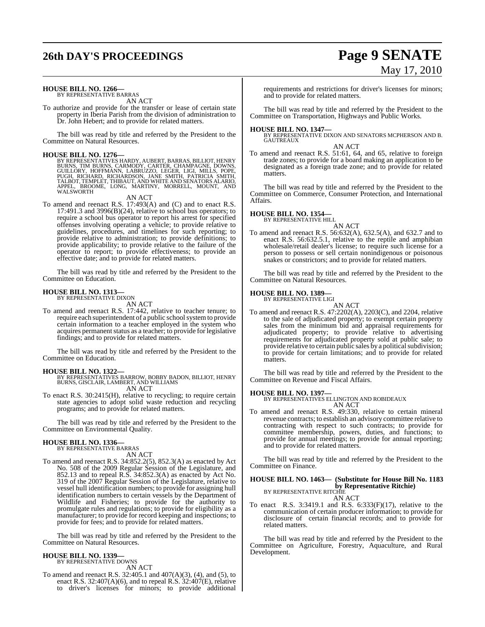# **26th DAY'S PROCEEDINGS Page 9 SENATE**

# May 17, 2010

#### **HOUSE BILL NO. 1266—**

BY REPRESENTATIVE BARRAS AN ACT

To authorize and provide for the transfer or lease of certain state property in Iberia Parish from the division of administration to Dr. John Hebert; and to provide for related matters.

The bill was read by title and referred by the President to the Committee on Natural Resources.

**HOUSE BILL NO. 1276**<br>BY REPRESENTATIVES HARDY, AUBERT, BARRAS, BILLIOT, HENRY<br>BURNS, TIM BURNS, CARMODY, CARTER, CHAMPAGNE, DOWNS,<br>GUILLORY, HOFFMANN, LABRUZZO, LEGER, LIGI, MILLS, POPE,<br>PUGH, RICHARD, RICHARDSON, JANE SM

AN ACT

To amend and reenact R.S. 17:493(A) and (C) and to enact R.S. 17:491.3 and 3996 $(B)(24)$ , relative to school bus operators; to require a school bus operator to report his arrest for specified offenses involving operating a vehicle; to provide relative to guidelines, procedures, and timelines for such reporting; to provide relative to administration; to provide definitions; to provide applicability; to provide relative to the failure of the operator to report; to provide effectiveness; to provide an effective date; and to provide for related matters.

The bill was read by title and referred by the President to the Committee on Education.

#### **HOUSE BILL NO. 1313—** BY REPRESENTATIVE DIXON

AN ACT

To amend and reenact R.S. 17:442, relative to teacher tenure; to require each superintendent of a public school system to provide certain information to a teacher employed in the system who acquires permanent status as a teacher; to provide for legislative findings; and to provide for related matters.

The bill was read by title and referred by the President to the Committee on Education.

- **HOUSE BILL NO. 1322—** BY REPRESENTATIVES BARROW, BOBBY BADON, BILLIOT, HENRY BURNS, GISCLAIR, LAMBERT, AND WILLIAMS AN ACT
- To enact R.S. 30:2415(H), relative to recycling; to require certain state agencies to adopt solid waste reduction and recycling programs; and to provide for related matters.

The bill was read by title and referred by the President to the Committee on Environmental Quality.

#### **HOUSE BILL NO. 1336—**

BY REPRESENTATIVE BARRAS AN ACT

To amend and reenact R.S. 34:852.2(5), 852.3(A) as enacted by Act No. 508 of the 2009 Regular Session of the Legislature, and 852.13 and to repeal R.S. 34:852.3(A) as enacted by Act No. 319 of the 2007 Regular Session of the Legislature, relative to vessel hull identification numbers; to provide for assigning hull identification numbers to certain vessels by the Department of Wildlife and Fisheries; to provide for the authority to promulgate rules and regulations; to provide for eligibility as a manufacturer; to provide for record keeping and inspections; to provide for fees; and to provide for related matters.

The bill was read by title and referred by the President to the Committee on Natural Resources.

#### **HOUSE BILL NO. 1339—** BY REPRESENTATIVE DOWNS

AN ACT

To amend and reenact R.S. 32:405.1 and 407(A)(3), (4), and (5), to enact R.S. 32:407(A)(6), and to repeal R.S. 32:407(E), relative to driver's licenses for minors; to provide additional requirements and restrictions for driver's licenses for minors; and to provide for related matters.

The bill was read by title and referred by the President to the Committee on Transportation, Highways and Public Works.

**HOUSE BILL NO. 1347—** BY REPRESENTATIVE DIXON AND SENATORS MCPHERSON AND B. GAUTREAUX

AN ACT

To amend and reenact R.S. 51:61, 64, and 65, relative to foreign trade zones; to provide for a board making an application to be designated as a foreign trade zone; and to provide for related matters.

The bill was read by title and referred by the President to the Committee on Commerce, Consumer Protection, and International Affairs.

## **HOUSE BILL NO. 1354—** BY REPRESENTATIVE HILL

AN ACT

To amend and reenact R.S. 56:632(A), 632.5(A), and 632.7 and to enact R.S. 56:632.5.1, relative to the reptile and amphibian wholesale/retail dealer's license; to require such license for a person to possess or sell certain nonindigenous or poisonous snakes or constrictors; and to provide for related matters.

The bill was read by title and referred by the President to the Committee on Natural Resources.

## **HOUSE BILL NO. 1389—** BY REPRESENTATIVE LIGI

AN ACT

To amend and reenact R.S. 47:2202(A), 2203(C), and 2204, relative to the sale of adjudicated property; to exempt certain property sales from the minimum bid and appraisal requirements for adjudicated property; to provide relative to advertising requirements for adjudicated property sold at public sale; to provide relative to certain public sales by a political subdivision; to provide for certain limitations; and to provide for related matters.

The bill was read by title and referred by the President to the Committee on Revenue and Fiscal Affairs.

**HOUSE BILL NO. 1397—** BY REPRESENTATIVES ELLINGTON AND ROBIDEAUX AN ACT

To amend and reenact R.S. 49:330, relative to certain mineral revenue contracts; to establish an advisory committee relative to contracting with respect to such contracts; to provide for committee membership, powers, duties, and functions; to provide for annual meetings; to provide for annual reporting; and to provide for related matters.

The bill was read by title and referred by the President to the Committee on Finance.

## **HOUSE BILL NO. 1463— (Substitute for House Bill No. 1183 by Representative Ritchie**)<br>BY REPRESENTATIVE RITCHIE

AN ACT

To enact R.S. 3:3419.1 and R.S. 6:333(F)(17), relative to the communication of certain producer information; to provide for disclosure of certain financial records; and to provide for related matters.

The bill was read by title and referred by the President to the Committee on Agriculture, Forestry, Aquaculture, and Rural Development.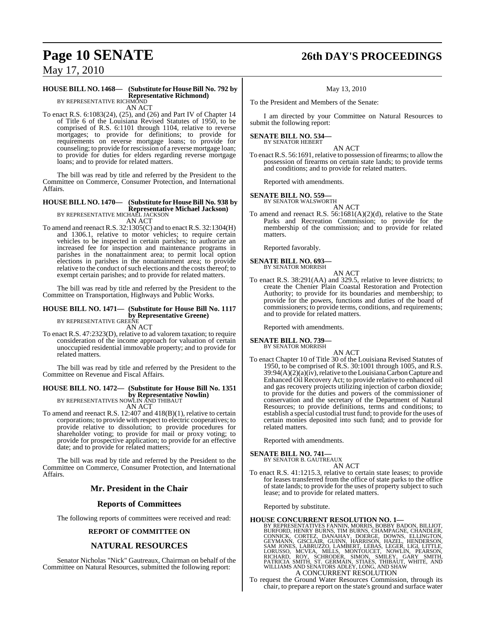# **Page 10 SENATE 26th DAY'S PROCEEDINGS**

May 17, 2010

#### **HOUSE BILL NO. 1468— (Substitute for HouseBill No. 792 by Representative Richmond)** BY REPRESENTATIVE RICHMOND

AN ACT

To enact R.S. 6:1083(24), (25), and (26) and Part IV of Chapter 14 of Title 6 of the Louisiana Revised Statutes of 1950, to be comprised of R.S. 6:1101 through 1104, relative to reverse mortgages; to provide for definitions; to provide for requirements on reverse mortgage loans; to provide for counseling; to provide for rescission of a reverse mortgage loan; to provide for duties for elders regarding reverse mortgage loans; and to provide for related matters.

The bill was read by title and referred by the President to the Committee on Commerce, Consumer Protection, and International Affairs.

#### **HOUSE BILL NO. 1470— (Substitute for HouseBill No. 938 by Representative Michael Jackson)** BY REPRESENTATIVE MICHAEL JACKSON AN ACT

To amend and reenact R.S. 32:1305(C) and to enact R.S. 32:1304(H) and 1306.1, relative to motor vehicles; to require certain vehicles to be inspected in certain parishes; to authorize an increased fee for inspection and maintenance programs in parishes in the nonattainment area; to permit local option elections in parishes in the nonattainment area; to provide relative to the conduct of such elections and the costs thereof; to exempt certain parishes; and to provide for related matters.

The bill was read by title and referred by the President to the Committee on Transportation, Highways and Public Works.

## **HOUSE BILL NO. 1471— (Substitute for House Bill No. 1117 by Representative Greene)**<br>BY REPRESENTATIVE GREENE

AN ACT

To enact R.S. 47:2323(D), relative to ad valorem taxation; to require consideration of the income approach for valuation of certain unoccupied residential immovable property; and to provide for related matters.

The bill was read by title and referred by the President to the Committee on Revenue and Fiscal Affairs.

## **HOUSE BILL NO. 1472— (Substitute for House Bill No. 1351 by Representative Nowlin)**<br>BY REPRESENTATIVES NOWLIN AND THIBAUT

AN ACT

To amend and reenact R.S. 12:407 and 418(B)(1), relative to certain corporations; to provide with respect to electric cooperatives; to provide relative to dissolution; to provide procedures for shareholder voting; to provide for mail or proxy voting; to provide for prospective application; to provide for an effective date; and to provide for related matters;

The bill was read by title and referred by the President to the Committee on Commerce, Consumer Protection, and International Affairs.

### **Mr. President in the Chair**

#### **Reports of Committees**

The following reports of committees were received and read:

#### **REPORT OF COMMITTEE ON**

### **NATURAL RESOURCES**

Senator Nicholas "Nick" Gautreaux, Chairman on behalf of the Committee on Natural Resources, submitted the following report:

#### May 13, 2010

To the President and Members of the Senate:

I am directed by your Committee on Natural Resources to submit the following report:

#### **SENATE BILL NO. 534—** BY SENATOR HEBERT

AN ACT

To enact R.S. 56:1691, relative to possession of firearms; to allow the possession of firearms on certain state lands; to provide terms and conditions; and to provide for related matters.

Reported with amendments.

## **SENATE BILL NO. 559—** BY SENATOR WALSWORTH

AN ACT

To amend and reenact R.S. 56:1681(A)(2)(d), relative to the State Parks and Recreation Commission; to provide for the membership of the commission; and to provide for related matters.

Reported favorably.

#### **SENATE BILL NO. 693—** BY SENATOR MORRISH

AN ACT

To enact R.S. 38:291(AA) and 329.5, relative to levee districts; to create the Chenier Plain Coastal Restoration and Protection Authority; to provide for its boundaries and membership; to provide for the powers, functions and duties of the board of commissioners; to provide terms, conditions, and requirements; and to provide for related matters.

Reported with amendments.

## **SENATE BILL NO. 739—**

BY SENATOR MORRISH

- AN ACT
- To enact Chapter 10 of Title 30 of the Louisiana Revised Statutes of 1950, to be comprised of R.S. 30:1001 through 1005, and R.S. 39:94(A)(2)(a)(iv), relative to the Louisiana Carbon Capture and Enhanced Oil Recovery Act; to provide relative to enhanced oil and gas recovery projects utilizing injection of carbon dioxide; to provide for the duties and powers of the commissioner of conservation and the secretary of the Department of Natural Resources; to provide definitions, terms and conditions; to establish a special custodial trust fund; to provide for the uses of certain monies deposited into such fund; and to provide for related matters.

Reported with amendments.

### **SENATE BILL NO. 741—**

BY SENATOR B. GAUTREAUX AN ACT

To enact R.S. 41:1215.3, relative to certain state leases; to provide for leases transferred from the office of state parks to the office of state lands; to provide for the uses of property subject to such lease; and to provide for related matters.

Reported by substitute.

**HOUSE CONCURRENT RESOLUTION NO. 1—**<br>BY REPRESENTATIVES FANNIN, MORRIS, BOBBY BADON, BILLIOT,<br>BURFORD, HENRY BURNS, TIM BURNS, CHAMPAGNE, CHANDLER,<br>CONNICK, CORTEZ, DANAHAY, DOERGE, DOWNS, ELLINGTON,<br>GEYMANN, GISCLAIR, GUI A CONCURRENT RESOLUTION

To request the Ground Water Resources Commission, through its chair, to prepare a report on the state's ground and surface water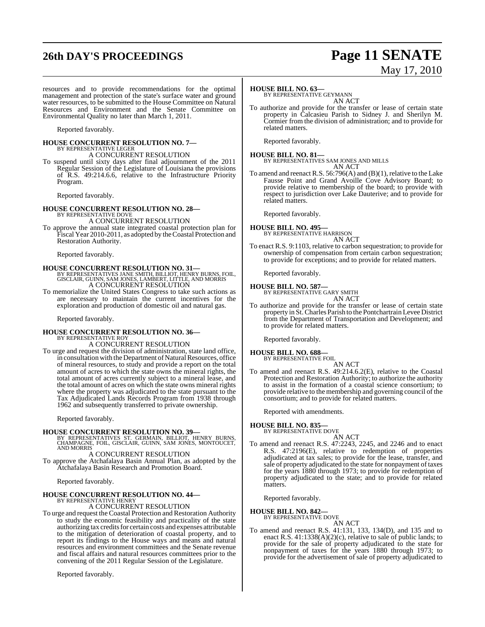## **26th DAY'S PROCEEDINGS Page 11 SENATE**

# May 17, 2010

resources and to provide recommendations for the optimal management and protection of the state's surface water and ground water resources, to be submitted to the House Committee on Natural Resources and Environment and the Senate Committee on Environmental Quality no later than March 1, 2011.

Reported favorably.

## **HOUSE CONCURRENT RESOLUTION NO. 7—** BY REPRESENTATIVE LEGER A CONCURRENT RESOLUTION

To suspend until sixty days after final adjournment of the 2011 Regular Session of the Legislature of Louisiana the provisions of R.S. 49:214.6.6, relative to the Infrastructure Priority Program.

Reported favorably.

#### **HOUSE CONCURRENT RESOLUTION NO. 28—** BY REPRESENTATIVE DOVE

A CONCURRENT RESOLUTION

To approve the annual state integrated coastal protection plan for Fiscal Year 2010-2011, as adopted by the Coastal Protection and Restoration Authority.

Reported favorably.

#### **HOUSE CONCURRENT RESOLUTION NO. 31—**

BY REPRESENTATIVES JANE SMITH, BILLIOT, HENRY BURNS, FOIL, GISCLAIR, GUINN, SAM JONES, LAMBERT, LITTLE, AND MORRIS A CONCURRENT RESOLUTION

To memorialize the United States Congress to take such actions as are necessary to maintain the current incentives for the exploration and production of domestic oil and natural gas.

Reported favorably.

#### **HOUSE CONCURRENT RESOLUTION NO. 36—** BY REPRESENTATIVE ROY

A CONCURRENT RESOLUTION

To urge and request the division of administration, state land office, in consultation with the Department of Natural Resources, office of mineral resources, to study and provide a report on the total amount of acres to which the state owns the mineral rights, the total amount of acres currently subject to a mineral lease, and the total amount of acres on which the state owns mineral rights where the property was adjudicated to the state pursuant to the Tax Adjudicated Lands Records Program from 1938 through 1962 and subsequently transferred to private ownership.

Reported favorably.

**HOUSE CONCURRENT RESOLUTION NO. 39—**<br>BY REPRESENTATIVES ST. GERMAIN, BILLIOT, HENRY BURNS,<br>CHAMPAGNE, FOIL, GISCLAIR, GUINN, SAM JONES, MONTOUCET,<br>AND MORRIS

A CONCURRENT RESOLUTION To approve the Atchafalaya Basin Annual Plan, as adopted by the Atchafalaya Basin Research and Promotion Board.

Reported favorably.

#### **HOUSE CONCURRENT RESOLUTION NO. 44—** BY REPRESENTATIVE HENRY

A CONCURRENT RESOLUTION

To urge and request the Coastal Protection and Restoration Authority to study the economic feasibility and practicality of the state authorizing tax credits for certain costs and expenses attributable to the mitigation of deterioration of coastal property, and to report its findings to the House ways and means and natural resources and environment committees and the Senate revenue and fiscal affairs and natural resources committees prior to the convening of the 2011 Regular Session of the Legislature.

Reported favorably.

### **HOUSE BILL NO. 63—**

BY REPRESENTATIVE GEYMANN AN ACT

To authorize and provide for the transfer or lease of certain state property in Calcasieu Parish to Sidney J. and Sherilyn M. Cormier from the division of administration; and to provide for related matters.

Reported favorably.

**HOUSE BILL NO. 81—** BY REPRESENTATIVES SAM JONES AND MILLS AN ACT

To amend and reenact R.S. 56:796(A) and (B)(1), relative to the Lake Fausse Point and Grand Avoille Cove Advisory Board; to provide relative to membership of the board; to provide with respect to jurisdiction over Lake Dauterive; and to provide for related matters.

Reported favorably.

#### **HOUSE BILL NO. 495—** BY REPRESENTATIVE HARRISON

AN ACT

To enact R.S. 9:1103, relative to carbon sequestration; to provide for ownership of compensation from certain carbon sequestration; to provide for exceptions; and to provide for related matters.

Reported favorably.

## **HOUSE BILL NO. 587—** BY REPRESENTATIVE GARY SMITH

AN ACT

To authorize and provide for the transfer or lease of certain state property in St. Charles Parish to the Pontchartrain Levee District from the Department of Transportation and Development; and to provide for related matters.

Reported favorably.

**HOUSE BILL NO. 688—** BY REPRESENTATIVE FOIL

AN ACT

To amend and reenact R.S. 49:214.6.2(E), relative to the Coastal Protection and Restoration Authority; to authorize the authority to assist in the formation of a coastal science consortium; to provide relative to the membership and governing council of the consortium; and to provide for related matters.

Reported with amendments.

#### **HOUSE BILL NO. 835—**

BY REPRESENTATIVE DOVE

AN ACT To amend and reenact R.S. 47:2243, 2245, and 2246 and to enact R.S. 47:2196(E), relative to redemption of properties adjudicated at tax sales; to provide for the lease, transfer, and sale of property adjudicated to the state for nonpayment of taxes for the years 1880 through 1973; to provide for redemption of property adjudicated to the state; and to provide for related matters.

Reported favorably.

#### **HOUSE BILL NO. 842—** BY REPRESENTATIVE DOVE

AN ACT

To amend and reenact R.S. 41:131, 133, 134(D), and 135 and to enact R.S.  $41:1338(A)(2)(c)$ , relative to sale of public lands; to provide for the sale of property adjudicated to the state for nonpayment of taxes for the years 1880 through 1973; to provide for the advertisement of sale of property adjudicated to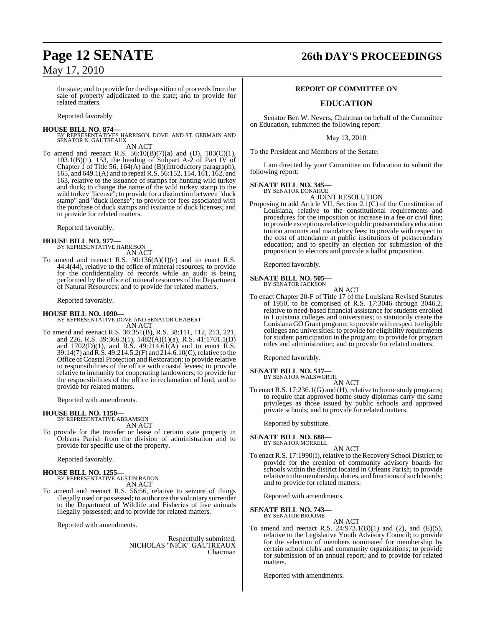the state; and to provide for the disposition of proceeds from the sale of property adjudicated to the state; and to provide for related matters.

Reported favorably.

**HOUSE BILL NO. 874—** BY REPRESENTATIVES HARRISON, DOVE, AND ST. GERMAIN AND SENATOR N. GAUTREAUX AN ACT

To amend and reenact R.S.  $56:10(B)(7)(a)$  and (D),  $103(C)(1)$ , 103.1(B)(1), 153, the heading of Subpart A-2 of Part IV of Chapter 1 of Title 56, 164(A) and (B)(introductory paragraph), 165, and 649.1(A) and to repeal R.S. 56:152, 154, 161, 162, and 163, relative to the issuance of stamps for hunting wild turkey and duck; to change the name of the wild turkey stamp to the wild turkey "license"; to provide for a distinction between "duck stamp" and "duck license"; to provide for fees associated with the purchase of duck stamps and issuance of duck licenses; and to provide for related matters.

Reported favorably.

## **HOUSE BILL NO. 977—** BY REPRESENTATIVE HARRISON

AN ACT

To amend and reenact R.S.  $30:136(A)(1)(c)$  and to enact R.S. 44:4(44), relative to the office of mineral resources; to provide for the confidentiality of records while an audit is being performed by the office of mineral resources of the Department of Natural Resources; and to provide for related matters.

Reported favorably.

#### **HOUSE BILL NO. 1090—**

BY REPRESENTATIVE DOVE AND SENATOR CHABERT AN ACT

To amend and reenact R.S. 36:351(B), R.S. 38:111, 112, 213, 221, and 226, R.S. 39:366.3(1), 1482(A)(1)(a), R.S. 41:1701.1(D) and 1702(D)(1), and R.S. 49:214.61(A) and to enact R.S. 39:14(7) and R.S. 49:214.5.2(F) and 214.6.10(C), relative to the Office of Coastal Protection and Restoration; to provide relative to responsibilities of the office with coastal levees; to provide relative to immunity for cooperating landowners; to provide for the responsibilities of the office in reclamation of land; and to provide for related matters.

Reported with amendments.

#### **HOUSE BILL NO. 1150—**

BY REPRESENTATIVE ABRAMSON AN ACT

To provide for the transfer or lease of certain state property in Orleans Parish from the division of administration and to provide for specific use of the property.

Reported favorably.

#### **HOUSE BILL NO. 1255—**

BY REPRESENTATIVE AUSTIN BADON AN ACT

To amend and reenact R.S. 56:56, relative to seizure of things illegally used or possessed; to authorize the voluntary surrender to the Department of Wildlife and Fisheries of live animals illegally possessed; and to provide for related matters.

Reported with amendments.

Respectfully submitted, NICHOLAS "NICK" GAUTREAUX Chairman

## **Page 12 SENATE 26th DAY'S PROCEEDINGS**

#### **REPORT OF COMMITTEE ON**

## **EDUCATION**

Senator Ben W. Nevers, Chairman on behalf of the Committee on Education, submitted the following report:

May 13, 2010

To the President and Members of the Senate:

I am directed by your Committee on Education to submit the following report:

## **SENATE BILL NO. 345—** BY SENATOR DONAHUE

A JOINT RESOLUTION

Proposing to add Article VII, Section 2.1(C) of the Constitution of Louisiana, relative to the constitutional requirements and procedures for the imposition or increase in a fee or civil fine; to provide exceptions relative to public postsecondary education tuition amounts and mandatory fees; to provide with respect to the cost of attendance at public institutions of postsecondary education; and to specify an election for submission of the proposition to electors and provide a ballot proposition.

Reported favorably.

#### **SENATE BILL NO. 505—** BY SENATOR JACKSON

AN ACT

To enact Chapter 20-F of Title 17 of the Louisiana Revised Statutes of 1950, to be comprised of R.S. 17:3046 through 3046.2, relative to need-based financial assistance for students enrolled in Louisiana colleges and universities; to statutorily create the Louisiana GO Grant program; to provide with respect to eligible colleges and universities; to provide for eligibility requirements for student participation in the program; to provide for program rules and administration; and to provide for related matters.

Reported favorably.

#### **SENATE BILL NO. 517—**

BY SENATOR WALSWORTH AN ACT

To enact R.S. 17:236.1(G) and (H), relative to home study programs; to require that approved home study diplomas carry the same privileges as those issued by public schools and approved private schools; and to provide for related matters.

Reported by substitute.

#### **SENATE BILL NO. 688**

BY SENATOR MORRELL AN ACT

To enact R.S. 17:1990(I), relative to the Recovery School District; to provide for the creation of community advisory boards for schools within the district located in Orleans Parish; to provide relative to the membership, duties, and functions of such boards; and to provide for related matters.

Reported with amendments.

**SENATE BILL NO. 743—**

BY SENATOR BROOME AN ACT

To amend and reenact R.S.  $24:973.1(B)(1)$  and  $(2)$ , and  $(E)(5)$ , relative to the Legislative Youth Advisory Council; to provide for the selection of members nominated for membership by certain school clubs and community organizations; to provide for submission of an annual report; and to provide for related matters.

Reported with amendments.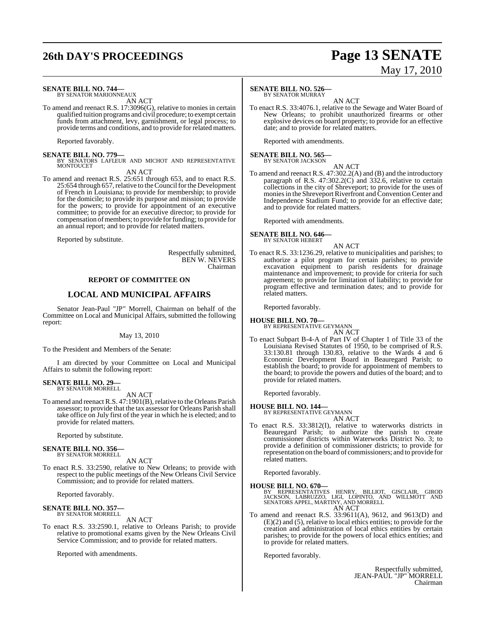# **26th DAY'S PROCEEDINGS Page 13 SENATE**

#### **SENATE BILL NO. 744—**

BY SENATOR MARIONNEAUX AN ACT

To amend and reenact R.S. 17:3096(G), relative to monies in certain qualified tuition programs and civil procedure; to exempt certain funds from attachment, levy, garnishment, or legal process; to provide terms and conditions, and to provide for related matters.

Reported favorably.

**SENATE BILL NO. 779—**<br>BY SENATORS LAFLEUR AND MICHOT AND REPRESENTATIVE MONTOUCET

AN ACT

To amend and reenact R.S. 25:651 through 653, and to enact R.S. 25:654 through 657, relative to the Council for the Development of French in Louisiana; to provide for membership; to provide for the domicile; to provide its purpose and mission; to provide for the powers; to provide for appointment of an executive committee; to provide for an executive director; to provide for compensation of members; to provide for funding; to provide for an annual report; and to provide for related matters.

Reported by substitute.

Respectfully submitted, BEN W. NEVERS Chairman

#### **REPORT OF COMMITTEE ON**

#### **LOCAL AND MUNICIPAL AFFAIRS**

Senator Jean-Paul "JP" Morrell, Chairman on behalf of the Committee on Local and Municipal Affairs, submitted the following report:

#### May 13, 2010

To the President and Members of the Senate:

I am directed by your Committee on Local and Municipal Affairs to submit the following report:

#### **SENATE BILL NO. 29—** BY SENATOR MORRELL

AN ACT

To amend and reenact R.S. 47:1901(B), relative to the Orleans Parish assessor; to provide that the tax assessor for Orleans Parish shall take office on July first of the year in which he is elected; and to provide for related matters.

Reported by substitute.

#### **SENATE BILL NO. 356—** BY SENATOR MORRELL

AN ACT

To enact R.S. 33:2590, relative to New Orleans; to provide with respect to the public meetings of the New Orleans Civil Service Commission; and to provide for related matters.

Reported favorably.

#### **SENATE BILL NO. 357—** BY SENATOR MORRELL

AN ACT To enact R.S. 33:2590.1, relative to Orleans Parish; to provide relative to promotional exams given by the New Orleans Civil Service Commission; and to provide for related matters.

Reported with amendments.

#### **SENATE BILL NO. 526—**

BY SENATOR MURRAY AN ACT

To enact R.S. 33:4076.1, relative to the Sewage and Water Board of New Orleans; to prohibit unauthorized firearms or other explosive devices on board property; to provide for an effective date; and to provide for related matters.

Reported with amendments.

## **SENATE BILL NO. 565—** BY SENATOR JACKSON

AN ACT

To amend and reenact R.S. 47:302.2(A) and (B) and the introductory paragraph of R.S. 47:302.2(C) and 332.6, relative to certain collections in the city of Shreveport; to provide for the uses of monies in the Shreveport Riverfront and Convention Center and Independence Stadium Fund; to provide for an effective date; and to provide for related matters.

Reported with amendments.

#### **SENATE BILL NO. 646—** BY SENATOR HEBERT

AN ACT

To enact R.S. 33:1236.29, relative to municipalities and parishes; to authorize a pilot program for certain parishes; to provide excavation equipment to parish residents for drainage maintenance and improvement; to provide for criteria for such agreement; to provide for limitation of liability; to provide for program effective and termination dates; and to provide for related matters.

Reported favorably.

## **HOUSE BILL NO. 70—** BY REPRESENTATIVE GEYMANN

AN ACT

To enact Subpart B-4-A of Part IV of Chapter 1 of Title 33 of the Louisiana Revised Statutes of 1950, to be comprised of R.S. 33:130.81 through 130.83, relative to the Wards 4 and 6 Economic Development Board in Beauregard Parish; to establish the board; to provide for appointment of members to the board; to provide the powers and duties of the board; and to provide for related matters.

Reported favorably.

## **HOUSE BILL NO. 144—** BY REPRESENTATIVE GEYMANN

AN ACT

To enact R.S. 33:3812(I), relative to waterworks districts in Beauregard Parish; to authorize the parish to create commissioner districts within Waterworks District No. 3; to provide a definition of commissioner districts; to provide for representation on the board of commissioners; and to provide for related matters.

Reported favorably.

**HOUSE BILL NO. 670—** BY REPRESENTATIVES HENRY, BILLIOT, GISCLAIR, GIROD JACKSON, LABRUZZO, LIGI, LOPINTO, AND WILLMOTT AND SENATORS APPEL, MARTINY, AND MORRELL AN ACT

To amend and reenact R.S. 33:9611(A), 9612, and 9613(D) and (E)(2) and (5), relative to local ethics entities; to provide for the creation and administration of local ethics entities by certain parishes; to provide for the powers of local ethics entities; and to provide for related matters.

Reported favorably.

Respectfully submitted, JEAN-PAUL "JP" MORRELL Chairman

# May 17, 2010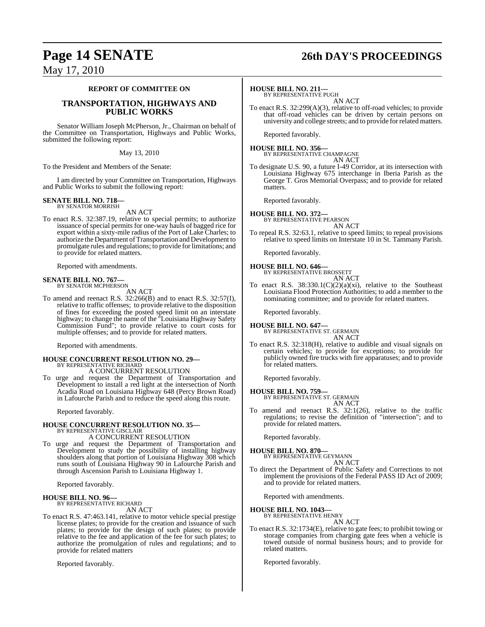## **Page 14 SENATE 26th DAY'S PROCEEDINGS**

## May 17, 2010

#### **REPORT OF COMMITTEE ON**

#### **TRANSPORTATION, HIGHWAYS AND PUBLIC WORKS**

Senator William Joseph McPherson, Jr., Chairman on behalf of the Committee on Transportation, Highways and Public Works, submitted the following report:

#### May 13, 2010

To the President and Members of the Senate:

I am directed by your Committee on Transportation, Highways and Public Works to submit the following report:

#### **SENATE BILL NO. 718** BY SENATOR MORRISH

AN ACT

To enact R.S. 32:387.19, relative to special permits; to authorize issuance of special permits for one-way hauls of bagged rice for export within a sixty-mile radius of the Port of Lake Charles; to authorize the Department of Transportation and Development to promulgate rules and regulations; to provide for limitations; and to provide for related matters.

Reported with amendments.

#### **SENATE BILL NO. 767—** BY SENATOR MCPHERSON

AN ACT

To amend and reenact R.S. 32:266(B) and to enact R.S. 32:57(I), relative to traffic offenses; to provide relative to the disposition of fines for exceeding the posted speed limit on an interstate highway; to change the name of the "Louisiana Highway Safety Commission Fund"; to provide relative to court costs for multiple offenses; and to provide for related matters.

Reported with amendments.

#### **HOUSE CONCURRENT RESOLUTION NO. 29—** BY REPRESENTATIVE RICHARD A CONCURRENT RESOLUTION

To urge and request the Department of Transportation and Development to install a red light at the intersection of North Acadia Road on Louisiana Highway 648 (Percy Brown Road) in Lafourche Parish and to reduce the speed along this route.

Reported favorably.

# **HOUSE CONCURRENT RESOLUTION NO. 35—** BY REPRESENTATIVE GISCLAIR

A CONCURRENT RESOLUTION

To urge and request the Department of Transportation and Development to study the possibility of installing highway shoulders along that portion of Louisiana Highway 308 which runs south of Louisiana Highway 90 in Lafourche Parish and through Ascension Parish to Louisiana Highway 1.

Reported favorably.

#### **HOUSE BILL NO. 96—** BY REPRESENTATIVE RICHARD

AN ACT

To enact R.S. 47:463.141, relative to motor vehicle special prestige license plates; to provide for the creation and issuance of such plates; to provide for the design of such plates; to provide relative to the fee and application of the fee for such plates; to authorize the promulgation of rules and regulations; and to provide for related matters

Reported favorably.

#### **HOUSE BILL NO. 211—**

BY REPRESENTATIVE PUGH AN ACT

To enact R.S. 32:299(A)(3), relative to off-road vehicles; to provide that off-road vehicles can be driven by certain persons on university and college streets; and to provide for related matters.

Reported favorably.

**HOUSE BILL NO. 356—** BY REPRESENTATIVE CHAMPAGNE AN ACT

To designate U.S. 90, a future I-49 Corridor, at its intersection with Louisiana Highway 675 interchange in Iberia Parish as the George T. Gros Memorial Overpass; and to provide for related matters.

Reported favorably.

## **HOUSE BILL NO. 372—** BY REPRESENTATIVE PEARSON

AN ACT

To repeal R.S. 32:63.1, relative to speed limits; to repeal provisions relative to speed limits on Interstate 10 in St. Tammany Parish.

Reported favorably.

#### **HOUSE BILL NO. 646—**

BY REPRESENTATIVE BROSSETT AN ACT

To enact R.S. 38:330.1(C)(2)(a)(xi), relative to the Southeast Louisiana Flood Protection Authorities; to add a member to the nominating committee; and to provide for related matters.

Reported favorably.

**HOUSE BILL NO. 647—** BY REPRESENTATIVE ST. GERMAIN AN ACT

To enact R.S. 32:318(H), relative to audible and visual signals on certain vehicles; to provide for exceptions; to provide for publicly owned fire trucks with fire apparatuses; and to provide for related matters.

Reported favorably.

## **HOUSE BILL NO. 759—** BY REPRESENTATIVE ST. GERMAIN

AN ACT

To amend and reenact R.S. 32:1(26), relative to the traffic regulations; to revise the definition of "intersection"; and to provide for related matters.

Reported favorably.

#### **HOUSE BILL NO. 870—**

BY REPRESENTATIVE GEYMANN AN ACT

To direct the Department of Public Safety and Corrections to not implement the provisions of the Federal PASS ID Act of 2009; and to provide for related matters.

Reported with amendments.

#### **HOUSE BILL NO. 1043—**

BY REPRESENTATIVE HENRY AN ACT

To enact R.S. 32:1734(E), relative to gate fees; to prohibit towing or storage companies from charging gate fees when a vehicle is towed outside of normal business hours; and to provide for related matters.

Reported favorably.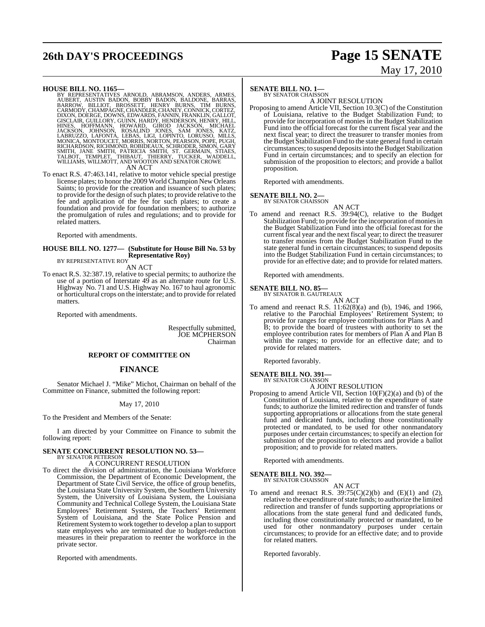# **26th DAY'S PROCEEDINGS Page 15 SENATE**

# May 17, 2010

#### **HOUSE BILL NO. 1165—**

BY REPRESENTATIVES ARNOLD, ABRAMSON, ANDERS, ARMES,<br>AUBERT, AUSTIN BADON, BOBBY BADON, BALDONE, BARRAS,<br>BARROW, BILLIOT, BROSSETT, HENRY BURNS, TIM BURNS,<br>CARMODY,CHAMPAGNE,CHANDLER,CHANEY,CONNICK,CORTEZ,<br>DIXON,DOERGE,DOWN GISCLAIR, GUILLORY, GUINN, HARDY, HENDERSON, HENRY, HILL,<br>HINES, HOFFMANN, HOWARD, GIROD JACKSON, MICHAEL<br>JACKSON, JOHNSON, HOWARD, JONES, SAM JONES, KATZ,<br>LABRUZZO, LAFONTA, LEBAS, LIGI, LOPINTO, LORUSSO, MILLS,<br>MONICA, M AN ACT

To enact R.S. 47:463.141, relative to motor vehicle special prestige license plates; to honor the 2009 World Champion New Orleans Saints; to provide for the creation and issuance of such plates; to provide for the design of such plates; to provide relative to the fee and application of the fee for such plates; to create a foundation and provide for foundation members; to authorize the promulgation of rules and regulations; and to provide for related matters.

Reported with amendments.

#### **HOUSE BILL NO. 1277— (Substitute for House Bill No. 53 by Representative Roy)** BY REPRESENTATIVE ROY

AN ACT

To enact R.S. 32:387.19, relative to special permits; to authorize the use of a portion of Interstate 49 as an alternate route for U.S. Highway No. 71 and U.S. Highway No. 167 to haul agronomic or horticultural crops on the interstate; and to provide for related matters.

Reported with amendments.

Respectfully submitted, **JOE MCPHERSON** Chairman

#### **REPORT OF COMMITTEE ON**

#### **FINANCE**

Senator Michael J. "Mike" Michot, Chairman on behalf of the Committee on Finance, submitted the following report:

#### May 17, 2010

To the President and Members of the Senate:

I am directed by your Committee on Finance to submit the following report:

## **SENATE CONCURRENT RESOLUTION NO. 53—** BY SENATOR PETERSON

A CONCURRENT RESOLUTION

To direct the division of administration, the Louisiana Workforce Commission, the Department of Economic Development, the Department of State Civil Service, the office of group benefits, the Louisiana State University System, the Southern University System, the University of Louisiana System, the Louisiana Community and Technical College System, the Louisiana State Employees' Retirement System, the Teachers' Retirement System of Louisiana, and the State Police Pension and Retirement Systemto work together to develop a plan to support state employees who are terminated due to budget-reduction measures in their preparation to reenter the workforce in the private sector.

Reported with amendments.

#### **SENATE BILL NO. 1—** BY SENATOR CHAISSON

A JOINT RESOLUTION

Proposing to amend Article VII, Section 10.3(C) of the Constitution of Louisiana, relative to the Budget Stabilization Fund; to provide for incorporation of monies in the Budget Stabilization Fund into the official forecast for the current fiscal year and the next fiscal year; to direct the treasurer to transfer monies from the Budget Stabilization Fund to the state general fund in certain circumstances; to suspend deposits into the Budget Stabilization Fund in certain circumstances; and to specify an election for submission of the proposition to electors; and provide a ballot proposition.

Reported with amendments.

## **SENATE BILL NO. 2—**<br>BY SENATOR CHAISSON

AN ACT

To amend and reenact R.S. 39:94(C), relative to the Budget Stabilization Fund; to provide for the incorporation of monies in the Budget Stabilization Fund into the official forecast for the current fiscal year and the next fiscal year; to direct the treasurer to transfer monies from the Budget Stabilization Fund to the state general fund in certain circumstances; to suspend deposits into the Budget Stabilization Fund in certain circumstances; to provide for an effective date; and to provide for related matters.

Reported with amendments.

#### **SENATE BILL NO. 85—**

BY SENATOR B. GAUTREAUX AN ACT

To amend and reenact R.S. 11:62(8)(a) and (b), 1946, and 1966, relative to the Parochial Employees' Retirement System; to provide for ranges for employee contributions for Plans A and B; to provide the board of trustees with authority to set the employee contribution rates for members of Plan A and Plan B within the ranges; to provide for an effective date; and to provide for related matters.

Reported favorably.

#### **SENATE BILL NO. 391—** BY SENATOR CHAISSON

A JOINT RESOLUTION

Proposing to amend Article VII, Section 10(F)(2)(a) and (b) of the Constitution of Louisiana, relative to the expenditure of state funds; to authorize the limited redirection and transfer of funds supporting appropriations or allocations from the state general fund and dedicated funds, including those constitutionally protected or mandated, to be used for other nonmandatory purposes under certain circumstances; to specify an election for submission of the proposition to electors and provide a ballot proposition; and to provide for related matters.

Reported with amendments.

#### **SENATE BILL NO. 392—**

BY SENATOR CHAISSON AN ACT

To amend and reenact R.S.  $39:75(C)(2)(b)$  and  $(E)(1)$  and  $(2)$ , relative to the expenditure of state funds; to authorize the limited redirection and transfer of funds supporting appropriations or allocations from the state general fund and dedicated funds, including those constitutionally protected or mandated, to be used for other nonmandatory purposes under certain circumstances; to provide for an effective date; and to provide for related matters.

Reported favorably.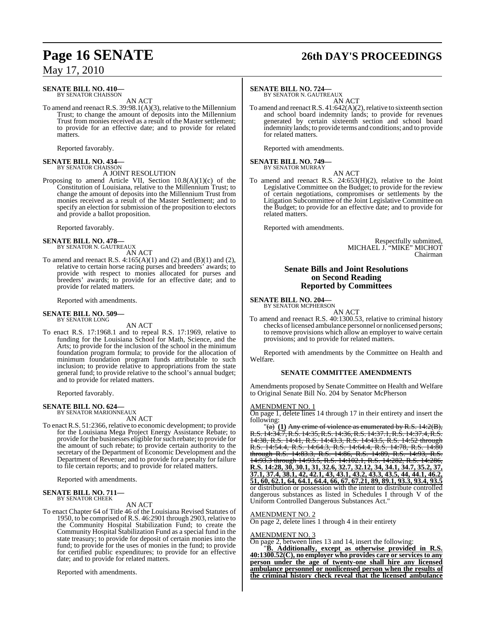#### **SENATE BILL NO. 410—** BY SENATOR CHAISSON

AN ACT

To amend and reenact R.S.  $39:98.1(A)(3)$ , relative to the Millennium Trust; to change the amount of deposits into the Millennium Trust from monies received as a result of the Master settlement; to provide for an effective date; and to provide for related matters.

Reported favorably.

## **SENATE BILL NO. 434—** BY SENATOR CHAISSON

A JOINT RESOLUTION

Proposing to amend Article VII, Section 10.8(A)(1)(c) of the Constitution of Louisiana, relative to the Millennium Trust; to change the amount of deposits into the Millennium Trust from monies received as a result of the Master Settlement; and to specify an election for submission of the proposition to electors and provide a ballot proposition.

Reported favorably.

## **SENATE BILL NO. 478—** BY SENATOR N. GAUTREAUX

AN ACT

To amend and reenact R.S.  $4:165(A)(1)$  and  $(2)$  and  $(B)(1)$  and  $(2)$ , relative to certain horse racing purses and breeders' awards; to provide with respect to monies allocated for purses and breeders' awards; to provide for an effective date; and to provide for related matters.

Reported with amendments.

#### **SENATE BILL NO. 509—** BY SENATOR LONG

AN ACT

To enact R.S. 17:1968.1 and to repeal R.S. 17:1969, relative to funding for the Louisiana School for Math, Science, and the Arts; to provide for the inclusion of the school in the minimum foundation program formula; to provide for the allocation of minimum foundation program funds attributable to such inclusion; to provide relative to appropriations from the state general fund; to provide relative to the school's annual budget; and to provide for related matters.

Reported favorably.

## **SENATE BILL NO. 624—** BY SENATOR MARIONNEAUX

AN ACT

To enact R.S. 51:2366, relative to economic development; to provide for the Louisiana Mega Project Energy Assistance Rebate; to provide for the businesses eligible forsuch rebate; to provide for the amount of such rebate; to provide certain authority to the secretary of the Department of Economic Development and the Department of Revenue; and to provide for a penalty for failure to file certain reports; and to provide for related matters.

Reported with amendments.

#### **SENATE BILL NO. 711—** BY SENATOR CHEEK

#### AN ACT

To enact Chapter 64 of Title 46 of the Louisiana Revised Statutes of 1950, to be comprised of R.S. 46:2901 through 2903, relative to the Community Hospital Stabilization Fund; to create the Community Hospital Stabilization Fund as a special fund in the state treasury; to provide for deposit of certain monies into the fund; to provide for the uses of monies in the fund; to provide for certified public expenditures; to provide for an effective date; and to provide for related matters.

Reported with amendments.

## **Page 16 SENATE 26th DAY'S PROCEEDINGS**

#### **SENATE BILL NO. 724—**

BY SENATOR N. GAUTREAUX

AN ACT To amend and reenact R.S.  $41:642(A)(2)$ , relative to sixteenth section and school board indemnity lands; to provide for revenues generated by certain sixteenth section and school board indemnity lands; to provide terms and conditions; and to provide for related matters.

Reported with amendments.

## **SENATE BILL NO. 749—** BY SENATOR MURRAY

AN ACT To amend and reenact R.S. 24:653(H)(2), relative to the Joint Legislative Committee on the Budget; to provide for the review of certain negotiations, compromises or settlements by the Litigation Subcommittee of the Joint Legislative Committee on the Budget; to provide for an effective date; and to provide for related matters.

Reported with amendments.

Respectfully submitted, MICHAEL J. "MIKE" MICHOT Chairman

#### **Senate Bills and Joint Resolutions on Second Reading Reported by Committees**

**SENATE BILL NO. 204—** BY SENATOR MCPHERSON

AN ACT

To amend and reenact R.S. 40:1300.53, relative to criminal history checks of licensed ambulance personnel or nonlicensed persons; to remove provisions which allow an employer to waive certain provisions; and to provide for related matters.

Reported with amendments by the Committee on Health and Welfare.

#### **SENATE COMMITTEE AMENDMENTS**

Amendments proposed by Senate Committee on Health and Welfare to Original Senate Bill No. 204 by Senator McPherson

#### AMENDMENT NO. 1

On page 1, delete lines 14 through 17 in their entirety and insert the following:

 $\sqrt{\left(\text{a}\right)^2}$  (1) Any crime of violence as enumerated by R.S. 14:2(B), R.S. 14:34.7,R.S. 14:35,R.S. 14:36,R.S. 14:37.1,R.S. 14:37.4,R.S. 14:38, R.S. 14:41, R.S. 14:43.3, R.S. 14:43.5, R.S. 14:52 through R.S. 14:54.4, R.S. 14:64.3, R.S. 14:64.4, R.S. 14:78, R.S. 14:80 through R.S. 14:83.3, R.S. 14:86, R.S. 14:89, R.S. 14:93, R.S. 14:93.3 through 14:93.5, R.S. 14:102.1, R.S. 14:282, R.S. 14:286, **R.S. 14:28, 30, 30.1, 31, 32.6, 32.7, 32.12, 34, 34.1, 34.7, 35.2, 37, 37.1, 37.4, 38.1, 42, 42.1, 43, 43.1, 43.2, 43.3, 43.5, 44, 44.1, 46.2, 51, 60, 62.1, 64, 64.1, 64.4, 66, 67, 67.21, 89, 89.1, 93.3, 93.4, 93.5** or distribution or possession with the intent to distribute controlled dangerous substances as listed in Schedules I through V of the Uniform Controlled Dangerous Substances Act."

#### AMENDMENT NO. 2

On page 2, delete lines 1 through 4 in their entirety

#### AMENDMENT NO. 3

On page 2, between lines 13 and 14, insert the following:

"**B. Additionally, except as otherwise provided in R.S. 40:1300.52(C), no employer who provides care or services to any person under the age of twenty-one shall hire any licensed ambulance personnel or nonlicensed person when the results of the criminal history check reveal that the licensed ambulance**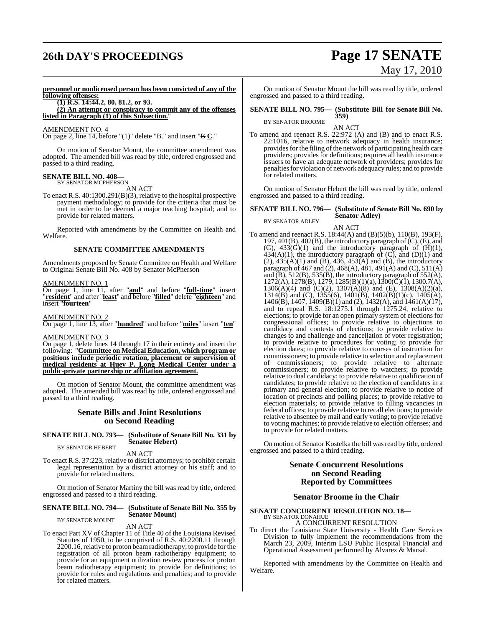# **26th DAY'S PROCEEDINGS Page 17 SENATE**

# May 17, 2010

**personnel or nonlicensed person has been convicted of any of the following offenses:**

**(1) R.S. 14:44.2, 80, 81.2, or 93.**

**(2) An attempt or conspiracy to commit any of the offenses listed in Paragraph (1) of this Subsection.**"

#### AMENDMENT NO. 4

On page 2, line 14, before "(1)" delete "B." and insert "B **C**."

On motion of Senator Mount, the committee amendment was adopted. The amended bill was read by title, ordered engrossed and passed to a third reading.

## **SENATE BILL NO. 408—**

BY SENATOR MCPHERSON AN ACT

To enact R.S. 40:1300.291(B)(3), relative to the hospital prospective payment methodology; to provide for the criteria that must be met in order to be deemed a major teaching hospital; and to provide for related matters.

Reported with amendments by the Committee on Health and Welfare.

#### **SENATE COMMITTEE AMENDMENTS**

Amendments proposed by Senate Committee on Health and Welfare to Original Senate Bill No. 408 by Senator McPherson

#### AMENDMENT NO. 1

On page 1, line 11, after "**and**" and before "**full-time**" insert "**resident**" and after "**least**" and before "**filled**" delete "**eighteen**" and insert "**fourteen**"

#### AMENDMENT NO. 2

On page 1, line 13, after "**hundred**" and before "**miles**" insert "**ten**"

### AMENDMENT NO. 3

On page 1, delete lines 14 through 17 in their entirety and insert the following: "**Committee on Medical Education, which program or positions include periodic rotation, placement or supervision of medical residents at Huey P. Long Medical Center under a public-private partnership or affiliation agreement.**

On motion of Senator Mount, the committee amendment was adopted. The amended bill was read by title, ordered engrossed and passed to a third reading.

#### **Senate Bills and Joint Resolutions on Second Reading**

#### **SENATE BILL NO. 793— (Substitute of Senate Bill No. 331 by Senator Hebert)** BY SENATOR HEBERT

AN ACT

To enact R.S. 37:223, relative to district attorneys; to prohibit certain legal representation by a district attorney or his staff; and to provide for related matters.

On motion of Senator Martiny the bill was read by title, ordered engrossed and passed to a third reading.

#### **SENATE BILL NO. 794— (Substitute of Senate Bill No. 355 by Senator Mount)** BY SENATOR MOUNT

AN ACT

To enact Part XV of Chapter 11 of Title 40 of the Louisiana Revised Statutes of 1950, to be comprised of R.S. 40:2200.11 through 2200.16, relative to proton beam radiotherapy; to provide for the registration of all proton beam radiotherapy equipment; to provide for an equipment utilization review process for proton beam radiotherapy equipment; to provide for definitions; to provide for rules and regulations and penalties; and to provide for related matters.

On motion of Senator Mount the bill was read by title, ordered engrossed and passed to a third reading.

#### **SENATE BILL NO. 795— (Substitute Bill for Senate Bill No. 359)**

BY SENATOR BROOME AN ACT

To amend and reenact R.S. 22:972 (A) and (B) and to enact R.S. 22:1016, relative to network adequacy in health insurance; provides for the filing of the network of participating health care providers; providesfor definitions; requires all health insurance issuers to have an adequate network of providers; provides for penaltiesfor violation of network adequacy rules; and to provide for related matters.

On motion of Senator Hebert the bill was read by title, ordered engrossed and passed to a third reading.

#### **SENATE BILL NO. 796— (Substitute of Senate Bill No. 690 by Senator Adley)** BY SENATOR ADLEY

AN ACT

To amend and reenact R.S. 18:44(A) and (B)(5)(b), 110(B), 193(F), 197, 401(B), 402(B), the introductory paragraph of(C), (E), and (G),  $433(G)(1)$  and the introductory paragraph of  $(H)(1)$ ,  $434(A)(1)$ , the introductory paragraph of  $(C)$ , and  $(D)(1)$  and  $(2)$ ,  $435(A)(1)$  and  $(B)$ ,  $436$ ,  $453(A)$  and  $(B)$ , the introductory paragraph of 467 and (2), 468(A), 481, 491(A) and (C), 511(A) and  $(B)$ , 512(B), 535(B), the introductory paragraph of 552(A),  $1272(\hat{A}), 1278(\hat{B}), 1279, 1285(\hat{B})$  $(1)(a), 1300(\check{C})(1), 1300.7(\check{A})),$  $1306(A)(4)$  and  $(C)(2)$ ,  $1307(A)(8)$  and  $(E)$ ,  $1308(A)(2)(a)$ , 1314(B) and (C), 1355(6), 1401(B), 1402(B)(1)(c), 1405(A), 1406(B), 1407, 1409(B)(1) and (2), 1432(A), and 1461(A)(17), and to repeal R.S. 18:1275.1 through 1275.24, relative to elections; to provide for an open primary system of elections for congressional offices; to provide relative to objections to candidacy and contests of elections; to provide relative to changes to and challenge and cancellation of voter registration; to provide relative to procedures for voting; to provide for election dates; to provide relative to courses of instruction for commissioners; to provide relative to selection and replacement of commissioners; to provide relative to alternate commissioners; to provide relative to watchers; to provide relative to dual candidacy; to provide relative to qualification of candidates; to provide relative to the election of candidates in a primary and general election; to provide relative to notice of location of precincts and polling places; to provide relative to election materials; to provide relative to filling vacancies in federal offices; to provide relative to recall elections; to provide relative to absentee by mail and early voting; to provide relative to voting machines; to provide relative to election offenses; and to provide for related matters.

On motion of Senator Kostelka the bill wasread by title, ordered engrossed and passed to a third reading.

#### **Senate Concurrent Resolutions on Second Reading Reported by Committees**

#### **Senator Broome in the Chair**

## **SENATE CONCURRENT RESOLUTION NO. 18—** BY SENATOR DONAHUE

A CONCURRENT RESOLUTION

To direct the Louisiana State University - Health Care Services Division to fully implement the recommendations from the March 23, 2009, Interim LSU Public Hospital Financial and Operational Assessment performed by Alvarez & Marsal.

Reported with amendments by the Committee on Health and Welfare.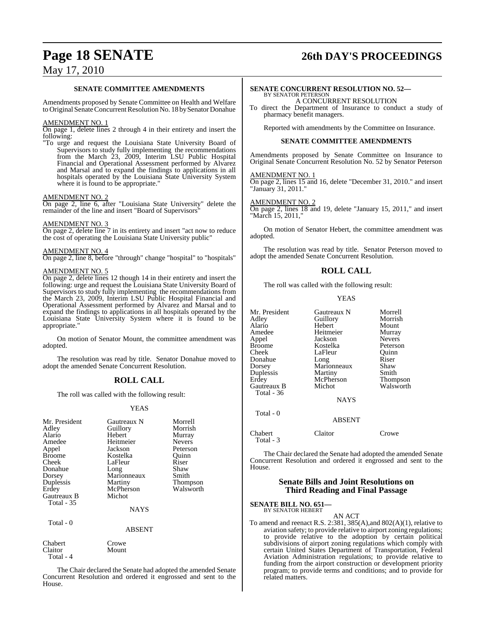## **Page 18 SENATE 26th DAY'S PROCEEDINGS**

## May 17, 2010

#### **SENATE COMMITTEE AMENDMENTS**

Amendments proposed by Senate Committee on Health and Welfare to Original Senate Concurrent Resolution No. 18 by Senator Donahue

#### AMENDMENT NO. 1

On page 1, delete lines 2 through 4 in their entirety and insert the following:

"To urge and request the Louisiana State University Board of Supervisors to study fully implementing the recommendations from the March 23, 2009, Interim LSU Public Hospital Financial and Operational Assessment performed by Alvarez and Marsal and to expand the findings to applications in all hospitals operated by the Louisiana State University System where it is found to be appropriate."

#### AMENDMENT NO. 2

On page 2, line 6, after "Louisiana State University" delete the remainder of the line and insert "Board of Supervisors"

#### AMENDMENT NO. 3

On page 2, delete line 7 in its entirety and insert "act now to reduce the cost of operating the Louisiana State University public"

#### AMENDMENT NO. 4

On page 2, line 8, before "through" change "hospital" to "hospitals"

#### AMENDMENT NO. 5

On page 2, delete lines 12 though 14 in their entirety and insert the following: urge and request the Louisiana State University Board of Supervisors to study fully implementing the recommendations from the March 23, 2009, Interim LSU Public Hospital Financial and Operational Assessment performed by Alvarez and Marsal and to expand the findings to applications in all hospitals operated by the Louisiana State University System where it is found to be appropriate.

On motion of Senator Mount, the committee amendment was adopted.

The resolution was read by title. Senator Donahue moved to adopt the amended Senate Concurrent Resolution.

### **ROLL CALL**

The roll was called with the following result:

#### YEAS

| Mr. President<br>Adley<br>Alario<br>Amedee<br>Appel<br><b>Broome</b><br>Cheek<br>Donahue<br>Dorsey<br>Duplessis<br>Erdey<br><b>Gautreaux B</b><br><b>Total</b> - 35 | Gautreaux N<br>Guillory<br>Hebert<br>Heitmeier<br>Jackson<br>Kostelka<br>LaFleur<br>Long<br>Marionneaux<br>Martiny<br>McPherson<br>Michot<br><b>NAYS</b> | Morrell<br>Morrish<br>Murray<br><b>Nevers</b><br>Peterson<br>Ouinn<br>Riser<br>Shaw<br>Smith<br><b>Thompson</b><br>Walsworth |
|---------------------------------------------------------------------------------------------------------------------------------------------------------------------|----------------------------------------------------------------------------------------------------------------------------------------------------------|------------------------------------------------------------------------------------------------------------------------------|
| Total $-0$                                                                                                                                                          | <b>ABSENT</b>                                                                                                                                            |                                                                                                                              |
| Chabert                                                                                                                                                             | Crowe                                                                                                                                                    |                                                                                                                              |

Claitor Mount Total - 4

The Chair declared the Senate had adopted the amended Senate Concurrent Resolution and ordered it engrossed and sent to the House.

#### **SENATE CONCURRENT RESOLUTION NO. 52—** BY SENATOR PETERSON

A CONCURRENT RESOLUTION

To direct the Department of Insurance to conduct a study of pharmacy benefit managers.

Reported with amendments by the Committee on Insurance.

#### **SENATE COMMITTEE AMENDMENTS**

Amendments proposed by Senate Committee on Insurance to Original Senate Concurrent Resolution No. 52 by Senator Peterson

#### AMENDMENT NO. 1

On page 2, lines 15 and 16, delete "December 31, 2010." and insert "January 31, 2011."

#### AMENDMENT NO. 2

On page 2, lines 18 and 19, delete "January 15, 2011," and insert "March 15, 2011,"

On motion of Senator Hebert, the committee amendment was adopted.

The resolution was read by title. Senator Peterson moved to adopt the amended Senate Concurrent Resolution.

### **ROLL CALL**

The roll was called with the following result:

#### YEAS

| Mr. President | Gautreaux N   | Morrell       |
|---------------|---------------|---------------|
| Adley         | Guillory      | Morrish       |
| Alario        | Hebert        | Mount         |
| Amedee        | Heitmeier     | Murray        |
| Appel         | Jackson       | <b>Nevers</b> |
| <b>Broome</b> | Kostelka      | Peterson      |
| Cheek         | LaFleur       | Ouinn         |
| Donahue       | Long          | Riser         |
| Dorsey        | Marionneaux   | Shaw          |
| Duplessis     | Martiny       | Smith         |
| Erdey         | McPherson     | Thompson      |
| Gautreaux B   | Michot        | Walsworth     |
| Total - 36    |               |               |
|               | <b>NAYS</b>   |               |
| Total - 0     |               |               |
|               | <b>ABSENT</b> |               |
| Chabert       | Claitor       | Prowe         |

The Chair declared the Senate had adopted the amended Senate Concurrent Resolution and ordered it engrossed and sent to the House.

#### **Senate Bills and Joint Resolutions on Third Reading and Final Passage**

## **SENATE BILL NO. 651—** BY SENATOR HEBERT

Total - 3

AN ACT To amend and reenact R.S. 2:381, 385(A),and 802(A)(1), relative to aviation safety; to provide relative to airport zoning regulations; to provide relative to the adoption by certain political subdivisions of airport zoning regulations which comply with certain United States Department of Transportation, Federal Aviation Administration regulations; to provide relative to funding from the airport construction or development priority program; to provide terms and conditions; and to provide for related matters.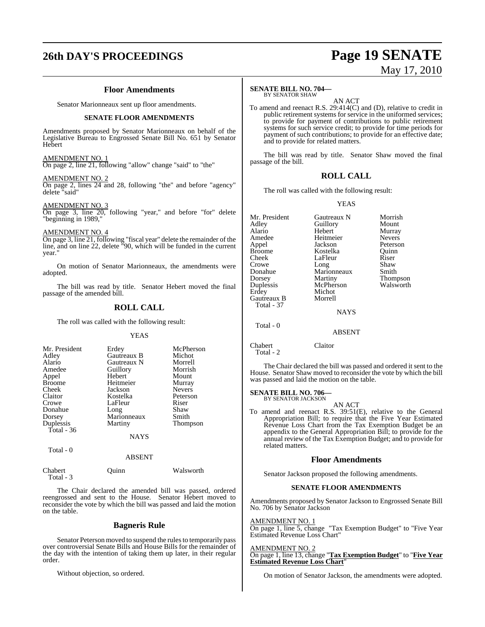# **26th DAY'S PROCEEDINGS Page 19 SENATE**

#### **Floor Amendments**

Senator Marionneaux sent up floor amendments.

#### **SENATE FLOOR AMENDMENTS**

Amendments proposed by Senator Marionneaux on behalf of the Legislative Bureau to Engrossed Senate Bill No. 651 by Senator Hebert

#### AMENDMENT NO. 1

On page 2, line 21, following "allow" change "said" to "the"

#### AMENDMENT NO. 2

On page 2, lines 24 and 28, following "the" and before "agency" delete "said"

#### AMENDMENT NO. 3

On page 3, line 20, following "year," and before "for" delete "beginning in 1989,"

#### AMENDMENT NO. 4

On page 3, line 21, following "fiscal year" delete the remainder of the line, and on line 22, delete "90, which will be funded in the current year.

On motion of Senator Marionneaux, the amendments were adopted.

The bill was read by title. Senator Hebert moved the final passage of the amended bill.

## **ROLL CALL**

The roll was called with the following result:

#### **YEAS**

| Mr. President | Erdey       | McPherson       |
|---------------|-------------|-----------------|
| Adley         | Gautreaux B | Michot          |
| Alario        | Gautreaux N | Morrell         |
| Amedee        | Guillory    | Morrish         |
| Appel         | Hebert      | Mount           |
| <b>Broome</b> | Heitmeier   | Murray          |
| Cheek         | Jackson     | <b>Nevers</b>   |
| Claitor       | Kostelka    | Peterson        |
| Crowe         | LaFleur     | Riser           |
| Donahue       | Long        | Shaw            |
| Dorsey        | Marionneaux | Smith           |
| Duplessis     | Martiny     | <b>Thompson</b> |
| Total - 36    |             |                 |
|               | NAYS        |                 |

Total - 0

ABSENT

#### Chabert Quinn Walsworth Total - 3

The Chair declared the amended bill was passed, ordered reengrossed and sent to the House. Senator Hebert moved to reconsider the vote by which the bill was passed and laid the motion on the table.

#### **Bagneris Rule**

Senator Peterson moved to suspend the rules to temporarily pass over controversial Senate Bills and House Bills for the remainder of the day with the intention of taking them up later, in their regular order.

Without objection, so ordered.

# May 17, 2010

#### **SENATE BILL NO. 704—**

BY SENATOR SHAW

AN ACT To amend and reenact R.S. 29:414(C) and (D), relative to credit in public retirement systems for service in the uniformed services; to provide for payment of contributions to public retirement systems for such service credit; to provide for time periods for payment of such contributions; to provide for an effective date; and to provide for related matters.

The bill was read by title. Senator Shaw moved the final passage of the bill.

#### **ROLL CALL**

The roll was called with the following result:

#### YEAS

| Mr. President | Gautreaux N | Morrish         |
|---------------|-------------|-----------------|
| Adley         | Guillory    | Mount           |
| Alario        | Hebert      | Murray          |
| Amedee        | Heitmeier   | <b>Nevers</b>   |
| Appel         | Jackson     | Peterson        |
| Broome        | Kostelka    | Quinn           |
| Cheek         | LaFleur     | Riser           |
| Crowe         | Long        | Shaw            |
| Donahue       | Marionneaux | Smith           |
| Dorsey        | Martiny     | <b>Thompson</b> |
| Duplessis     | McPherson   | Walsworth       |
| Erdey         | Michot      |                 |
| Gautreaux B   | Morrell     |                 |
| Total - 37    |             |                 |
|               | <b>NAYS</b> |                 |
| Total - 0     |             |                 |
|               | ABSENT      |                 |

Chabert Claitor Total - 2

The Chair declared the bill was passed and ordered it sent to the House. Senator Shaw moved to reconsider the vote by which the bill was passed and laid the motion on the table.

#### **SENATE BILL NO. 706—** BY SENATOR JACKSON

AN ACT

To amend and reenact R.S. 39:51(E), relative to the General Appropriation Bill; to require that the Five Year Estimated Revenue Loss Chart from the Tax Exemption Budget be an appendix to the General Appropriation Bill; to provide for the annual review of the Tax Exemption Budget; and to provide for related matters.

#### **Floor Amendments**

Senator Jackson proposed the following amendments.

#### **SENATE FLOOR AMENDMENTS**

Amendments proposed by Senator Jackson to Engrossed Senate Bill No. 706 by Senator Jackson

#### AMENDMENT NO. 1

On page 1, line 5, change "Tax Exemption Budget" to "Five Year Estimated Revenue Loss Chart"

AMENDMENT NO. 2 On page 1, line 13, change "**Tax Exemption Budget**" to "**Five Year Estimated Revenue Loss Chart**"

On motion of Senator Jackson, the amendments were adopted.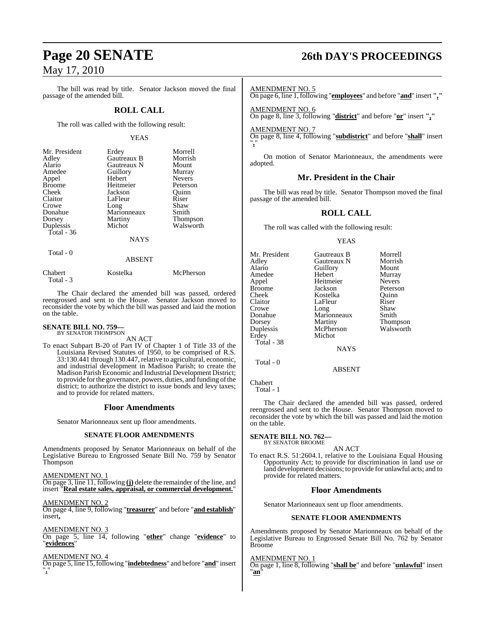The bill was read by title. Senator Jackson moved the final passage of the amended bill.

#### **ROLL CALL**

The roll was called with the following result:

#### YEAS

| Mr. President | Erdey         | Morrell       |
|---------------|---------------|---------------|
| Adley         | Gautreaux B   | Morrish       |
| Alario        | Gautreaux N   | Mount         |
| Amedee        | Guillory      | Murray        |
| Appel         | Hebert        | <b>Nevers</b> |
| <b>Broome</b> | Heitmeier     | Peterson      |
| Cheek         | Jackson       | Ouinn         |
| Claitor       | LaFleur       | Riser         |
| Crowe         | Long          | Shaw          |
| Donahue       | Marionneaux   | Smith         |
| Dorsey        | Martiny       | Thompson      |
| Duplessis     | Michot        | Walsworth     |
| Total - $36$  |               |               |
|               | <b>NAYS</b>   |               |
| Total - 0     |               |               |
|               | <b>ABSENT</b> |               |

| Chabert   | Kostelka | McPherson |
|-----------|----------|-----------|
| Total - 3 |          |           |

The Chair declared the amended bill was passed, ordered reengrossed and sent to the House. Senator Jackson moved to reconsider the vote by which the bill was passed and laid the motion on the table.

## **SENATE BILL NO. 759—** BY SENATOR THOMPSON

AN ACT

To enact Subpart B-20 of Part IV of Chapter 1 of Title 33 of the Louisiana Revised Statutes of 1950, to be comprised of R.S. 33:130.441 through 130.447, relative to agricultural, economic, and industrial development in Madison Parish; to create the Madison Parish Economic and Industrial Development District; to provide for the governance, powers, duties, and funding of the district; to authorize the district to issue bonds and levy taxes; and to provide for related matters.

#### **Floor Amendments**

Senator Marionneaux sent up floor amendments.

#### **SENATE FLOOR AMENDMENTS**

Amendments proposed by Senator Marionneaux on behalf of the Legislative Bureau to Engrossed Senate Bill No. 759 by Senator Thompson

AMENDMENT NO. 1

On page 3, line 11, following **(j)** delete the remainder of the line, and insert "**Real estate sales, appraisal, or commercial development.**"

#### AMENDMENT NO. 2

On page 4, line 9, following "**treasurer**" and before "**and establish**" insert**,**

#### AMENDMENT NO. 3

On page 5, line 14, following "**other**" change "**evidence**" to "**evidences**"

#### AMENDMENT NO. 4

On page 5, line 15,following "**indebtedness**" and before "**and**" insert "**,**"

## **Page 20 SENATE 26th DAY'S PROCEEDINGS**

#### AMENDMENT NO. 5

On page 6, line 1,following "**employees**" and before "**and**" insert **","**

AMENDMENT NO. 6 On page 8, line 3, following "**district**" and before "**or**" insert **","**

#### AMENDMENT NO. 7

On page 8, line 4, following "**subdistrict**" and before "**shall**" insert "**,**"

On motion of Senator Marionneaux, the amendments were adopted.

#### **Mr. President in the Chair**

The bill was read by title. Senator Thompson moved the final passage of the amended bill.

#### **ROLL CALL**

The roll was called with the following result:

#### **YEAS**

| Mr. President | Gautreaux B | Morrell       |
|---------------|-------------|---------------|
| Adley         | Gautreaux N | Morrish       |
| Alario        | Guillory    | Mount         |
| Amedee        | Hebert      | Murray        |
| Appel         | Heitmeier   | <b>Nevers</b> |
| <b>Broome</b> | Jackson     | Peterson      |
| Cheek         | Kostelka    | Ouinn         |
| Claitor       | LaFleur     | Riser         |
| Crowe         | Long        | Shaw          |
| Donahue       | Marionneaux | Smith         |
| Dorsey        | Martiny     | Thompson      |
| Duplessis     | McPherson   | Walsworth     |
| Erdey         | Michot      |               |
| Total - 38    |             |               |
|               | <b>NAYS</b> |               |
|               |             |               |

ABSENT

Chabert

Total - 0

Total - 1

The Chair declared the amended bill was passed, ordered reengrossed and sent to the House. Senator Thompson moved to reconsider the vote by which the bill was passed and laid the motion on the table.

#### **SENATE BILL NO. 762—** BY SENATOR BROOME

AN ACT

To enact R.S. 51:2604.1, relative to the Louisiana Equal Housing Opportunity Act; to provide for discrimination in land use or land development decisions; to provide for unlawful acts; and to provide for related matters.

### **Floor Amendments**

Senator Marionneaux sent up floor amendments.

#### **SENATE FLOOR AMENDMENTS**

Amendments proposed by Senator Marionneaux on behalf of the Legislative Bureau to Engrossed Senate Bill No. 762 by Senator Broome

#### AMENDMENT NO. 1

On page 1, line 8, following "**shall be**" and before "**unlawful**" insert "**an**"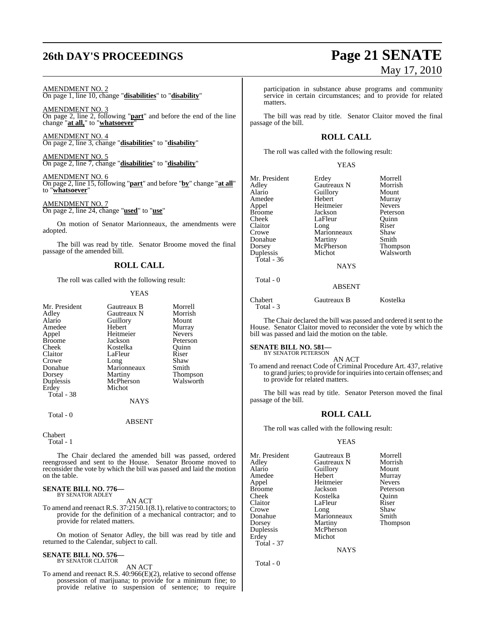AMENDMENT NO. 2 On page 1, line 10, change "**disabilities**" to "**disability**"

AMENDMENT NO. 3 On page 2, line 2, following "**part**" and before the end of the line change "**at all,**" to "**whatsoever**"

AMENDMENT NO. 4 On page 2, line 3, change "**disabilities**" to "**disability**"

AMENDMENT NO. 5 On page 2, line 7, change "**disabilities**" to "**disability**"

AMENDMENT NO. 6 On page 2, line 15, following "**part**" and before "**by**" change "**at all**" to "**whatsoever**"

AMENDMENT NO. 7 On page 2, line 24, change "**used**" to "**use**"

On motion of Senator Marionneaux, the amendments were adopted.

The bill was read by title. Senator Broome moved the final passage of the amended bill.

#### **ROLL CALL**

The roll was called with the following result:

#### YEAS

| Mr. President | Gautreaux B | Morrell         |
|---------------|-------------|-----------------|
| Adley         | Gautreaux N | Morrish         |
| Alario        | Guillory    | Mount           |
| Amedee        | Hebert      | Murray          |
| Appel         | Heitmeier   | <b>Nevers</b>   |
| <b>Broome</b> | Jackson     | Peterson        |
| Cheek         | Kostelka    | Ouinn           |
| Claitor       | LaFleur     | Riser           |
| Crowe         | Long        | Shaw            |
| Donahue       | Marionneaux | Smith           |
| Dorsey        | Martiny     | <b>Thompson</b> |
| Duplessis     | McPherson   | Walsworth       |
| Erdey         | Michot      |                 |
| Total - 38    |             |                 |
|               | <b>NAYS</b> |                 |
| Total - 0     |             |                 |

ABSENT

Chabert

Total - 1

The Chair declared the amended bill was passed, ordered reengrossed and sent to the House. Senator Broome moved to reconsider the vote by which the bill was passed and laid the motion on the table.

#### **SENATE BILL NO. 776—** BY SENATOR ADLEY

AN ACT

To amend and reenact R.S. 37:2150.1(8.1), relative to contractors; to provide for the definition of a mechanical contractor; and to provide for related matters.

On motion of Senator Adley, the bill was read by title and returned to the Calendar, subject to call.

## **SENATE BILL NO. 576—** BY SENATOR CLAITOR

AN ACT

To amend and reenact R.S. 40:966(E)(2), relative to second offense possession of marijuana; to provide for a minimum fine; to provide relative to suspension of sentence; to require

# **26th DAY'S PROCEEDINGS Page 21 SENATE** May 17, 2010

participation in substance abuse programs and community service in certain circumstances; and to provide for related matters.

The bill was read by title. Senator Claitor moved the final passage of the bill.

### **ROLL CALL**

The roll was called with the following result:

#### YEAS

| Mr. President | Erdey         | Morrell       |
|---------------|---------------|---------------|
| Adley         | Gautreaux N   | Morrish       |
| Alario        | Guillory      | Mount         |
| Amedee        | Hebert        | Murray        |
| Appel         | Heitmeier     | <b>Nevers</b> |
| Broome        | Jackson       | Peterson      |
| Cheek         | LaFleur       | Ouinn         |
| Claitor       | Long          | Riser         |
| Crowe         | Marionneaux   | Shaw          |
| Donahue       | Martiny       | Smith         |
| Dorsey        | McPherson     | Thompson      |
| Duplessis     | Michot        | Walsworth     |
| Total - 36    |               |               |
|               | <b>NAYS</b>   |               |
| Total - 0     |               |               |
|               | <b>ABSENT</b> |               |
|               |               |               |

Chabert Gautreaux B Kostelka Total - 3

The Chair declared the bill was passed and ordered it sent to the House. Senator Claitor moved to reconsider the vote by which the bill was passed and laid the motion on the table.

#### **SENATE BILL NO. 581—**

BY SENATOR PETERSON AN ACT

To amend and reenact Code of Criminal Procedure Art. 437, relative to grand juries; to provide forinquiriesinto certain offenses; and to provide for related matters.

The bill was read by title. Senator Peterson moved the final passage of the bill.

#### **ROLL CALL**

The roll was called with the following result:

#### YEAS

| Mr. President | Gautreaux B | Morrell       |
|---------------|-------------|---------------|
| Adley         | Gautreaux N | Morrish       |
| Alario        | Guillory    | Mount         |
| Amedee        | Hebert      | Murray        |
| Appel         | Heitmeier   | <b>Nevers</b> |
| <b>Broome</b> | Jackson     | Peterson      |
| Cheek         | Kostelka    | Ouinn         |
| Claitor       | LaFleur     | Riser         |
| Crowe         | Long        | Shaw          |
| Donahue       | Marionneaux | Smith         |
| Dorsey        | Martiny     | Thompson      |
| Duplessis     | McPherson   |               |
| Erdey         | Michot      |               |
| Total - 37    |             |               |

**NAYS** 

Total - 0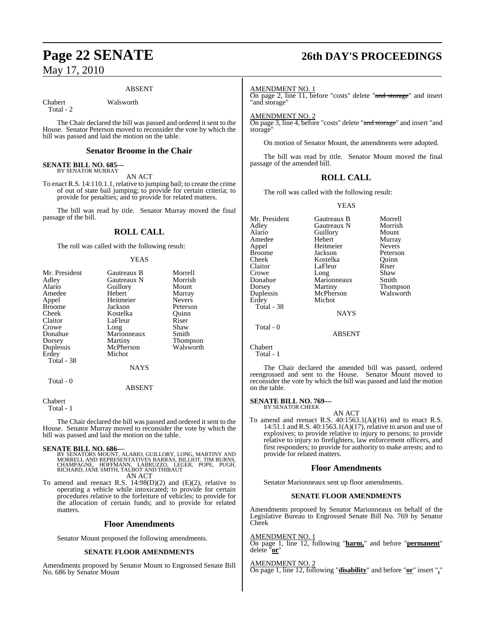#### ABSENT

Chabert Walsworth

Total - 2

The Chair declared the bill was passed and ordered it sent to the House. Senator Peterson moved to reconsider the vote by which the bill was passed and laid the motion on the table.

#### **Senator Broome in the Chair**

#### **SENATE BILL NO. 685—** BY SENATOR MURRAY

AN ACT

To enact R.S. 14:110.1.1, relative to jumping bail; to create the crime of out of state bail jumping; to provide for certain criteria; to provide for penalties; and to provide for related matters.

The bill was read by title. Senator Murray moved the final passage of the bill.

## **ROLL CALL**

The roll was called with the following result:

#### YEAS

| Mr. President | Gautreaux B   | Morrell         |
|---------------|---------------|-----------------|
| Adley         | Gautreaux N   | Morrish         |
| Alario        | Guillory      | Mount           |
| Amedee        | Hebert        | Murray          |
| Appel         | Heitmeier     | <b>Nevers</b>   |
| <b>Broome</b> | Jackson       | Peterson        |
| Cheek         | Kostelka      | Ouinn           |
| Claitor       | LaFleur       | Riser           |
| Crowe         | Long          | Shaw            |
| Donahue       | Marionneaux   | Smith           |
| Dorsey        | Martiny       | <b>Thompson</b> |
| Duplessis     | McPherson     | Walsworth       |
| Erdey         | Michot        |                 |
| Total - 38    |               |                 |
|               | NAYS          |                 |
| Total - 0     |               |                 |
|               | <b>ABSENT</b> |                 |

Chabert

Total - 1

The Chair declared the bill was passed and ordered it sent to the House. Senator Murray moved to reconsider the vote by which the bill was passed and laid the motion on the table.

#### **SENATE BILL NO. 686—**

- BY SENATORS MOUNT, ALARIO, GUILLORY, LONG, MARTINY AND<br>MORRELL AND REPRESENTATIVES BARRAS, BILLIOT, TIM BURNS,<br>CHAMPAGNE, HOFFMANN, LABRUZZO, LEGER, POPE, PUGH,<br>RICHARD, JANE SMITH, TALBOT AND THIBAUT AN ACT
- To amend and reenact R.S. 14:98(D)(2) and (E)(2), relative to operating a vehicle while intoxicated; to provide for certain procedures relative to the forfeiture of vehicles; to provide for the allocation of certain funds; and to provide for related matters.

#### **Floor Amendments**

Senator Mount proposed the following amendments.

#### **SENATE FLOOR AMENDMENTS**

Amendments proposed by Senator Mount to Engrossed Senate Bill No. 686 by Senator Mount

## **Page 22 SENATE 26th DAY'S PROCEEDINGS**

#### AMENDMENT NO. 1

On page 2, line 11, before "costs" delete "and storage" and insert "and storage"

AMENDMENT NO. 2

On page 3, line 4, before "costs" delete "and storage" and insert "and storage

On motion of Senator Mount, the amendments were adopted.

The bill was read by title. Senator Mount moved the final passage of the amended bill.

#### **ROLL CALL**

The roll was called with the following result:

#### YEAS

Mr. President Gautreaux B Morrell<br>Adley Gautreaux N Morrish Adley Gautreaux N Morrish<br>Alario Guillory Mount **Guillory** Amedee Hebert Murray<br>
Appel Heitmeier Nevers Appel Heitmeier<br>Broome Jackson Broome Jackson Peterson<br>Cheek Kostelka Ouinn Cheek Kostelka Quinn Claitor LaFleur Riser<br>Crowe Long Shaw Crowe Long Shaw<br>Donahue Marionneaux Smith Donahue Marionneaux<br>Dorsey Martiny Dorsey Martiny Thompson<br>
Duplessis McPherson Walsworth Duplessis McPherson<br>Erdey Michot Michot Total - 38 NAYS Total - 0 ABSENT

Chabert

Total - 1

The Chair declared the amended bill was passed, ordered reengrossed and sent to the House. Senator Mount moved to reconsider the vote by which the bill was passed and laid the motion on the table.

#### **SENATE BILL NO. 769—** BY SENATOR CHEEK

AN ACT To amend and reenact R.S. 40:1563.1(A)(16) and to enact R.S. 14:51.1 and R.S.  $40:1563.1(A)(17)$ , relative to arson and use of explosives; to provide relative to injury to persons; to provide relative to injury to firefighters, law enforcement officers, and first responders; to provide for authority to make arrests; and to provide for related matters.

#### **Floor Amendments**

Senator Marionneaux sent up floor amendments.

#### **SENATE FLOOR AMENDMENTS**

Amendments proposed by Senator Marionneaux on behalf of the Legislative Bureau to Engrossed Senate Bill No. 769 by Senator Cheek

AMENDMENT NO. 1

On page 1, line 12, following "**harm,**" and before "**permanent**" delete "**or**"

AMENDMENT NO. 2

On page 1, line 12, following "**disability**" and before "**or**" insert "**,**"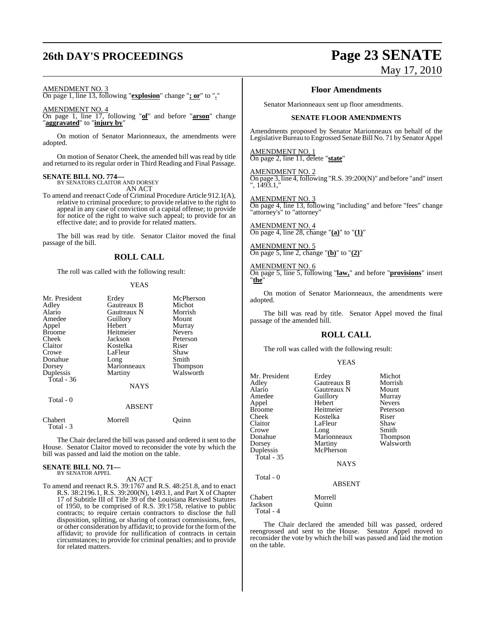## **26th DAY'S PROCEEDINGS Page 23 SENATE**

#### AMENDMENT NO. 3

On page 1, line 13, following "**explosion**" change "**; or**" to "**.**"

#### AMENDMENT NO. 4

On page 1, line 17, following "**of**" and before "**arson**" change "**aggravated**" to "**injury by**"

On motion of Senator Marionneaux, the amendments were adopted.

On motion of Senator Cheek, the amended bill was read by title and returned to its regular order in Third Reading and Final Passage.

#### **SENATE BILL NO. 774—**

BY SENATORS CLAITOR AND DORSEY AN ACT

To amend and reenact Code of Criminal Procedure Article 912.1(A), relative to criminal procedure; to provide relative to the right to appeal in any case of conviction of a capital offense; to provide for notice of the right to waive such appeal; to provide for an effective date; and to provide for related matters.

The bill was read by title. Senator Claitor moved the final passage of the bill.

#### **ROLL CALL**

The roll was called with the following result:

#### **YEAS**

| Mr. President<br>Adley<br>Alario<br>Amedee<br>Appel<br>Broome<br>Cheek<br>Claitor<br>Crowe<br>Donahue<br>Dorsey | Erdey<br>Gautreaux B<br>Gautreaux N<br>Guillory<br>Hebert<br>Heitmeier<br>Jackson<br>Kostelka<br>LaFleur<br>Long<br>Marionneaux | McPherson<br>Michot<br>Morrish<br>Mount<br>Murray<br><b>Nevers</b><br>Peterson<br>Riser<br>Shaw<br>Smith |
|-----------------------------------------------------------------------------------------------------------------|---------------------------------------------------------------------------------------------------------------------------------|----------------------------------------------------------------------------------------------------------|
| Duplessis<br>Total - 36<br>Total - 0                                                                            | Martiny<br><b>NAYS</b><br><b>ABSENT</b>                                                                                         | Thompson<br>Walsworth                                                                                    |
| Chabert                                                                                                         | Morrell                                                                                                                         | Ouinn                                                                                                    |

Total - 3

The Chair declared the bill was passed and ordered it sent to the House. Senator Claitor moved to reconsider the vote by which the bill was passed and laid the motion on the table.

#### **SENATE BILL NO. 71—** BY SENATOR APPEL

AN ACT

To amend and reenact R.S. 39:1767 and R.S. 48:251.8, and to enact R.S. 38:2196.1, R.S. 39:200(N), 1493.1, and Part X of Chapter 17 of Subtitle III of Title 39 of the Louisiana Revised Statutes of 1950, to be comprised of R.S. 39:1758, relative to public contracts; to require certain contractors to disclose the full disposition, splitting, or sharing of contract commissions, fees, or other consideration by affidavit; to provide for the formofthe affidavit; to provide for nullification of contracts in certain circumstances; to provide for criminal penalties; and to provide for related matters.

# May 17, 2010

#### **Floor Amendments**

Senator Marionneaux sent up floor amendments.

#### **SENATE FLOOR AMENDMENTS**

Amendments proposed by Senator Marionneaux on behalf of the Legislative Bureau to Engrossed Senate Bill No. 71 by Senator Appel

#### AMENDMENT NO. 1

On page 2, line 11, delete "**state**"

#### AMENDMENT NO. 2

On page 3, line 4, following "R.S. 39:200(N)" and before "and" insert ", 1493.1,"

AMENDMENT NO. 3 On page 4, line 13, following "including" and before "fees" change "attorney's" to "attorney"

#### AMENDMENT NO. 4 On page 4, line 28, change "**(a)**" to "**(1)**"

AMENDMENT NO. 5 On page 5, line 2, change "**(b)**" to "**(2)**"

#### AMENDMENT NO. 6

On page 5, line 5, following "**law,**" and before "**provisions**" insert "**the**"

On motion of Senator Marionneaux, the amendments were adopted.

The bill was read by title. Senator Appel moved the final passage of the amended bill.

#### **ROLL CALL**

The roll was called with the following result:

#### YEAS

| Mr. President | Erdey       | Michot        |
|---------------|-------------|---------------|
| Adley         | Gautreaux B | Morrish       |
| Alario        | Gautreaux N | Mount         |
| Amedee        | Guillory    | Murray        |
| Appel         | Hebert      | <b>Nevers</b> |
| <b>Broome</b> | Heitmeier   | Peterson      |
| Cheek         | Kostelka    | Riser         |
| Claitor       | LaFleur     | Shaw          |
| Crowe         | Long        | Smith         |
| Donahue       | Marionneaux | Thompson      |
| Dorsey        | Martiny     | Walsworth     |
| Duplessis     | McPherson   |               |
| Total - 35    |             |               |
|               | <b>NAYS</b> |               |
| Total - 0     |             |               |
|               | ABSENT      |               |
| Chabert       | Morrell     |               |
| Jackson       | Ouinn       |               |
| Total - 4     |             |               |

The Chair declared the amended bill was passed, ordered reengrossed and sent to the House. Senator Appel moved to reconsider the vote by which the bill was passed and laid the motion on the table.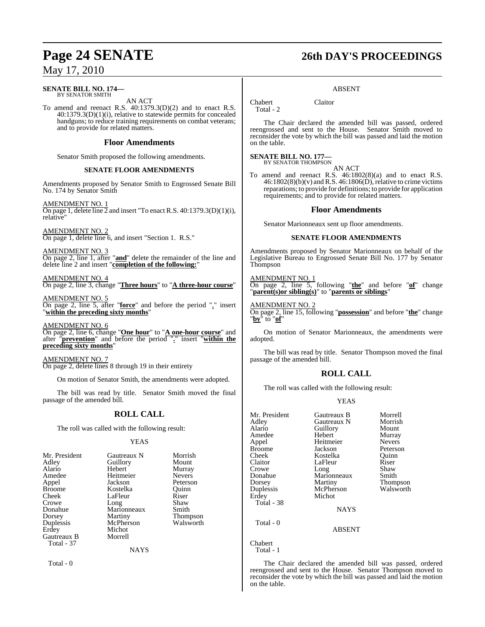#### **SENATE BILL NO. 174—** BY SENATOR SMITH

AN ACT

To amend and reenact R.S. 40:1379.3(D)(2) and to enact R.S. 40:1379.3(D)(1)(i), relative to statewide permits for concealed handguns; to reduce training requirements on combat veterans; and to provide for related matters.

#### **Floor Amendments**

Senator Smith proposed the following amendments.

#### **SENATE FLOOR AMENDMENTS**

Amendments proposed by Senator Smith to Engrossed Senate Bill No. 174 by Senator Smith

AMENDMENT NO. 1 On page 1, delete line  $\overline{2}$  and insert "To enact R.S. 40:1379.3(D)(1)(i), relative"

AMENDMENT NO. 2 On page 1, delete line 6, and insert "Section 1. R.S."

AMENDMENT NO. 3 On page 2, line 1, after "**and**" delete the remainder of the line and delete line 2 and insert "**completion of the following:**"

AMENDMENT NO. 4 On page 2, line 3, change "**Three hours**" to "**A three-hour course**"

AMENDMENT NO. 5 On page 2, line 5, after "**force**" and before the period "," insert "**within the preceding sixty months**"

AMENDMENT NO. 6 On page 2, line 6, change "**One hour**" to "**A one-hour course**" and after "**prevention**" and before the period "**.**" insert "**within the preceding sixty months**"

AMENDMENT NO. 7 On page 2, delete lines 8 through 19 in their entirety

On motion of Senator Smith, the amendments were adopted.

The bill was read by title. Senator Smith moved the final passage of the amended bill.

## **ROLL CALL**

The roll was called with the following result:

#### YEAS

|             | Morrish                 |
|-------------|-------------------------|
|             | Mount                   |
| Hebert      | Murray                  |
| Heitmeier   | <b>Nevers</b>           |
| Jackson     | Peterson                |
| Kostelka    | Ouinn                   |
| LaFleur     | Riser                   |
| Long        | Shaw                    |
| Marionneaux | Smith                   |
| Martiny     | <b>Thompson</b>         |
| McPherson   | Walsworth               |
| Michot      |                         |
| Morrell     |                         |
|             |                         |
| <b>NAYS</b> |                         |
|             | Gautreaux N<br>Guillory |

Total - 0

## **Page 24 SENATE 26th DAY'S PROCEEDINGS**

#### ABSENT

Total - 2

The Chair declared the amended bill was passed, ordered reengrossed and sent to the House. Senator Smith moved to reconsider the vote by which the bill was passed and laid the motion on the table.

#### **SENATE BILL NO. 177—**

BY SENATOR THOMPSON

AN ACT To amend and reenact R.S. 46:1802(8)(a) and to enact R.S.

 $46:1802(8)(b)(v)$  and R.S.  $46:1806(D)$ , relative to crime victims reparations; to provide for definitions; to provide for application requirements; and to provide for related matters.

#### **Floor Amendments**

Senator Marionneaux sent up floor amendments.

#### **SENATE FLOOR AMENDMENTS**

Amendments proposed by Senator Marionneaux on behalf of the Legislative Bureau to Engrossed Senate Bill No. 177 by Senator Thompson

#### AMENDMENT NO. 1

On page 2, line 5, following "**the**" and before "**of**" change "**parent(s)or sibling(s)**" to "**parents or siblings**"

#### AMENDMENT NO. 2

On page 2, line 15, following "**possession**" and before "**the**" change "**by**" to "**of**"

On motion of Senator Marionneaux, the amendments were adopted.

The bill was read by title. Senator Thompson moved the final passage of the amended bill.

## **ROLL CALL**

The roll was called with the following result:

#### YEAS

| Mr. President<br>Adley<br>Alario<br>Amedee<br>Appel<br><b>Broome</b><br>Cheek<br>Claitor<br>Crowe<br>Donahue<br>Dorsey<br>Duplessis<br>Erdey<br>Total - 38 | Gautreaux B<br>Gautreaux N<br>Guillory<br>Hebert<br>Heitmeier<br>Jackson<br>Kostelka<br>LaFleur<br>Long<br>Marionneaux<br>Martiny<br>McPherson<br>Michot<br><b>NAYS</b> | Morrell<br>Morrish<br>Mount<br>Murray<br><b>Nevers</b><br>Peterson<br>Ouinn<br>Riser<br>Shaw<br>Smith<br>Thompson<br>Walsworth |
|------------------------------------------------------------------------------------------------------------------------------------------------------------|-------------------------------------------------------------------------------------------------------------------------------------------------------------------------|--------------------------------------------------------------------------------------------------------------------------------|
|                                                                                                                                                            |                                                                                                                                                                         |                                                                                                                                |
| Total $-0$                                                                                                                                                 | <b>ABSENT</b>                                                                                                                                                           |                                                                                                                                |
| Chabert                                                                                                                                                    |                                                                                                                                                                         |                                                                                                                                |

Total - 1

The Chair declared the amended bill was passed, ordered reengrossed and sent to the House. Senator Thompson moved to reconsider the vote by which the bill was passed and laid the motion on the table.

Chabert Claitor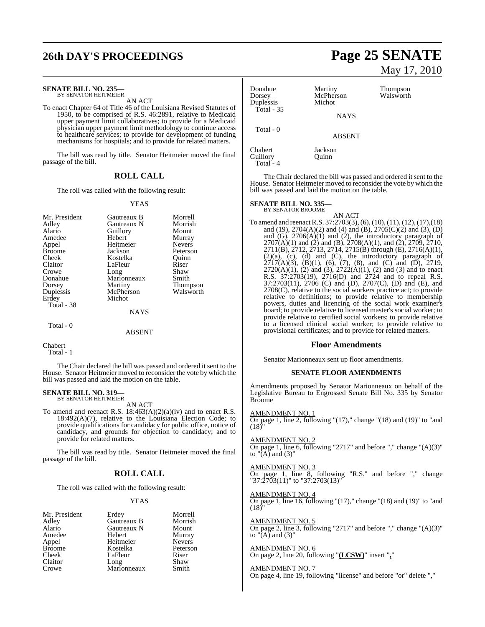## **26th DAY'S PROCEEDINGS Page 25 SENATE**

#### **SENATE BILL NO. 235—**

BY SENATOR HEITMEIER AN ACT

To enact Chapter 64 of Title 46 of the Louisiana Revised Statutes of 1950, to be comprised of R.S. 46:2891, relative to Medicaid upper payment limit collaboratives; to provide for a Medicaid physician upper payment limit methodology to continue access to healthcare services; to provide for development of funding mechanisms for hospitals; and to provide for related matters.

The bill was read by title. Senator Heitmeier moved the final passage of the bill.

#### **ROLL CALL**

The roll was called with the following result:

#### YEAS

| Mr. President | Gautreaux B | Morrell         |
|---------------|-------------|-----------------|
| Adley         | Gautreaux N | Morrish         |
| Alario        | Guillory    | Mount           |
| Amedee        | Hebert      | Murray          |
| Appel         | Heitmeier   | <b>Nevers</b>   |
| <b>Broome</b> | Jackson     | Peterson        |
| Cheek         | Kostelka    | Ouinn           |
| Claitor       | LaFleur     | Riser           |
| Crowe         | Long        | Shaw            |
| Donahue       | Marionneaux | Smith           |
| Dorsey        | Martiny     | <b>Thompson</b> |
| Duplessis     | McPherson   | Walsworth       |
| Erdey         | Michot      |                 |
| Total - 38    |             |                 |
|               | NAYS        |                 |
| Total - 0     |             |                 |
|               | ABSENT      |                 |

Chabert Total - 1

The Chair declared the bill was passed and ordered it sent to the House. Senator Heitmeier moved to reconsider the vote by which the bill was passed and laid the motion on the table.

#### **SENATE BILL NO. 319** BY SENATOR HEITMEIER

AN ACT

To amend and reenact R.S.  $18:463(A)(2)(a)(iv)$  and to enact R.S. 18:492(A)(7), relative to the Louisiana Election Code; to provide qualifications for candidacy for public office, notice of candidacy, and grounds for objection to candidacy; and to provide for related matters.

The bill was read by title. Senator Heitmeier moved the final passage of the bill.

#### **ROLL CALL**

The roll was called with the following result:

#### YEAS

| Mr. President | Erdey               | Morrell       |
|---------------|---------------------|---------------|
| Adley         | Gautreaux B         | Morrish       |
| Alario        | Gautreaux N         | Mount         |
| Amedee        | Hebert              | Murray        |
| Appel         | Heitmeier           | <b>Nevers</b> |
| <b>Broome</b> | Kostelka            | Peterson      |
| Cheek         | LaFleur             | Riser         |
| Claitor       | Long<br>Marionneaux | Shaw          |
| Crowe         |                     | Smith         |
|               |                     |               |

# May 17, 2010

| Donahue<br>Dorsey<br>Duplessis            | Martiny<br>McPherson<br>Michot | Thompson<br>Walsworth |
|-------------------------------------------|--------------------------------|-----------------------|
| Total - 35                                | <b>NAYS</b>                    |                       |
| Total - 0                                 | <b>ABSENT</b>                  |                       |
| Chabert<br>$\sim$ $\cdot$ $\cdot$ $\cdot$ | Jackson<br>$\sim$ .            |                       |

Chab Guillory Quinn Total - 4

The Chair declared the bill was passed and ordered it sent to the House. Senator Heitmeier moved to reconsider the vote by which the bill was passed and laid the motion on the table.

## **SENATE BILL NO. 335—** BY SENATOR BROOME

AN ACT To amend and reenactR.S. 37:2703(3), (6), (10), (11), (12),(17),(18) and (19), 2704(A)(2) and (4) and (B), 2705(C)(2) and (3), (D) and (G), 2706(A)(1) and (2), the introductory paragraph of  $2707(A)(1)$  and (2) and (B),  $2708(A)(1)$ , and (2),  $2709$ ,  $2710$ , 2711(B), 2712, 2713, 2714, 2715(B) through (E), 2716(A)(1), (2)(a), (c), (d) and (C), the introductory paragraph of 2717(A)(3), (B)(1), (6), (7), (8), and (C) and (D), 2719,  $2720(A)(1)$ , (2) and (3),  $2722(A)(1)$ , (2) and (3) and to enact R.S. 37:2703(19), 2716(D) and 2724 and to repeal R.S. 37:2703(11), 2706 (C) and (D), 2707(C), (D) and (E), and 2708(C), relative to the social workers practice act; to provide relative to definitions; to provide relative to membership powers, duties and licencing of the social work examiner's board; to provide relative to licensed master's social worker; to provide relative to certified social workers; to provide relative to a licensed clinical social worker; to provide relative to provisional certificates; and to provide for related matters.

#### **Floor Amendments**

Senator Marionneaux sent up floor amendments.

#### **SENATE FLOOR AMENDMENTS**

Amendments proposed by Senator Marionneaux on behalf of the Legislative Bureau to Engrossed Senate Bill No. 335 by Senator Broome

#### AMENDMENT NO. 1

On page 1, line 2, following "(17)," change "(18) and (19)" to "and  $(18)$ 

#### AMENDMENT NO. 2

On page 1, line 6, following "2717" and before "," change " $(A)(3)$ " to " $\overline{(A)}$  and  $(3)$ "

#### AMENDMENT NO. 3

On page 1, line 8, following "R.S." and before "," change "37:2703(11)" to "37:2703(13)"

AMENDMENT NO. 4

On page 1, line  $16$ , following "(17)," change "(18) and (19)" to "and  $(18)^"$ 

AMENDMENT NO. 5 On page 2, line 3, following "2717" and before "," change "(A)(3)" to " $(A)$  and  $(3)$ "

### AMENDMENT NO. 6

On page 2, line 20, following "**(LCSW)**" insert "**,**"

#### AMENDMENT NO. 7

On page 4, line 19, following "license" and before "or" delete ","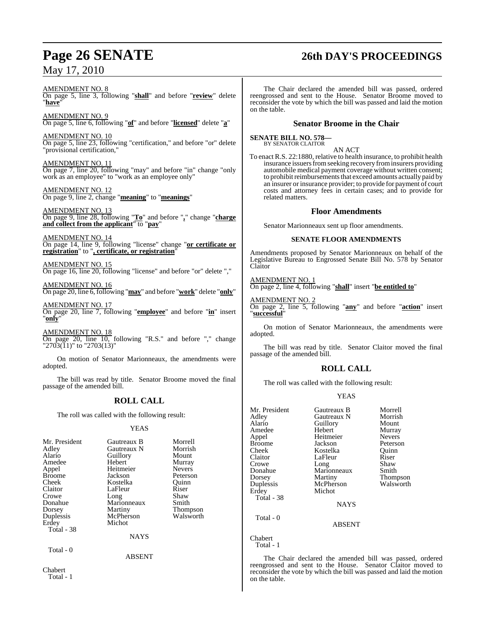# **Page 26 SENATE 26th DAY'S PROCEEDINGS**

AMENDMENT NO. 8 On page 5, line 3, following "**shall**" and before "**review**" delete "**have**"

AMENDMENT NO. 9 On page 5, line 6, following "**of**" and before "**licensed**" delete "**a**"

AMENDMENT NO. 10 On page 5, line 23, following "certification," and before "or" delete 'provisional certification,'

AMENDMENT NO. 11 On page 7, line 20, following "may" and before "in" change "only work as an employee" to "work as an employee only"

AMENDMENT NO. 12 On page 9, line 2, change "**meaning**" to "**meanings**"

AMENDMENT NO. 13 On page 9, line 28, following "**To**" and before "**,**" change "**charge and collect from the applicant**" to "**pay**"

AMENDMENT NO. 14 On page 14, line 9, following "license" change "**or certificate or registration**" to "**, certificate, or registration**"

AMENDMENT NO. 15 On page 16, line 20, following "license" and before "or" delete ","

AMENDMENT NO. 16 On page 20, line 6, following "**may**" and before "**work**" delete "**only**"

AMENDMENT NO. 17 On page 20, line 7, following "**employee**" and before "**in**" insert "**only**"

AMENDMENT NO. 18 On page 20, line 10, following "R.S." and before "," change "2703(11)" to "2703(13)"

On motion of Senator Marionneaux, the amendments were adopted.

The bill was read by title. Senator Broome moved the final passage of the amended bill.

## **ROLL CALL**

The roll was called with the following result:

#### YEAS

| Mr. President<br>Adley<br>Alario<br>Amedee<br>Appel<br><b>Broome</b><br>Cheek<br>Claitor<br>Crowe<br>Donahue<br>Dorsey<br>Duplessis<br>Erdey<br>Total - 38 | Gautreaux B<br>Gautreaux N<br>Guillory<br>Hebert<br>Heitmeier<br>Jackson<br>Kostelka<br>LaFleur<br>Long<br>Marionneaux<br>Martiny<br>McPherson<br>Michot | Morrell<br>Morrish<br>Mount<br>Murray<br><b>Nevers</b><br>Peterson<br>Ouinn<br>Riser<br>Shaw<br>Smith<br><b>Thompson</b><br>Walsworth |
|------------------------------------------------------------------------------------------------------------------------------------------------------------|----------------------------------------------------------------------------------------------------------------------------------------------------------|---------------------------------------------------------------------------------------------------------------------------------------|
|                                                                                                                                                            | <b>NAYS</b>                                                                                                                                              |                                                                                                                                       |
| Total - 0                                                                                                                                                  | ABSENT                                                                                                                                                   |                                                                                                                                       |

The Chair declared the amended bill was passed, ordered reengrossed and sent to the House. Senator Broome moved to reconsider the vote by which the bill was passed and laid the motion on the table.

### **Senator Broome in the Chair**

**SENATE BILL NO. 578—** BY SENATOR CLAITOR

AN ACT

To enact R.S. 22:1880, relative to health insurance, to prohibit health insurance issuers from seeking recovery from insurers providing automobile medical payment coverage without written consent; to prohibit reimbursements that exceed amounts actually paid by an insurer or insurance provider; to provide for payment of court costs and attorney fees in certain cases; and to provide for related matters.

#### **Floor Amendments**

Senator Marionneaux sent up floor amendments.

#### **SENATE FLOOR AMENDMENTS**

Amendments proposed by Senator Marionneaux on behalf of the Legislative Bureau to Engrossed Senate Bill No. 578 by Senator Claitor

AMENDMENT NO. 1

On page 2, line 4, following "**shall**" insert "**be entitled to**"

AMENDMENT NO. 2 On page 2, line 5, following "**any**" and before "**action**" insert "**successful**"

On motion of Senator Marionneaux, the amendments were adopted.

The bill was read by title. Senator Claitor moved the final passage of the amended bill.

## **ROLL CALL**

The roll was called with the following result:

### YEAS

| Mr. President | Gautreaux B | Morrell       |
|---------------|-------------|---------------|
| Adley         | Gautreaux N | Morrish       |
| Alario        | Guillory    | Mount         |
| Amedee        | Hebert      | Murray        |
| Appel         | Heitmeier   | <b>Nevers</b> |
| Broome        | Jackson     | Peterson      |
| Cheek         | Kostelka    | Ouinn         |
| Claitor       | LaFleur     | Riser         |
| Crowe         | Long        | Shaw          |
| Donahue       | Marionneaux | Smith         |
| Dorsey        | Martiny     | Thompson      |
| Duplessis     | McPherson   | Walsworth     |
| Erdev         | Michot      |               |
| Total - 38    |             |               |
|               | <b>NAYS</b> |               |
| Total - 0     |             |               |

ABSENT

Chabert Total - 1

The Chair declared the amended bill was passed, ordered reengrossed and sent to the House. Senator Claitor moved to reconsider the vote by which the bill was passed and laid the motion on the table.

Chabert Total - 1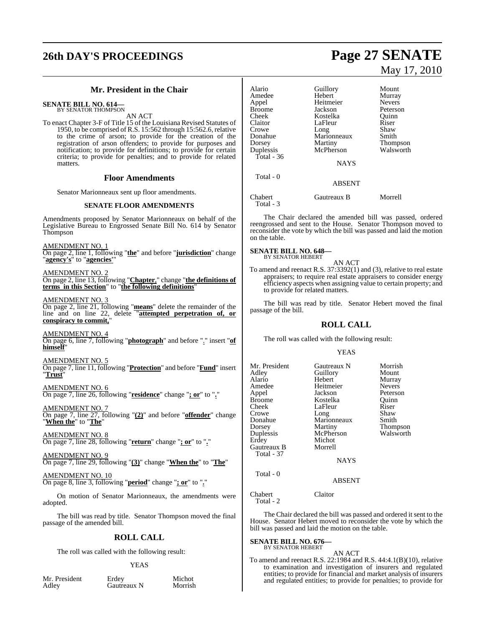# **26th DAY'S PROCEEDINGS Page 27 SENATE**

### **Mr. President in the Chair**

**SENATE BILL NO. 614—** BY SENATOR THOMPSON

AN ACT

To enact Chapter 3-F of Title 15 of the Louisiana Revised Statutes of 1950, to be comprised ofR.S. 15:562 through 15:562.6, relative to the crime of arson; to provide for the creation of the registration of arson offenders; to provide for purposes and notification; to provide for definitions; to provide for certain criteria; to provide for penalties; and to provide for related matters.

#### **Floor Amendments**

Senator Marionneaux sent up floor amendments.

#### **SENATE FLOOR AMENDMENTS**

Amendments proposed by Senator Marionneaux on behalf of the Legislative Bureau to Engrossed Senate Bill No. 614 by Senator Thompson

AMENDMENT NO. 1

On page 2, line 1, following "**the**" and before "**jurisdiction**" change "**agency's**" to "**agencies'**"

AMENDMENT NO. 2

On page 2, line 13, following "**Chapter**," change "**the definitions of terms in this Section**" to "**the following definitions**"

AMENDMENT NO. 3

On page 2, line 21, following "**means**" delete the remainder of the line and on line 22, delete "**attempted perpetration of, or conspiracy to commit,**"

AMENDMENT NO. 4 On page 6, line 7, following "**photograph**" and before "." insert "**of himself**"

AMENDMENT NO. 5 On page 7, line 11, following "**Protection**" and before "**Fund**" insert "**Trust**"

AMENDMENT NO. 6 On page 7, line 26, following "**residence**" change "**; or**" to "**.**"

<u>AMENDMENT NO. 7</u> On page 7, line 27, following "**(2)**" and before "**offender**" change "**When the**" to "**The**"

AMENDMENT NO. 8 On page 7, line 28, following "**return**" change "**; or**" to "**.**"

AMENDMENT NO. 9 On page 7, line 29, following "**(3)**" change "**When the**" to "**The**"

AMENDMENT NO. 10 On page 8, line 3, following "**period**" change "**; or**" to "**.**"

On motion of Senator Marionneaux, the amendments were adopted.

The bill was read by title. Senator Thompson moved the final passage of the amended bill.

### **ROLL CALL**

The roll was called with the following result:

#### YEAS

Mr. President Erdey Michot<br>Adley Gautreaux N Morrish Gautreaux N

# May 17, 2010

| Alario<br>Amedee<br>Appel<br><b>Broome</b><br>Cheek<br>Claitor<br>Crowe<br>Donahue<br>Dorsey<br>Duplessis<br>Total - $36$ | Guillory<br>Hebert<br>Heitmeier<br>Jackson<br>Kostelka<br>LaFleur<br>Long<br>Marionneaux<br>Martiny<br>McPherson | Mount<br>Murray<br><b>Nevers</b><br>Peterson<br>Ouinn<br>Riser<br>Shaw<br>Smith<br><b>Thompson</b><br>Walsworth |
|---------------------------------------------------------------------------------------------------------------------------|------------------------------------------------------------------------------------------------------------------|-----------------------------------------------------------------------------------------------------------------|
| Total - 0                                                                                                                 | <b>NAYS</b><br><b>ABSENT</b>                                                                                     |                                                                                                                 |
| Chabert                                                                                                                   | Gautreaux B                                                                                                      | Morrell                                                                                                         |

Total - 3

The Chair declared the amended bill was passed, ordered reengrossed and sent to the House. Senator Thompson moved to reconsider the vote by which the bill was passed and laid the motion on the table.

**SENATE BILL NO. 648—** BY SENATOR HEBERT

AN ACT

To amend and reenact R.S. 37:3392(1) and (3), relative to real estate appraisers; to require real estate appraisers to consider energy efficiency aspects when assigning value to certain property; and to provide for related matters.

The bill was read by title. Senator Hebert moved the final passage of the bill.

### **ROLL CALL**

The roll was called with the following result:

#### YEAS

| Mr. President<br>Adley<br>Alario<br>Amedee<br>Appel<br><b>Broome</b><br>Cheek<br>Crowe<br>Donahue<br>Dorsey<br>Duplessis<br>Erdey<br>Gautreaux B<br><b>Total - 37</b> | Gautreaux N<br>Guillory<br>Hebert<br>Heitmeier<br>Jackson<br>Kostelka<br>LaFleur<br>Long<br>Marionneaux<br>Martiny<br>McPherson<br>Michot<br>Morrell<br><b>NAYS</b> | Morrish<br>Mount<br>Murray<br><b>Nevers</b><br>Peterson<br>Ouinn<br>Riser<br>Shaw<br>Smith<br><b>Thompson</b><br>Walsworth |
|-----------------------------------------------------------------------------------------------------------------------------------------------------------------------|---------------------------------------------------------------------------------------------------------------------------------------------------------------------|----------------------------------------------------------------------------------------------------------------------------|
| Total - 0                                                                                                                                                             | <b>ABSENT</b>                                                                                                                                                       |                                                                                                                            |

Chabert Claitor Total - 2

The Chair declared the bill was passed and ordered it sent to the House. Senator Hebert moved to reconsider the vote by which the bill was passed and laid the motion on the table.

#### **SENATE BILL NO. 676—** BY SENATOR HEBERT

AN ACT

To amend and reenact R.S. 22:1984 and R.S. 44:4.1(B)(10), relative to examination and investigation of insurers and regulated entities; to provide for financial and market analysis of insurers and regulated entities; to provide for penalties; to provide for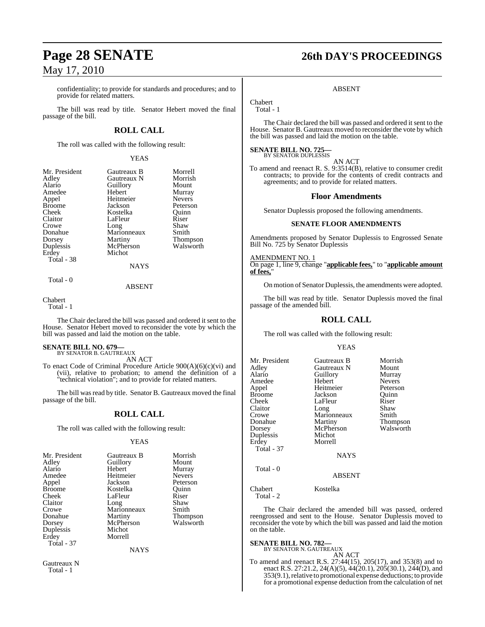confidentiality; to provide for standards and procedures; and to provide for related matters.

The bill was read by title. Senator Hebert moved the final passage of the bill.

### **ROLL CALL**

The roll was called with the following result:

YEAS

| Mr. President | Gautreaux B | Morrell         |
|---------------|-------------|-----------------|
| Adley         | Gautreaux N | Morrish         |
| Alario        | Guillory    | Mount           |
| Amedee        | Hebert      | Murray          |
| Appel         | Heitmeier   | <b>Nevers</b>   |
| <b>Broome</b> | Jackson     | Peterson        |
| Cheek         | Kostelka    | Ouinn           |
| Claitor       | LaFleur     | Riser           |
| Crowe         | Long        | Shaw            |
| Donahue       | Marionneaux | Smith           |
| Dorsey        | Martiny     | <b>Thompson</b> |
| Duplessis     | McPherson   | Walsworth       |
| Erdey         | Michot      |                 |
| Total - 38    |             |                 |
|               | <b>NAYS</b> |                 |
| Total - 0     |             |                 |

ABSENT

Chabert Total - 1

The Chair declared the bill was passed and ordered it sent to the House. Senator Hebert moved to reconsider the vote by which the bill was passed and laid the motion on the table.

# **SENATE BILL NO. 679—** BY SENATOR B. GAUTREAUX AN ACT

To enact Code of Criminal Procedure Article 900(A)(6)(c)(vi) and (vii), relative to probation; to amend the definition of a "technical violation"; and to provide for related matters.

The bill was read by title. Senator B. Gautreaux moved the final passage of the bill.

### **ROLL CALL**

The roll was called with the following result:

#### YEAS

| Mr. President | Gautreaux B | Morrish         |
|---------------|-------------|-----------------|
| Adley         | Guillory    | Mount           |
| Alario        | Hebert      | Murray          |
| Amedee        | Heitmeier   | <b>Nevers</b>   |
| Appel         | Jackson     | Peterson        |
| <b>Broome</b> | Kostelka    | Ouinn           |
| Cheek         | LaFleur     | Riser           |
| Claitor       | Long        | Shaw            |
| Crowe         | Marionneaux | Smith           |
| Donahue       | Martiny     | <b>Thompson</b> |
| Dorsey        | McPherson   | Walsworth       |
| Duplessis     | Michot      |                 |
| Erdey         | Morrell     |                 |
| Total - 37    |             |                 |
|               | NAYS        |                 |

Gautreaux N Total - 1

# **Page 28 SENATE 26th DAY'S PROCEEDINGS**

#### ABSENT

Chabert Total - 1

The Chair declared the bill was passed and ordered it sent to the House. Senator B. Gautreaux moved to reconsider the vote by which the bill was passed and laid the motion on the table.

#### **SENATE BILL NO. 725—** BY SENATOR DUPLESSIS

AN ACT To amend and reenact R. S. 9:3514(B), relative to consumer credit contracts; to provide for the contents of credit contracts and agreements; and to provide for related matters.

#### **Floor Amendments**

Senator Duplessis proposed the following amendments.

#### **SENATE FLOOR AMENDMENTS**

Amendments proposed by Senator Duplessis to Engrossed Senate Bill No. 725 by Senator Duplessis

AMENDMENT NO. 1 On page 1, line 9, change "**applicable fees,**" to "**applicable amount of fees,**"

On motion of Senator Duplessis, the amendments were adopted.

The bill was read by title. Senator Duplessis moved the final passage of the amended bill.

### **ROLL CALL**

The roll was called with the following result:

#### YEAS

| Mr. President<br>Adley<br>Alario<br>Amedee<br>Appel<br>Broome<br>Cheek<br>Claitor<br>Crowe<br>Donahue<br>Dorsey<br>Duplessis<br>Erdey<br>Total - 37 | Gautreaux B<br>Gautreaux N<br>Guillory<br>Hebert<br>Heitmeier<br>Jackson<br>LaFleur<br>Long<br>Marionneaux<br>Martiny<br>McPherson<br>Michot<br>Morrell<br><b>NAYS</b> | Morrish<br>Mount<br>Murray<br><b>Nevers</b><br>Peterson<br>Quinn<br>Riser<br>Shaw<br>Smith<br><b>Thompson</b><br>Walsworth |
|-----------------------------------------------------------------------------------------------------------------------------------------------------|------------------------------------------------------------------------------------------------------------------------------------------------------------------------|----------------------------------------------------------------------------------------------------------------------------|
| Total - 0                                                                                                                                           | <b>ABSENT</b>                                                                                                                                                          |                                                                                                                            |

Chabert Kostelka Total - 2

The Chair declared the amended bill was passed, ordered reengrossed and sent to the House. Senator Duplessis moved to reconsider the vote by which the bill was passed and laid the motion on the table.

#### **SENATE BILL NO. 782—** BY SENATOR N. GAUTREAUX

AN ACT

To amend and reenact R.S. 27:44(15), 205(17), and 353(8) and to enact R.S. 27:21.2, 24(A)(5),  $44(20.1)$ ,  $205(30.1)$ ,  $244(D)$ , and 353(9.1), relative to promotional expense deductions; to provide for a promotional expense deduction from the calculation of net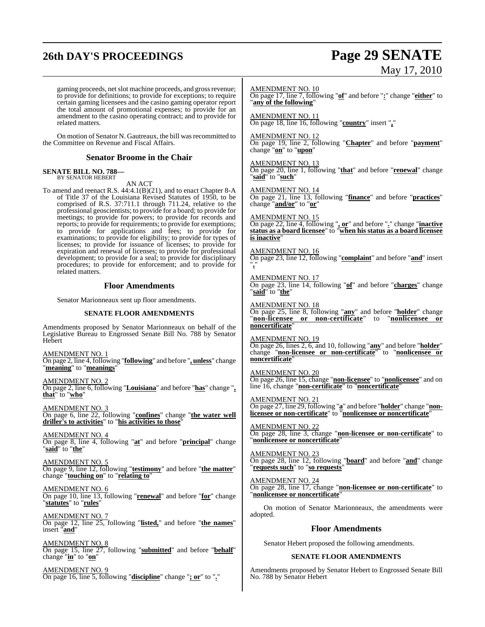## **26th DAY'S PROCEEDINGS Page 29 SENATE**

# May 17, 2010

gaming proceeds, net slot machine proceeds, and gross revenue; to provide for definitions; to provide for exceptions; to require certain gaming licensees and the casino gaming operator report the total amount of promotional expenses; to provide for an amendment to the casino operating contract; and to provide for related matters.

On motion of Senator N. Gautreaux, the bill wasrecommitted to the Committee on Revenue and Fiscal Affairs.

#### **Senator Broome in the Chair**

#### **SENATE BILL NO. 788—** BY SENATOR HEBERT

AN ACT

To amend and reenact R.S. 44:4.1(B)(21), and to enact Chapter 8-A of Title 37 of the Louisiana Revised Statutes of 1950, to be comprised of R.S. 37:711.1 through 711.24, relative to the professional geoscientists; to provide for a board; to provide for meetings; to provide for powers; to provide for records and reports; to provide for requirements; to provide for exemptions; to provide for applications and fees; to provide for examinations; to provide for eligibility; to provide for types of licenses; to provide for issuance of licenses; to provide for expiration and renewal of licenses; to provide for professional development; to provide for a seal; to provide for disciplinary procedures; to provide for enforcement; and to provide for related matters.

#### **Floor Amendments**

Senator Marionneaux sent up floor amendments.

#### **SENATE FLOOR AMENDMENTS**

Amendments proposed by Senator Marionneaux on behalf of the Legislative Bureau to Engrossed Senate Bill No. 788 by Senator Hebert

AMENDMENT NO. 1 On page 2, line 4, following "**following**" and before "**, unless**" change "**meaning**" to "**meanings**"

AMENDMENT NO. 2 On page 2, line 6, following "**Louisiana**" and before "**has**" change "**, that**" to "**who**"

AMENDMENT NO. 3 On page 6, line 22, following "**confines**" change "**the water well driller's to activities**" to "**his activities to those**"

AMENDMENT NO. 4 On page 8, line 4, following "**at**" and before "**principal**" change "**said**" to "**the**"

AMENDMENT NO. 5 On page 9, line 12, following "**testimony**" and before "**the matter**" change "**touching on**" to "**relating to**"

AMENDMENT NO. 6 On page 10, line 13, following "**renewal**" and before "**for**" change "**statutes**" to "**rules**"

AMENDMENT NO. 7 On page 12, line 25, following "**listed,**" and before "**the names**" insert "**and**"

AMENDMENT NO. 8 On page 15, line 27, following "**submitted**" and before "**behalf**" change "**in**" to "**on**"

AMENDMENT NO. 9 On page 16, line 5, following "**discipline**" change "**; or**" to "**.**" AMENDMENT NO. 10

On page 17, line 7, following "**of**" and before "**:**" change "**either**" to "**any of the following**"

AMENDMENT NO. 11 On page 18, line 16, following "**country**" insert "**,**"

AMENDMENT NO. 12

On page 19, line 2, following "**Chapter**" and before "**payment**" change "**on**" to "**upon**"

AMENDMENT NO. 13 On page 20, line 1, following "**that**" and before "**renewal**" change "**said**" to "**such**"

AMENDMENT NO. 14 On page 21, line 13, following "**finance**" and before "**practices**" change "**and/or**" to "**or**"

AMENDMENT NO. 15

On page 22, line 4, following "**, or**" and before "**.**" change "**inactive status as a board licensee**" to "**when his status as a board licensee is inactive** 

AMENDMENT NO. 16

On page 23, line 12, following "**complaint**" and before "**and**" insert "**,**"

AMENDMENT NO. 17 On page 23, line 14, following "**of**" and before "**charges**" change "**said**" to "**the**"

AMENDMENT NO. 18

On page 25, line 8, following "**any**" and before "**holder**" change "**non-licensee or non-certificate**" to "**nonlicensee or noncertificate**"

AMENDMENT NO. 19 On page 26, lines 2, 6, and 10, following "**any**" and before "**holder**" change "**non-licensee or non-certificate**" to "**nonlicensee or noncertificate**"

AMENDMENT NO. 20 On page 26, line 15, change "**non-licensee**" to "**nonlicensee**" and on line 16, change "**non-certificate**" to "**noncertificate**"

AMENDMENT NO. 21 On page 27, line 29, following "**a**" and before "**holder**" change "**nonlicensee or non-certificate**" to "**nonlicensee or noncertificate**"

AMENDMENT NO. 22 On page 28, line 3, change "**non-licensee or non-certificate**" to "**nonlicensee or noncertificate**"

AMENDMENT NO. 23 On page 28, line 12, following "**board**" and before "**and**" change "**requests such**" to "**so requests**"

AMENDMENT NO. 24 On page 28, line 17, change "**non-licensee or non-certificate**" to "**nonlicensee or noncertificate**"

On motion of Senator Marionneaux, the amendments were adopted.

#### **Floor Amendments**

Senator Hebert proposed the following amendments.

#### **SENATE FLOOR AMENDMENTS**

Amendments proposed by Senator Hebert to Engrossed Senate Bill No. 788 by Senator Hebert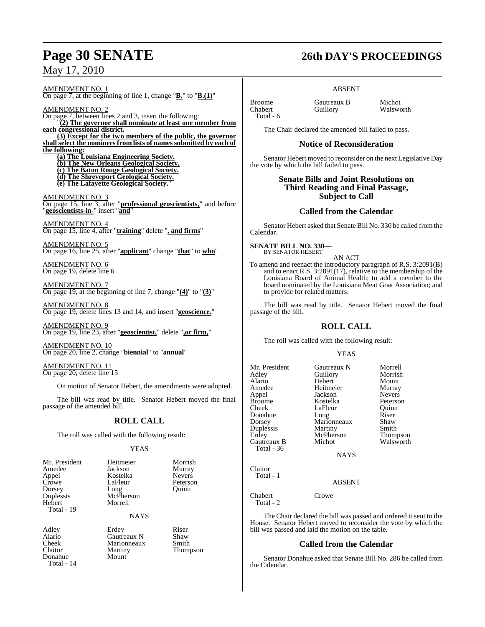AMENDMENT NO. 1 On page 7, at the beginning of line 1, change "**B.**" to "**B.(1)**"

AMENDMENT NO. 2 On page 7, between lines 2 and 3, insert the following: "**(2) The governor shall nominate at least one member from each congressional district. (3) Except for the two members of the public, the governor**

**shall select the nominees from lists of names submitted by each of the following:**

**(a) The Louisiana Engineering Society.**

**(b) The New Orleans Geological Society.**

**(c) The Baton Rouge Geological Society.**

**(d) The Shreveport Geological Society. (e) The Lafayette Geological Society.**"

AMENDMENT NO. 3

On page 15, line 3, after "**professional geoscientists,**" and before "**geoscientists-in-**" insert "**and**"

AMENDMENT NO. 4 On page 15, line 4, after "**training**" delete "**, and firms**"

AMENDMENT NO. 5 On page 16, line 25, after "**applicant**" change "**that**" to **who**"

AMENDMENT NO. 6 On page 19, delete line 6

AMENDMENT NO. 7 On page 19, at the beginning of line 7, change "**(4)**" to "**(3)**"

AMENDMENT NO. 8 On page 19, delete lines 13 and 14, and insert "**geoscience.**"

AMENDMENT NO. 9 On page 19, line 23, after "**geoscientist,**" delete "**,or firm,**"

AMENDMENT NO. 10 On page 20, line 2, change "**biennial**" to "**annual**"

AMENDMENT NO. 11 On page 20, delete line 15

On motion of Senator Hebert, the amendments were adopted.

The bill was read by title. Senator Hebert moved the final passage of the amended bill.

### **ROLL CALL**

The roll was called with the following result:

#### YEAS

| Mr. President<br>Amedee<br>Appel<br>Crowe<br>Dorsey<br>Duplessis<br>Hebert | Heitmeier<br>Jackson<br>Kostelka<br>LaFleur<br>Long<br>McPherson<br>Morrell | Morrish<br>Murray<br><b>Nevers</b><br>Peterson<br>Ouinn |
|----------------------------------------------------------------------------|-----------------------------------------------------------------------------|---------------------------------------------------------|
| Total - 19                                                                 | <b>NAYS</b>                                                                 |                                                         |
|                                                                            |                                                                             |                                                         |

Alario Gautreaux N Shaw<br>Cheek Marionneaux Smith Cheek Marionneaux<br>Claitor Martiny Donahue Mount Total - 14

Adley Erdey Riser<br>Alario Gautreaux N Shaw

Thompson

## **Page 30 SENATE 26th DAY'S PROCEEDINGS**

#### ABSENT

Broome Gautreaux B Michot Total - 6

Walsworth

The Chair declared the amended bill failed to pass.

#### **Notice of Reconsideration**

Senator Hebert moved to reconsider on the next Legislative Day the vote by which the bill failed to pass.

#### **Senate Bills and Joint Resolutions on Third Reading and Final Passage, Subject to Call**

### **Called from the Calendar**

Senator Hebert asked that Senate Bill No. 330 be called fromthe Calendar.

**SENATE BILL NO. 330—** BY SENATOR HEBERT

AN ACT

To amend and reenact the introductory paragraph of R.S. 3:2091(B) and to enact R.S. 3:2091(17), relative to the membership of the Louisiana Board of Animal Health; to add a member to the board nominated by the Louisiana Meat Goat Association; and to provide for related matters.

The bill was read by title. Senator Hebert moved the final passage of the bill.

## **ROLL CALL**

The roll was called with the following result:

#### YEAS

Mr. President Gautreaux N Morrell<br>Adley Guillory Morrish Adley Guillory Morrish Alario Hebert Mount Amedee Heitmeier Murray<br>Appel Jackson Nevers Appel Jackson Nevers Broome Kostelka<br>Cheek LaFleur Donahue Long Riser<br>
Dorsey Marionneaux Shaw Duplessis Martiny Smith<br>
Erdey McPherson Thompson Gautreaux B Total - 36

LaFleur Quinn<br>Long Riser Marionneaux Shaw<br>Martiny Smith McPherson Thompson<br>Michot Walsworth

NAYS

### ABSENT

Chabert Crowe Total - 2

Claitor Total - 1

The Chair declared the bill was passed and ordered it sent to the House. Senator Hebert moved to reconsider the vote by which the bill was passed and laid the motion on the table.

## **Called from the Calendar**

Senator Donahue asked that Senate Bill No. 286 be called from the Calendar.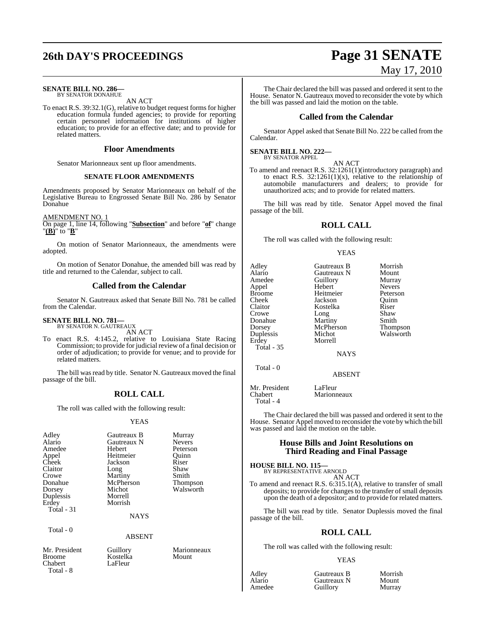# **26th DAY'S PROCEEDINGS Page 31 SENATE**

#### **SENATE BILL NO. 286—** BY SENATOR DONAHUE

AN ACT

To enact R.S. 39:32.1(G), relative to budget request forms for higher education formula funded agencies; to provide for reporting certain personnel information for institutions of higher education; to provide for an effective date; and to provide for related matters.

#### **Floor Amendments**

Senator Marionneaux sent up floor amendments.

#### **SENATE FLOOR AMENDMENTS**

Amendments proposed by Senator Marionneaux on behalf of the Legislative Bureau to Engrossed Senate Bill No. 286 by Senator Donahue

#### AMENDMENT NO. 1

On page 1, line 14, following "**Subsection**" and before "**of**" change "**(B)**" to "**B**"

On motion of Senator Marionneaux, the amendments were adopted.

On motion of Senator Donahue, the amended bill was read by title and returned to the Calendar, subject to call.

#### **Called from the Calendar**

Senator N. Gautreaux asked that Senate Bill No. 781 be called from the Calendar.

#### **SENATE BILL NO. 781—** BY SENATOR N. GAUTREAUX

AN ACT

To enact R.S. 4:145.2, relative to Louisiana State Racing Commission; to provide for judicial review of a final decision or order of adjudication; to provide for venue; and to provide for related matters.

The bill was read by title. Senator N. Gautreaux moved the final passage of the bill.

### **ROLL CALL**

The roll was called with the following result:

#### YEAS

| Adley<br>Alario<br>Amedee<br>Appel<br>Cheek<br>Claitor<br>Crowe<br>Donahue<br>Dorsey | Gautreaux B<br>Gautreaux N<br>Hebert<br>Heitmeier<br>Jackson<br>Long<br>Martiny<br>McPherson<br>Michot | Murray<br><b>Nevers</b><br>Peterson<br>Ouinn<br>Riser<br>Shaw<br>Smith<br>Thompson<br>Walsworth |
|--------------------------------------------------------------------------------------|--------------------------------------------------------------------------------------------------------|-------------------------------------------------------------------------------------------------|
|                                                                                      |                                                                                                        |                                                                                                 |
| Duplessis<br>Erdey<br>Total - 31                                                     | Morrell<br>Morrish                                                                                     |                                                                                                 |
|                                                                                      | <b>NAYS</b>                                                                                            |                                                                                                 |

LaFleur

Total - 0

Mr. President Guillory Marionneaux<br>
Rroome Kostelka Mount Broome Kostelka<br>Chabert LaFleur

ABSENT

Total - 8

# May 17, 2010

The Chair declared the bill was passed and ordered it sent to the House. Senator N. Gautreaux moved to reconsider the vote by which the bill was passed and laid the motion on the table.

#### **Called from the Calendar**

Senator Appel asked that Senate Bill No. 222 be called from the Calendar.

#### **SENATE BILL NO. 222—** BY SENATOR APPEL

AN ACT

To amend and reenact R.S. 32:1261(1)(introductory paragraph) and to enact R.S.  $32:1261(1)(x)$ , relative to the relationship of automobile manufacturers and dealers; to provide for unauthorized acts; and to provide for related matters.

The bill was read by title. Senator Appel moved the final passage of the bill.

### **ROLL CALL**

The roll was called with the following result:

#### YEAS

| Adley<br>Alario<br>Amedee<br>Appel<br><b>Broome</b><br>Cheek<br>Claitor | Gautreaux B<br>Gautreaux N<br>Guillory<br>Hebert<br>Heitmeier<br>Jackson<br>Kostelka | Morrish<br>Mount<br>Murray<br><b>Nevers</b><br>Peterson<br>Ouinn<br>Riser |
|-------------------------------------------------------------------------|--------------------------------------------------------------------------------------|---------------------------------------------------------------------------|
| Crowe                                                                   | Long                                                                                 | Shaw                                                                      |
| Donahue                                                                 | Martiny                                                                              | Smith                                                                     |
| Dorsey                                                                  | McPherson                                                                            | Thompson                                                                  |
| Duplessis                                                               | Michot                                                                               | Walsworth                                                                 |
| Erdey                                                                   | Morrell                                                                              |                                                                           |
| <b>Total - 35</b>                                                       |                                                                                      |                                                                           |
|                                                                         | <b>NAYS</b>                                                                          |                                                                           |
| Total - 0                                                               |                                                                                      |                                                                           |
|                                                                         | ABSENT                                                                               |                                                                           |

Mr. President LaFleur<br>Chabert Marionn Marionneaux Total - 4

The Chair declared the bill was passed and ordered it sent to the House. Senator Appel moved to reconsider the vote by which the bill was passed and laid the motion on the table.

#### **House Bills and Joint Resolutions on Third Reading and Final Passage**

#### **HOUSE BILL NO. 115—**

BY REPRESENTATIVE ARNOLD AN ACT

To amend and reenact R.S. 6:315.1(A), relative to transfer of small deposits; to provide for changes to the transfer of small deposits upon the death of a depositor; and to provide for related matters.

The bill was read by title. Senator Duplessis moved the final passage of the bill.

#### **ROLL CALL**

The roll was called with the following result:

#### YEAS

| Adley  | Gautreaux B | Morrish |
|--------|-------------|---------|
| Alario | Gautreaux N | Mount   |
| Amedee | Guillory    | Murray  |

Mount<br>Murray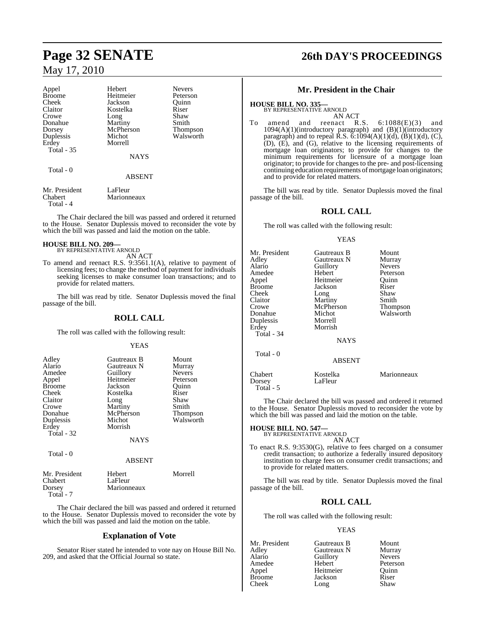## **Page 32 SENATE 26th DAY'S PROCEEDINGS** May 17, 2010

| Appel<br><b>Broome</b><br>Cheek<br>Claitor<br>Crowe<br>Donahue<br>Dorsey<br>Duplessis<br>Erdey<br><b>Total - 35</b> | Hebert<br>Heitmeier<br>Jackson<br>Kostelka<br>Long<br>Martiny<br>McPherson<br>Michot<br>Morrell | <b>Nevers</b><br>Peterson<br>Ouinn<br>Riser<br>Shaw<br>Smith<br>Thompson<br>Walsworth |
|---------------------------------------------------------------------------------------------------------------------|-------------------------------------------------------------------------------------------------|---------------------------------------------------------------------------------------|
|                                                                                                                     | <b>NAYS</b>                                                                                     |                                                                                       |
| Total - 0                                                                                                           | <b>ABSENT</b>                                                                                   |                                                                                       |
| Mr. President                                                                                                       | LaFleur                                                                                         |                                                                                       |

Chabert Marionneaux Total - 4

The Chair declared the bill was passed and ordered it returned to the House. Senator Duplessis moved to reconsider the vote by which the bill was passed and laid the motion on the table.

#### **HOUSE BILL NO. 209—**

BY REPRESENTATIVE ARNOLD AN ACT

To amend and reenact R.S. 9:3561.1(A), relative to payment of licensing fees; to change the method of payment for individuals seeking licenses to make consumer loan transactions; and to provide for related matters.

The bill was read by title. Senator Duplessis moved the final passage of the bill.

#### **ROLL CALL**

The roll was called with the following result:

#### YEAS

| Adley         | Gautreaux B | Mount           |
|---------------|-------------|-----------------|
| Alario        | Gautreaux N | Murray          |
| Amedee        | Guillory    | <b>Nevers</b>   |
| Appel         | Heitmeier   | Peterson        |
| <b>Broome</b> | Jackson     | Ouinn           |
| Cheek         | Kostelka    | Riser           |
| Claitor       | Long        | Shaw            |
| Crowe         | Martiny     | Smith           |
| Donahue       | McPherson   | <b>Thompson</b> |
| Duplessis     | Michot      | Walsworth       |
| Erdey         | Morrish     |                 |
| Total - 32    |             |                 |
|               | NAYS        |                 |

Total - 0

#### ABSENT

| Mr. President | Hebert      | Morrell |
|---------------|-------------|---------|
| Chabert       | LaFleur     |         |
| Dorsey        | Marionneaux |         |
| Total - 7     |             |         |

The Chair declared the bill was passed and ordered it returned to the House. Senator Duplessis moved to reconsider the vote by which the bill was passed and laid the motion on the table.

#### **Explanation of Vote**

Senator Riser stated he intended to vote nay on House Bill No. 209, and asked that the Official Journal so state.

#### **Mr. President in the Chair**

**HOUSE BILL NO. 335—**

BY REPRESENTATIVE ARNOLD AN ACT

To amend and reenact R.S. 6:1088(E)(3) and 1094(A)(1)(introductory paragraph) and (B)(1)(introductory paragraph) and to repeal  $\hat{R}$ .S.  $\check{\text{o}}$ :1094(A)(1)(d),  $(\hat{B})$ (1)(d), (C),  $(D)$ ,  $(E)$ , and  $(G)$ , relative to the licensing requirements of mortgage loan originators; to provide for changes to the minimum requirements for licensure of a mortgage loan originator; to provide for changes to the pre- and post-licensing continuing education requirements of mortgage loan originators; and to provide for related matters.

The bill was read by title. Senator Duplessis moved the final passage of the bill.

#### **ROLL CALL**

The roll was called with the following result:

#### YEAS

| Mr. President<br>Adley<br>Alario<br>Amedee<br>Appel<br>Broome<br>Cheek<br>Claitor<br>Crowe<br>Donahue<br>Duplessis<br>Erdey<br>Total - 34 | Gautreaux B<br>Gautreaux N<br>Guillory<br>Hebert<br>Heitmeier<br>Jackson<br>Long<br>Martiny<br>McPherson<br>Michot<br>Morrell<br>Morrish<br><b>NAYS</b> | Mount<br>Murray<br><b>Nevers</b><br>Peterson<br>Ouinn<br>Riser<br>Shaw<br>Smith<br>Thompson<br>Walsworth |
|-------------------------------------------------------------------------------------------------------------------------------------------|---------------------------------------------------------------------------------------------------------------------------------------------------------|----------------------------------------------------------------------------------------------------------|
| Total - 0                                                                                                                                 | <b>ABSENT</b>                                                                                                                                           |                                                                                                          |
| Chabert<br>Dorsey<br>Total - 5                                                                                                            | Kostelka<br>LaFleur                                                                                                                                     | Marionneaux                                                                                              |

The Chair declared the bill was passed and ordered it returned to the House. Senator Duplessis moved to reconsider the vote by which the bill was passed and laid the motion on the table.

#### **HOUSE BILL NO. 547—** BY REPRESENTATIVE ARNOLD

AN ACT

To enact R.S. 9:3530(G), relative to fees charged on a consumer credit transaction; to authorize a federally insured depository institution to charge fees on consumer credit transactions; and to provide for related matters.

The bill was read by title. Senator Duplessis moved the final passage of the bill.

### **ROLL CALL**

The roll was called with the following result:

#### YEAS

Mr. President Gautreaux B Mount<br>Adley Gautreaux N Murray Adley Gautreaux N Murray Alario Guillory<br>Amedee Hebert Amedee Hebert Peterson<br>
Appel Heitmeier Quinn Appel Heitmeier Quinn Broome Jackson Riser<br>Cheek Long Shaw Long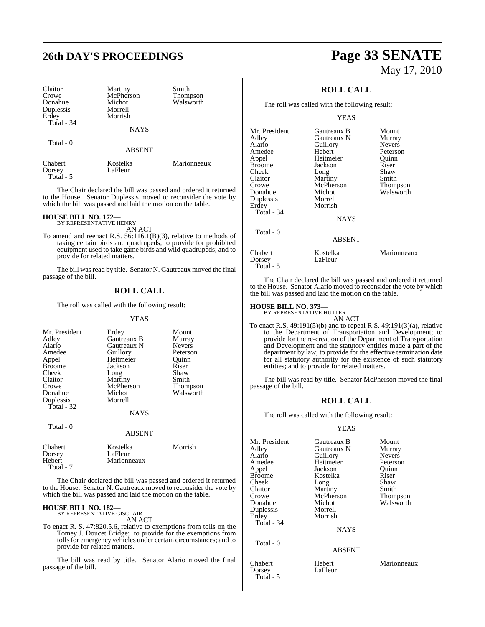| Claitor<br>Crowe<br>Donahue<br>Duplessis | Martiny<br>McPherson<br>Michot<br>Morrell | Smith<br>Thompson<br>Walsworth |
|------------------------------------------|-------------------------------------------|--------------------------------|
| Erdey                                    | Morrish                                   |                                |
| Total - 34                               |                                           |                                |
|                                          | <b>NAYS</b>                               |                                |
|                                          |                                           |                                |
| Total - 0                                |                                           |                                |
|                                          | <b>ABSENT</b>                             |                                |
|                                          |                                           |                                |
| Chabert                                  | Kostelka                                  | Marionneaux                    |
| Dorsey                                   | LaFleur                                   |                                |
| Total - 5                                |                                           |                                |

The Chair declared the bill was passed and ordered it returned to the House. Senator Duplessis moved to reconsider the vote by which the bill was passed and laid the motion on the table.

#### **HOUSE BILL NO. 172—**

BY REPRESENTATIVE HENRY AN ACT

To amend and reenact R.S. 56:116.1(B)(3), relative to methods of taking certain birds and quadrupeds; to provide for prohibited equipment used to take game birds and wild quadrupeds; and to provide for related matters.

The bill was read by title. Senator N. Gautreaux moved the final passage of the bill.

## **ROLL CALL**

The roll was called with the following result:

#### YEAS

| Mr. President | Erdey         | Mount           |
|---------------|---------------|-----------------|
| Adley         | Gautreaux B   | Murray          |
| Alario        | Gautreaux N   | <b>Nevers</b>   |
| Amedee        | Guillory      | Peterson        |
| Appel         | Heitmeier     | Ouinn           |
| <b>Broome</b> | Jackson       | Riser           |
| Cheek         | Long          | Shaw            |
| Claitor       | Martiny       | Smith           |
| Crowe         | McPherson     | <b>Thompson</b> |
| Donahue       | Michot        | Walsworth       |
| Duplessis     | Morrell       |                 |
| Total - 32    |               |                 |
|               | <b>NAYS</b>   |                 |
| Total - 0     |               |                 |
|               | <b>ARSENT</b> |                 |

| Chabert   | Kostelka    | Morrish |
|-----------|-------------|---------|
| Dorsey    | LaFleur     |         |
| Hebert    | Marionneaux |         |
| Total - 7 |             |         |

The Chair declared the bill was passed and ordered it returned to the House. Senator N. Gautreaux moved to reconsider the vote by which the bill was passed and laid the motion on the table.

#### **HOUSE BILL NO. 182—**

BY REPRESENTATIVE GISCLAIR AN ACT

To enact R. S. 47:820.5.6, relative to exemptions from tolls on the Tomey J. Doucet Bridge; to provide for the exemptions from tolls for emergency vehicles under certain circumstances; and to provide for related matters.

The bill was read by title. Senator Alario moved the final passage of the bill.

# **26th DAY'S PROCEEDINGS Page 33 SENATE** May 17, 2010

## **ROLL CALL**

The roll was called with the following result:

#### YEAS

| Mr. President<br>Adley | Gautreaux B<br>Gautreaux N | Mount<br>Murray |
|------------------------|----------------------------|-----------------|
| Alario                 | Guillory                   | <b>Nevers</b>   |
| Amedee                 | Hebert                     | Peterson        |
| Appel                  | Heitmeier                  | Ouinn           |
| Broome                 | Jackson                    | Riser           |
| Cheek                  | Long                       | Shaw            |
| Claitor                | Martiny                    | Smith           |
| Crowe                  | McPherson                  | Thompson        |
| Donahue                | Michot                     | Walsworth       |
| Duplessis              | Morrell                    |                 |
| Erdey                  | Morrish                    |                 |
| Total - 34             |                            |                 |
|                        | <b>NAYS</b>                |                 |
| Total - 0              |                            |                 |
|                        | <b>ABSENT</b>              |                 |
| Chabert<br>Dorsey      | Kostelka<br>LaFleur        | Marionneaux     |

The Chair declared the bill was passed and ordered it returned to the House. Senator Alario moved to reconsider the vote by which the bill was passed and laid the motion on the table.

## **HOUSE BILL NO. 373—** BY REPRESENTATIVE HUTTER

Total - 5

AN ACT To enact R.S. 49:191(5)(b) and to repeal R.S. 49:191(3)(a), relative to the Department of Transportation and Development; to provide for the re-creation of the Department of Transportation and Development and the statutory entities made a part of the department by law; to provide for the effective termination date for all statutory authority for the existence of such statutory entities; and to provide for related matters.

The bill was read by title. Senator McPherson moved the final passage of the bill.

#### **ROLL CALL**

The roll was called with the following result:

#### YEAS

| Mr. President<br>Adley<br>Alario<br>Amedee<br>Appel<br><b>Broome</b><br>Cheek<br>Claitor<br>Crowe<br>Donahue<br>Duplessis<br>Erdey | Gautreaux B<br>Gautreaux N<br>Guillory<br>Heitmeier<br>Jackson<br>Kostelka<br>Long<br>Martiny<br>McPherson<br>Michot<br>Morrell<br>Morrish | Mount<br>Murray<br><b>Nevers</b><br>Peterson<br>Ouinn<br>Riser<br>Shaw<br>Smith<br>Thompson<br>Walsworth |
|------------------------------------------------------------------------------------------------------------------------------------|--------------------------------------------------------------------------------------------------------------------------------------------|----------------------------------------------------------------------------------------------------------|
| Total - 34                                                                                                                         | <b>NAYS</b>                                                                                                                                |                                                                                                          |
| Total - 0                                                                                                                          | <b>ABSENT</b>                                                                                                                              |                                                                                                          |
| Chabert<br>Dorsey                                                                                                                  | Hebert<br>LaFleur                                                                                                                          | Marionneaux                                                                                              |

Total - 5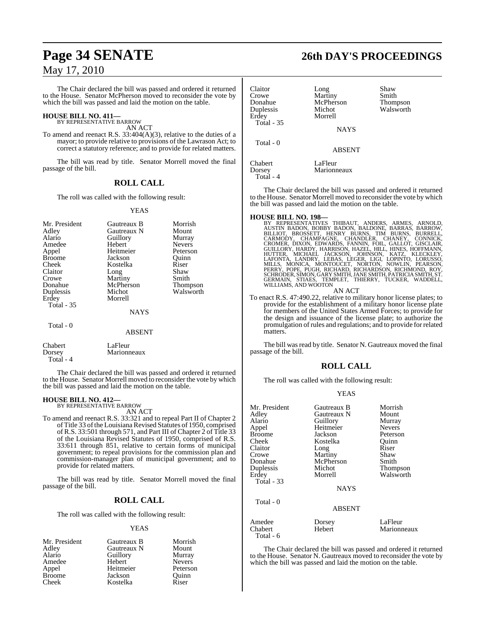The Chair declared the bill was passed and ordered it returned to the House. Senator McPherson moved to reconsider the vote by which the bill was passed and laid the motion on the table.

## **HOUSE BILL NO. 411—** BY REPRESENTATIVE BARROW

AN ACT

To amend and reenact R.S. 33:404(A)(3), relative to the duties of a mayor; to provide relative to provisions of the Lawrason Act; to correct a statutory reference; and to provide for related matters.

The bill was read by title. Senator Morrell moved the final passage of the bill.

## **ROLL CALL**

The roll was called with the following result:

#### YEAS

| Mr. President | Gautreaux B   | Morrish         |
|---------------|---------------|-----------------|
| Adley         | Gautreaux N   | Mount           |
|               |               |                 |
| Alario        | Guillory      | Murray          |
| Amedee        | Hebert        | <b>Nevers</b>   |
| Appel         | Heitmeier     | Peterson        |
| <b>Broome</b> | Jackson       | Ouinn           |
| Cheek         | Kostelka      | Riser           |
| Claitor       | Long          | Shaw            |
| Crowe         | Martiny       | Smith           |
| Donahue       | McPherson     | <b>Thompson</b> |
| Duplessis     | Michot        | Walsworth       |
| Erdey         | Morrell       |                 |
| Total - 35    |               |                 |
|               | <b>NAYS</b>   |                 |
| Total - 0     |               |                 |
|               | <b>ABSENT</b> |                 |
|               |               |                 |

Chabert LaFleur<br>Dorsey Marionn Marionneaux Total - 4

The Chair declared the bill was passed and ordered it returned to the House. Senator Morrell moved to reconsider the vote by which the bill was passed and laid the motion on the table.

#### **HOUSE BILL NO. 412—** BY REPRESENTATIVE BARROW

AN ACT

To amend and reenact R.S. 33:321 and to repeal Part II of Chapter 2 of Title 33 of the Louisiana Revised Statutes of 1950, comprised of R.S. 33:501 through 571, and Part III of Chapter 2 of Title 33 of the Louisiana Revised Statutes of 1950, comprised of R.S. 33:611 through 851, relative to certain forms of municipal government; to repeal provisions for the commission plan and commission-manager plan of municipal government; and to provide for related matters.

The bill was read by title. Senator Morrell moved the final passage of the bill.

## **ROLL CALL**

The roll was called with the following result:

#### YEAS

| Mr. President | Gautreaux B | Morrish       |
|---------------|-------------|---------------|
| Adley         | Gautreaux N | Mount         |
| Alario        | Guillory    | Murray        |
| Amedee        | Hebert      | <b>Nevers</b> |
| Appel         | Heitmeier   | Peterson      |
| <b>Broome</b> | Jackson     | Quinn         |
| Cheek         | Kostelka    | Riser         |

## **Page 34 SENATE 26th DAY'S PROCEEDINGS**

| Claitor<br>Crowe<br>Donahue<br>Duplessis<br>Erdey<br><b>Total - 35</b> | Long<br>Martiny<br>McPherson<br>Michot<br>Morrell<br><b>NAYS</b> | Shaw<br>Smith<br><b>Thompson</b><br>Walsworth |
|------------------------------------------------------------------------|------------------------------------------------------------------|-----------------------------------------------|
| Total - 0                                                              | <b>ABSENT</b>                                                    |                                               |
| Chabert<br>Dorsey                                                      | LaFleur<br>Marionneaux                                           |                                               |

The Chair declared the bill was passed and ordered it returned to the House. Senator Morrell moved to reconsider the vote by which the bill was passed and laid the motion on the table.

Total - 4

HOUSE BILL NO. 198-<br>BY REPRESENTATIVES THIBAUT, ANDERS, ARMES, ARNOLD, BY REPRESENTATIVES THIBAUT, BADON, BALDONE, BARRAS, BARROW,<br>BILLIOT, BROSSETT, HENRY BURNS, TIM BURNS, BURRELL,<br>CARMODY, CHAMPAGNE, CHANDLER, CHANEY, C GERMAIN, STIAES, TEMPLET, THIERRY, TUCKER, WADDELL, WILLIAMS, AND WOOTON

AN ACT

To enact R.S. 47:490.22, relative to military honor license plates; to provide for the establishment of a military honor license plate for members of the United States Armed Forces; to provide for the design and issuance of the license plate; to authorize the promulgation ofrules and regulations; and to provide forrelated matters.

The bill was read by title. Senator N. Gautreaux moved the final passage of the bill.

### **ROLL CALL**

The roll was called with the following result:

#### YEAS

|               | Morrish                                                       |
|---------------|---------------------------------------------------------------|
|               |                                                               |
|               | Mount                                                         |
|               | Murray                                                        |
|               | <b>Nevers</b>                                                 |
| Jackson       | Peterson                                                      |
| Kostelka      | Ouinn                                                         |
| Long          | Riser                                                         |
| Martiny       | Shaw                                                          |
| McPherson     | Smith                                                         |
| Michot        | Thompson                                                      |
| Morrell       | Walsworth                                                     |
|               |                                                               |
| <b>NAYS</b>   |                                                               |
|               |                                                               |
| <b>ABSENT</b> |                                                               |
|               | LaFleur                                                       |
| Hebert        | Marionneaux                                                   |
|               | Gautreaux B<br>Gautreaux N<br>Guillory<br>Heitmeier<br>Dorsey |

The Chair declared the bill was passed and ordered it returned to the House. Senator N. Gautreaux moved to reconsider the vote by which the bill was passed and laid the motion on the table.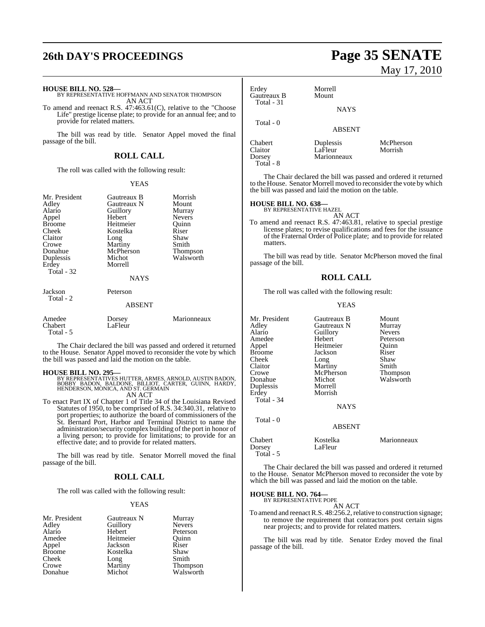## **26th DAY'S PROCEEDINGS Page 35 SENATE**

**HOUSE BILL NO. 528—** BY REPRESENTATIVE HOFFMANN AND SENATOR THOMPSON AN ACT

To amend and reenact R.S. 47:463.61(C), relative to the "Choose Life" prestige license plate; to provide for an annual fee; and to provide for related matters.

The bill was read by title. Senator Appel moved the final passage of the bill.

## **ROLL CALL**

The roll was called with the following result:

#### YEAS

| Mr. President<br>Adley<br>Alario<br>Appel<br><b>Broome</b><br>Cheek<br>Claitor<br>Crowe<br>Donahue<br>Duplessis<br>Erdey<br>Total - 32 | Gautreaux B<br>Gautreaux N<br>Guillory<br>Hebert<br>Heitmeier<br>Kostelka<br>Long<br>Martiny<br>McPherson<br>Michot<br>Morrell<br><b>NAYS</b> | Morrish<br>Mount<br>Murray<br><b>Nevers</b><br>Ouinn<br>Riser<br>Shaw<br>Smith<br>Thompson<br>Walsworth |
|----------------------------------------------------------------------------------------------------------------------------------------|-----------------------------------------------------------------------------------------------------------------------------------------------|---------------------------------------------------------------------------------------------------------|
| Jackson<br>Total - 2                                                                                                                   | Peterson<br>ABSENT                                                                                                                            |                                                                                                         |
| Amedee<br>Chabert<br>Total - 5                                                                                                         | Dorsey<br>LaFleur                                                                                                                             | Marionneaux                                                                                             |

The Chair declared the bill was passed and ordered it returned to the House. Senator Appel moved to reconsider the vote by which the bill was passed and laid the motion on the table.

**HOUSE BILL NO. 295—** BY REPRESENTATIVES HUTTER, ARMES, ARNOLD, AUSTIN BADON, BOBBY BADON, BALDONE, BILLIOT, CARTER, GUINN, HARDY, HENDERSON, MONICA, AND ST. GERMAIN AN ACT

To enact Part IX of Chapter 1 of Title 34 of the Louisiana Revised To enact Part IX of Chapter 1 of Title 34 of the Louisiana Revised<br>Statutes of 1950, to be comprised of R.S. 34:340.31, relative to port properties; to authorize the board of commissioners of the St. Bernard Port, Harbor and Terminal District to name the administration/security complex building of the port in honor of a living person; to provide for limitations; to provide for an effective date; and to provide for related matters.

The bill was read by title. Senator Morrell moved the final passage of the bill.

### **ROLL CALL**

The roll was called with the following result:

#### YEAS

| Mr. President | Gautreaux N | Murray                |
|---------------|-------------|-----------------------|
| Adley         | Guillory    | <b>Nevers</b>         |
| Alario        | Hebert      | Peterson              |
| Amedee        | Heitmeier   | Quinn                 |
| Appel         | Jackson     | Riser                 |
| <b>Broome</b> | Kostelka    | Shaw                  |
| Cheek         | Long        | Smith                 |
| Crowe         | Martiny     | Thompson<br>Walsworth |
| Donahue       | Michot      |                       |

# May 17, 2010

| Erdey<br>Gautreaux B<br>Total - 31 | Morrell<br>Mount<br><b>NAYS</b>     |                      |
|------------------------------------|-------------------------------------|----------------------|
| Total - 0                          | <b>ABSENT</b>                       |                      |
| Chabert<br>Claitor<br>Dorsey       | Duplessis<br>LaFleur<br>Marionneaux | McPherson<br>Morrish |

The Chair declared the bill was passed and ordered it returned to the House. Senator Morrell moved to reconsider the vote by which the bill was passed and laid the motion on the table.

## **HOUSE BILL NO. 638—** BY REPRESENTATIVE HAZEL

Total - 8

AN ACT

To amend and reenact R.S. 47:463.81, relative to special prestige license plates; to revise qualifications and fees for the issuance of the Fraternal Order of Police plate; and to provide for related matters.

The bill was read by title. Senator McPherson moved the final passage of the bill.

#### **ROLL CALL**

The roll was called with the following result:

#### YEAS

| Mr. President | Gautreaux B   | Mount           |
|---------------|---------------|-----------------|
| Adley         | Gautreaux N   | Murray          |
| Alario        | Guillory      | <b>Nevers</b>   |
| Amedee        | Hebert        | Peterson        |
| Appel         | Heitmeier     | Ouinn           |
| <b>Broome</b> | Jackson       | Riser           |
| Cheek         | Long          | Shaw            |
| Claitor       | Martiny       | Smith           |
| Crowe         | McPherson     | <b>Thompson</b> |
| Donahue       | Michot        | Walsworth       |
| Duplessis     | Morrell       |                 |
| Erdey         | Morrish       |                 |
| Total - 34    |               |                 |
|               | <b>NAYS</b>   |                 |
| Total - 0     |               |                 |
|               | <b>ABSENT</b> |                 |
| Chabert       | Kostelka      | Marionneaux     |
| Dorsey        | LaFleur       |                 |
| Total - 5     |               |                 |

The Chair declared the bill was passed and ordered it returned to the House. Senator McPherson moved to reconsider the vote by which the bill was passed and laid the motion on the table.

## **HOUSE BILL NO. 764—** BY REPRESENTATIVE POPE

AN ACT

To amend and reenact R.S. 48:256.2, relative to construction signage; to remove the requirement that contractors post certain signs near projects; and to provide for related matters.

The bill was read by title. Senator Erdey moved the final passage of the bill.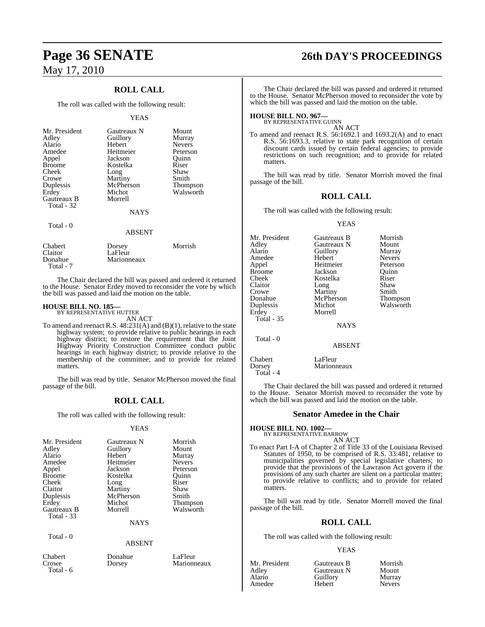## **ROLL CALL**

The roll was called with the following result:

#### YEAS

| Mr. President<br>Adley<br>Alario<br>Amedee<br>Appel<br><b>Broome</b><br>Cheek<br>Crowe<br>Duplessis<br>Erdey<br><b>Gautreaux B</b> | Gautreaux N<br>Guillory<br>Hebert<br>Heitmeier<br>Jackson<br>Kostelka<br>Long<br>Martiny<br>McPherson<br>Michot<br>Morrell | Mount<br>Murray<br><b>Nevers</b><br>Peterson<br>Quinn<br>Riser<br>Shaw<br>Smith<br><b>Thompson</b><br>Walsworth |
|------------------------------------------------------------------------------------------------------------------------------------|----------------------------------------------------------------------------------------------------------------------------|-----------------------------------------------------------------------------------------------------------------|
| Total - 32                                                                                                                         | <b>NAYS</b>                                                                                                                |                                                                                                                 |
| Total - 0                                                                                                                          | <b>ABSENT</b>                                                                                                              |                                                                                                                 |

| Chabert<br>Claitor<br>Donahue | Dorsey<br>LaFleur<br>Marionneaux | Morrish |
|-------------------------------|----------------------------------|---------|
| Total - 7                     |                                  |         |

The Chair declared the bill was passed and ordered it returned to the House. Senator Erdey moved to reconsider the vote by which the bill was passed and laid the motion on the table.

## **HOUSE BILL NO. 185—** BY REPRESENTATIVE HUTTER

AN ACT

To amend and reenact R.S. 48:231(A) and (B)(1), relative to the state highway system; to provide relative to public hearings in each highway district; to restore the requirement that the Joint Highway Priority Construction Committee conduct public hearings in each highway district; to provide relative to the membership of the committee; and to provide for related matters.

The bill was read by title. Senator McPherson moved the final passage of the bill.

### **ROLL CALL**

The roll was called with the following result:

#### YEAS

| Mr. President     | Gautreaux N   | Morrish         |
|-------------------|---------------|-----------------|
| Adley             | Guillory      | Mount           |
| Alario            | Hebert        | Murray          |
| Amedee            | Heitmeier     | <b>Nevers</b>   |
| Appel             | Jackson       | Peterson        |
| <b>Broome</b>     | Kostelka      | Ouinn           |
| Cheek             | Long          | Riser           |
| Claitor           | Martiny       | Shaw            |
| Duplessis         | McPherson     | Smith           |
| Erdey             | Michot        | <b>Thompson</b> |
| Gautreaux B       | Morrell       | Walsworth       |
| <b>Total - 33</b> |               |                 |
|                   | <b>NAYS</b>   |                 |
| Total - 0         |               |                 |
|                   |               |                 |
|                   | <b>ABSENT</b> |                 |

Chabert Donahue LaFleur<br>Crowe Dorsey Marionn Total - 6

# **Page 36 SENATE 26th DAY'S PROCEEDINGS**

The Chair declared the bill was passed and ordered it returned to the House. Senator McPherson moved to reconsider the vote by which the bill was passed and laid the motion on the table.

## **HOUSE BILL NO. 967—** BY REPRESENTATIVE GUINN

AN ACT

To amend and reenact R.S. 56:1692.1 and 1693.2(A) and to enact R.S. 56:1693.3, relative to state park recognition of certain discount cards issued by certain federal agencies; to provide restrictions on such recognition; and to provide for related matters.

The bill was read by title. Senator Morrish moved the final passage of the bill.

#### **ROLL CALL**

The roll was called with the following result:

#### YEAS

Mr. President Gautreaux B Morrish<br>Adley Gautreaux N Mount Adley Gautreaux N Mount<br>Alario Guillory Murray Alario Guillory<br>
Hebert Nevers Amedee Hebert Nevers<br>
Appel Heitmeier Peterson Heitmeier Peterson<br>
Jackson<br>
Quinn Broome Jackson Quinn<br>
Cheek Kostelka Riser Cheek Kostelka Riser<br>Claitor Long Shaw  $\overline{\text{Long}}$ Crowe Martiny Smith<br>
Donahue McPherson Thompson Donahue McPherson<br>
Duplessis Michot Michot Walsworth<br>Morrell Erdey  $Total - 35$ NAYS Total - 0 ABSENT Chabert LaFleur<br>Dorsey Marionn

Marionneaux

The Chair declared the bill was passed and ordered it returned to the House. Senator Morrish moved to reconsider the vote by which the bill was passed and laid the motion on the table.

#### **Senator Amedee in the Chair**

#### **HOUSE BILL NO. 1002—** BY REPRESENTATIVE BARROW

AN ACT To enact Part I-A of Chapter 2 of Title 33 of the Louisiana Revised Statutes of 1950, to be comprised of R.S. 33:481, relative to municipalities governed by special legislative charters; to provide that the provisions of the Lawrason Act govern if the provisions of any such charter are silent on a particular matter; to provide relative to conflicts; and to provide for related matters

The bill was read by title. Senator Morrell moved the final passage of the bill.

### **ROLL CALL**

The roll was called with the following result:

#### YEAS

Amedee

Total - 4

**Marionneaux** 

Mr. President Gautreaux B Morrish<br>Adley Gautreaux N Mount Adley Gautreaux N Mount Guillory Murray<br>
Hebert Nevers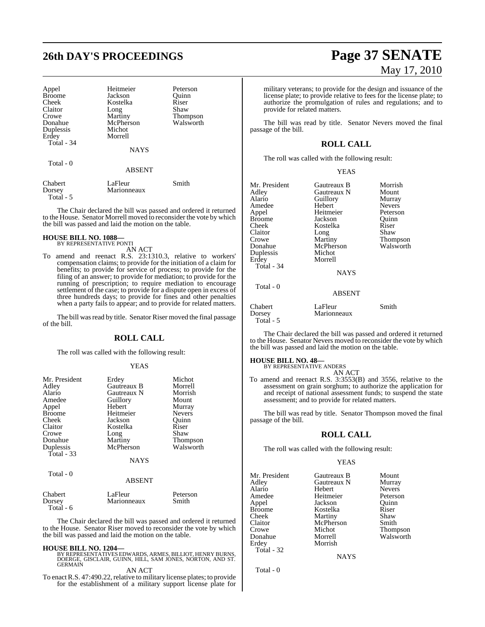| Appel<br><b>Broome</b><br>Cheek<br>Claitor<br>Crowe<br>Donahue<br>Duplessis<br>Erdey<br>Total - 34 | Heitmeier<br>Jackson<br>Kostelka<br>Long<br>Martiny<br>McPherson<br>Michot<br>Morrell<br><b>NAYS</b> | Peterson<br>Ouinn<br>Riser<br>Shaw<br><b>Thompson</b><br>Walsworth |
|----------------------------------------------------------------------------------------------------|------------------------------------------------------------------------------------------------------|--------------------------------------------------------------------|
| Total - 0                                                                                          | <b>ABSENT</b>                                                                                        |                                                                    |
| Chabert<br>Dorsey                                                                                  | LaFleur<br>Marionneaux                                                                               | Smith                                                              |

The Chair declared the bill was passed and ordered it returned to the House. Senator Morrell moved to reconsider the vote by which the bill was passed and laid the motion on the table.

#### **HOUSE BILL NO. 1088—** BY REPRESENTATIVE PONTI

Total - 5

AN ACT

To amend and reenact R.S. 23:1310.3, relative to workers' compensation claims; to provide for the initiation of a claim for benefits; to provide for service of process; to provide for the filing of an answer; to provide for mediation; to provide for the running of prescription; to require mediation to encourage settlement of the case; to provide for a dispute open in excess of three hundreds days; to provide for fines and other penalties when a party fails to appear; and to provide for related matters.

The bill was read by title. Senator Riser moved the final passage of the bill.

#### **ROLL CALL**

The roll was called with the following result:

#### YEAS

| Mr. President<br>Adley<br>Alario<br>Amedee<br>Appel<br><b>Broome</b><br>Cheek<br>Claitor | Erdey<br>Gautreaux B<br>Gautreaux N<br>Guillory<br>Hebert<br>Heitmeier<br>Jackson<br>Kostelka | Michot<br>Morrell<br>Morrish<br>Mount<br>Murray<br><b>Nevers</b><br>Ouinn<br>Riser |
|------------------------------------------------------------------------------------------|-----------------------------------------------------------------------------------------------|------------------------------------------------------------------------------------|
| Crowe<br>Donahue                                                                         | Long<br>Martiny                                                                               | Shaw<br><b>Thompson</b>                                                            |
| Duplessis<br>Total $-33$                                                                 | McPherson<br><b>NAYS</b>                                                                      | Walsworth                                                                          |
| Total - 0                                                                                | <b>ABSENT</b>                                                                                 |                                                                                    |
| Chabert                                                                                  | LaFleur                                                                                       | Peterson                                                                           |

Dorsey Marionneaux Smith Total - 6

The Chair declared the bill was passed and ordered it returned to the House. Senator Riser moved to reconsider the vote by which the bill was passed and laid the motion on the table.

**HOUSE BILL NO. 1204—** BY REPRESENTATIVES EDWARDS, ARMES, BILLIOT, HENRY BURNS, DOERGE, GISCLAIR, GUINN, HILL, SAM JONES, NORTON, AND ST. GERMAIN

# AN ACT

To enact R.S. 47:490.22, relative to military license plates; to provide for the establishment of a military support license plate for

# **26th DAY'S PROCEEDINGS Page 37 SENATE** May 17, 2010

military veterans; to provide for the design and issuance of the license plate; to provide relative to fees for the license plate; to authorize the promulgation of rules and regulations; and to provide for related matters.

The bill was read by title. Senator Nevers moved the final passage of the bill.

### **ROLL CALL**

The roll was called with the following result:

| Mr. President<br>Adley<br>Alario<br>Amedee<br>Appel<br><b>Broome</b><br>Cheek<br>Claitor<br>Crowe<br>Donahue<br>Duplessis<br>Erdey | Gautreaux B<br>Gautreaux N<br>Guillory<br>Hebert<br>Heitmeier<br>Jackson<br>Kostelka<br>Long<br>Martiny<br>McPherson<br>Michot<br>Morrell | Morrish<br>Mount<br>Murray<br><b>Nevers</b><br>Peterson<br>Ouinn<br>Riser<br>Shaw<br>Thompson<br>Walsworth |
|------------------------------------------------------------------------------------------------------------------------------------|-------------------------------------------------------------------------------------------------------------------------------------------|------------------------------------------------------------------------------------------------------------|
| Total - 34<br>Total - 0                                                                                                            | <b>NAYS</b><br><b>ABSENT</b>                                                                                                              |                                                                                                            |
| Chabert<br>Dorsey                                                                                                                  | LaFleur<br>Marionneaux                                                                                                                    | Smith                                                                                                      |

The Chair declared the bill was passed and ordered it returned to the House. Senator Nevers moved to reconsider the vote by which the bill was passed and laid the motion on the table.

## **HOUSE BILL NO. 48—** BY REPRESENTATIVE ANDERS

Total - 5

AN ACT

To amend and reenact R.S. 3:3553(B) and 3556, relative to the assessment on grain sorghum; to authorize the application for and receipt of national assessment funds; to suspend the state assessment; and to provide for related matters.

The bill was read by title. Senator Thompson moved the final passage of the bill.

#### **ROLL CALL**

The roll was called with the following result:

#### YEAS

| Mr. President | Gautreaux B | Mount         |
|---------------|-------------|---------------|
| Adley         | Gautreaux N | Murray        |
| Alario        | Hebert      | <b>Nevers</b> |
| Amedee        | Heitmeier   | Peterson      |
| Appel         | Jackson     | Ouinn         |
| <b>Broome</b> | Kostelka    | Riser         |
| Cheek         | Martiny     | Shaw          |
| Claitor       | McPherson   | Smith         |
| Crowe         | Michot      | Thompson      |
| Donahue       | Morrell     | Walsworth     |
| Erdey         | Morrish     |               |
| Total - 32    |             |               |
|               | <b>NAYS</b> |               |
|               |             |               |

Total - 0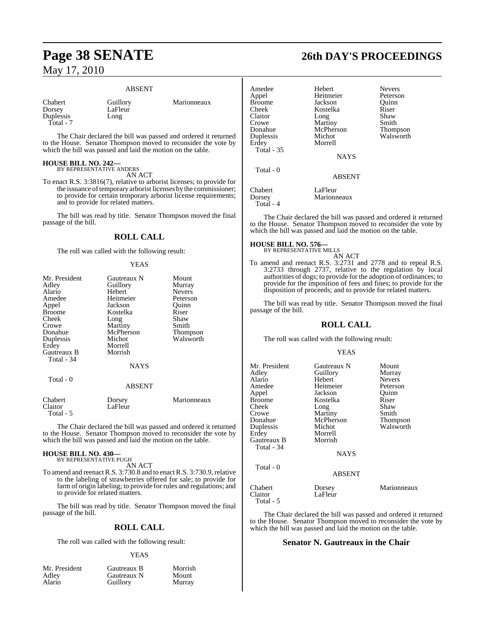#### ABSENT

Chabert Guillory Marionneaux Duplessis Total - 7

LaFleur<br>Long

The Chair declared the bill was passed and ordered it returned to the House. Senator Thompson moved to reconsider the vote by which the bill was passed and laid the motion on the table.

## **HOUSE BILL NO. 242—** BY REPRESENTATIVE ANDERS

AN ACT

To enact R.S. 3:3816(7), relative to arborist licenses; to provide for the issuance of temporary arborist licenses by the commissioner; to provide for certain temporary arborist license requirements; and to provide for related matters.

The bill was read by title. Senator Thompson moved the final passage of the bill.

#### **ROLL CALL**

The roll was called with the following result:

#### YEAS

| Mr. President | Gautreaux N   | Mount         |
|---------------|---------------|---------------|
| Adley         | Guillory      | Murray        |
| Alario        | Hebert        | <b>Nevers</b> |
| Amedee        | Heitmeier     | Peterson      |
| Appel         | Jackson       | Quinn         |
| <b>Broome</b> | Kostelka      | Riser         |
| Cheek         | Long          | Shaw          |
| Crowe         | Martiny       | Smith         |
| Donahue       | McPherson     | Thompson      |
| Duplessis     | Michot        | Walsworth     |
| Erdey         | Morrell       |               |
| Gautreaux B   | Morrish       |               |
| Total - 34    |               |               |
|               | <b>NAYS</b>   |               |
| Total - 0     |               |               |
|               | <b>ABSENT</b> |               |
| Chabert       | Dorsey        | Marionneaux   |
| Claitor       | LaFleur       |               |
| Total - 5     |               |               |

The Chair declared the bill was passed and ordered it returned to the House. Senator Thompson moved to reconsider the vote by which the bill was passed and laid the motion on the table.

## **HOUSE BILL NO. 430—** BY REPRESENTATIVE PUGH

AN ACT

To amend and reenact R.S. 3:730.8 and to enact R.S. 3:730.9, relative to the labeling of strawberries offered for sale; to provide for farm of origin labeling; to provide for rules and regulations; and to provide for related matters.

The bill was read by title. Senator Thompson moved the final passage of the bill.

#### **ROLL CALL**

The roll was called with the following result:

#### YEAS

| Mr. President   | Gautreaux B | Morrish |
|-----------------|-------------|---------|
| Adley<br>Alario | Gautreaux N | Mount   |
|                 | Guillory    | Murray  |

## **Page 38 SENATE 26th DAY'S PROCEEDINGS**

| Amedee<br>Appel<br><b>Broome</b><br>Cheek<br>Claitor<br>Crowe<br>Donahue<br>Duplessis<br>Erdey<br><b>Total - 35</b><br>Total $-0$ | Hebert<br>Heitmeier<br>Jackson<br>Kostelka<br>Long<br>Martiny<br>McPherson<br>Michot<br>Morrell<br><b>NAYS</b> | <b>Nevers</b><br>Peterson<br>Ouinn<br>Riser<br>Shaw<br>Smith<br><b>Thompson</b><br>Walsworth |
|-----------------------------------------------------------------------------------------------------------------------------------|----------------------------------------------------------------------------------------------------------------|----------------------------------------------------------------------------------------------|
|                                                                                                                                   | <b>ABSENT</b>                                                                                                  |                                                                                              |
| Chabert<br>Dorsey<br>Total - 4                                                                                                    | LaFleur<br>Marionneaux                                                                                         |                                                                                              |

The Chair declared the bill was passed and ordered it returned to the House. Senator Thompson moved to reconsider the vote by which the bill was passed and laid the motion on the table.

#### **HOUSE BILL NO. 576—**

BY REPRESENTATIVE MILLS AN ACT

To amend and reenact R.S. 3:2731 and 2778 and to repeal R.S. 3:2733 through 2737, relative to the regulation by local authorities of dogs; to provide for the adoption of ordinances; to provide for the imposition of fees and fines; to provide for the disposition of proceeds; and to provide for related matters.

The bill was read by title. Senator Thompson moved the final passage of the bill.

#### **ROLL CALL**

The roll was called with the following result:

#### YEAS

| Mr. President<br>Adley<br>Alario<br>Amedee<br>Appel<br>Broome<br>Cheek<br>Crowe<br>Donahue<br>Duplessis<br>Erdey<br>Gautreaux B<br>Total - 34 | Gautreaux N<br>Guillory<br>Hebert<br>Heitmeier<br>Jackson<br>Kostelka<br>Long<br>Martiny<br>McPherson<br>Michot<br>Morrell<br>Morrish<br><b>NAYS</b> | Mount<br>Murray<br><b>Nevers</b><br>Peterson<br>Ouinn<br>Riser<br>Shaw<br>Smith<br>Thompson<br>Walsworth |
|-----------------------------------------------------------------------------------------------------------------------------------------------|------------------------------------------------------------------------------------------------------------------------------------------------------|----------------------------------------------------------------------------------------------------------|
| Total - 0                                                                                                                                     | <b>ABSENT</b>                                                                                                                                        |                                                                                                          |
| Chabert<br>Claitor<br>Total - 5                                                                                                               | Dorsey<br>LaFleur                                                                                                                                    | Marionneaux                                                                                              |

The Chair declared the bill was passed and ordered it returned to the House. Senator Thompson moved to reconsider the vote by which the bill was passed and laid the motion on the table.

#### **Senator N. Gautreaux in the Chair**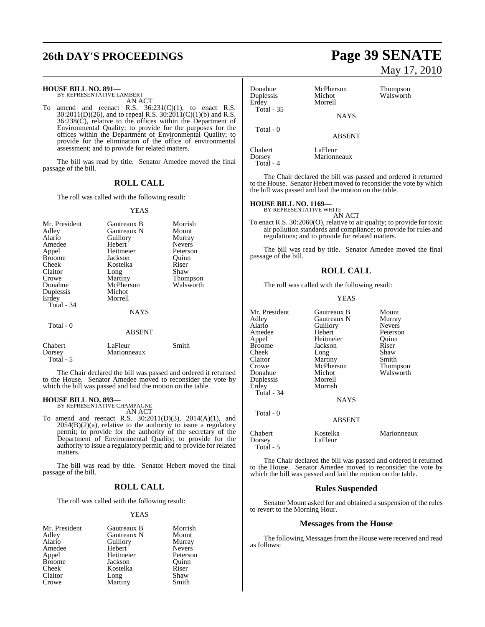## **26th DAY'S PROCEEDINGS Page 39 SENATE**

## **HOUSE BILL NO. 891—** BY REPRESENTATIVE LAMBERT

AN ACT

To amend and reenact R.S.  $36:231(C)(1)$ , to enact R.S. 30:2011(D)(26), and to repeal R.S. 30:2011(C)(1)(b) and R.S. 36:238(C), relative to the offices within the Department of Environmental Quality; to provide for the purposes for the offices within the Department of Environmental Quality; to provide for the elimination of the office of environmental assessment; and to provide for related matters.

The bill was read by title. Senator Amedee moved the final passage of the bill.

#### **ROLL CALL**

The roll was called with the following result:

#### YEAS

| Mr. President<br>Adley<br>Alario<br>Amedee<br>Appel<br><b>Broome</b><br>Cheek<br>Claitor<br>Crowe<br>Donahue<br>Duplessis<br>Erdey<br>Total - 34 | Gautreaux B<br>Gautreaux N<br>Guillory<br>Hebert<br>Heitmeier<br>Jackson<br>Kostelka<br>Long<br>Martiny<br>McPherson<br>Michot<br>Morrell<br><b>NAYS</b> | Morrish<br>Mount<br>Murray<br><b>Nevers</b><br>Peterson<br>Ouinn<br>Riser<br>Shaw<br>Thompson<br>Walsworth |
|--------------------------------------------------------------------------------------------------------------------------------------------------|----------------------------------------------------------------------------------------------------------------------------------------------------------|------------------------------------------------------------------------------------------------------------|
| Total - 0<br>Chabert                                                                                                                             | <b>ABSENT</b><br>LaFleur                                                                                                                                 | Smith                                                                                                      |
|                                                                                                                                                  |                                                                                                                                                          |                                                                                                            |

The Chair declared the bill was passed and ordered it returned to the House. Senator Amedee moved to reconsider the vote by which the bill was passed and laid the motion on the table.

## **HOUSE BILL NO. 893—** BY REPRESENTATIVE CHAMPAGNE

Total - 5

Dorsey Marionneaux

AN ACT

To amend and reenact R.S. 30:2011(D)(3), 2014(A)(1), and  $2054(B)(2)(a)$ , relative to the authority to issue a regulatory permit; to provide for the authority of the secretary of the Department of Environmental Quality; to provide for the authority to issue a regulatory permit; and to provide for related matters.

The bill was read by title. Senator Hebert moved the final passage of the bill.

#### **ROLL CALL**

The roll was called with the following result:

#### YEAS

| Mr. President | Gautreaux B | Morrish       |
|---------------|-------------|---------------|
| Adley         | Gautreaux N | Mount         |
| Alario        | Guillory    | Murray        |
| Amedee        | Hebert      | <b>Nevers</b> |
| Appel         | Heitmeier   | Peterson      |
| <b>Broome</b> | Jackson     | Ouinn         |
| Cheek         | Kostelka    | Riser         |
| Claitor       | Long        | Shaw          |
| Crowe         | Martiny     | Smith         |

# May 17, 2010

| Donahue<br>Duplessis<br>Erdey<br><b>Total - 35</b> | McPherson<br>Michot<br>Morrell | Thompson<br>Walsworth |
|----------------------------------------------------|--------------------------------|-----------------------|
|                                                    | <b>NAYS</b>                    |                       |
| Total - 0                                          | <b>ABSENT</b>                  |                       |
| Chabert<br>Dorsey<br>Total - 4                     | LaFleur<br>Marionneaux         |                       |

The Chair declared the bill was passed and ordered it returned to the House. Senator Hebert moved to reconsider the vote by which the bill was passed and laid the motion on the table.

## **HOUSE BILL NO. 1169—** BY REPRESENTATIVE WHITE

AN ACT

To enact R.S. 30:2060(O), relative to air quality; to provide for toxic air pollution standards and compliance; to provide for rules and regulations; and to provide for related matters.

The bill was read by title. Senator Amedee moved the final passage of the bill.

### **ROLL CALL**

The roll was called with the following result:

#### YEAS

| Mr. President                  | Gautreaux B         | Mount         |
|--------------------------------|---------------------|---------------|
| Adley                          | Gautreaux N         | Murray        |
| Alario                         | Guillory            | <b>Nevers</b> |
| Amedee                         | Hebert              | Peterson      |
| Appel                          | Heitmeier           | Quinn         |
| Broome                         | Jackson             | Riser         |
| Cheek                          | Long                | Shaw          |
| Claitor                        | Martiny             | Smith         |
| Crowe                          | McPherson           | Thompson      |
| Donahue                        | Michot              | Walsworth     |
| Duplessis                      | Morrell             |               |
| Erdev                          | Morrish             |               |
| Total - 34                     |                     |               |
|                                | <b>NAYS</b>         |               |
| Total - 0                      |                     |               |
|                                | <b>ABSENT</b>       |               |
| Chabert<br>Dorsey<br>Total - 5 | Kostelka<br>LaFleur | Marionneaux   |
|                                |                     |               |

The Chair declared the bill was passed and ordered it returned to the House. Senator Amedee moved to reconsider the vote by which the bill was passed and laid the motion on the table.

#### **Rules Suspended**

Senator Mount asked for and obtained a suspension of the rules to revert to the Morning Hour.

#### **Messages from the House**

The following Messages from the House were received and read as follows: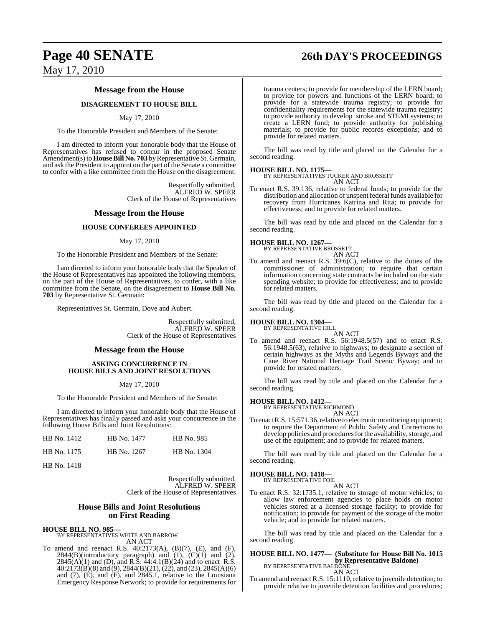#### **Message from the House**

#### **DISAGREEMENT TO HOUSE BILL**

#### May 17, 2010

To the Honorable President and Members of the Senate:

I am directed to inform your honorable body that the House of Representatives has refused to concur in the proposed Senate Amendment(s) to **House Bill No. 703** by Representative St. Germain, and ask the President to appoint on the part of the Senate a committee to confer with a like committee from the House on the disagreement.

> Respectfully submitted, ALFRED W. SPEER Clerk of the House of Representatives

#### **Message from the House**

#### **HOUSE CONFEREES APPOINTED**

#### May 17, 2010

To the Honorable President and Members of the Senate:

I am directed to inform your honorable body that the Speaker of the House of Representatives has appointed the following members, on the part of the House of Representatives, to confer, with a like committee from the Senate, on the disagreement to **House Bill No. 703** by Representative St. Germain:

Representatives St. Germain, Dove and Aubert.

Respectfully submitted, ALFRED W. SPEER Clerk of the House of Representatives

#### **Message from the House**

#### **ASKING CONCURRENCE IN HOUSE BILLS AND JOINT RESOLUTIONS**

#### May 17, 2010

To the Honorable President and Members of the Senate:

I am directed to inform your honorable body that the House of Representatives has finally passed and asks your concurrence in the following House Bills and Joint Resolutions:

| HB No. 1412 | HB No. 1477 | HB No. 985  |
|-------------|-------------|-------------|
| HB No. 1175 | HB No. 1267 | HB No. 1304 |

HB No. 1418

Respectfully submitted, ALFRED W. SPEER Clerk of the House of Representatives

#### **House Bills and Joint Resolutions on First Reading**

**HOUSE BILL NO. 985—**

BY REPRESENTATIVES WHITE AND BARROW AN ACT

To amend and reenact R.S. 40:2173(A), (B)(7), (E), and (F),  $2844(B)$ (introductory paragraph) and  $(1)$ ,  $(C)(1)$  and  $(2)$ ,  $2845(A)(1)$  and (D), and R.S.  $44:4.1(B)(24)$  and to enact R.S. 40:2173(B)(8) and (9), 2844(B)(21), (22), and (23), 2845(A)(6) and (7), (E), and (F), and 2845.1, relative to the Louisiana Emergency Response Network; to provide for requirements for trauma centers; to provide for membership of the LERN board; to provide for powers and functions of the LERN board; to provide for a statewide trauma registry; to provide for confidentiality requirements for the statewide trauma registry; to provide authority to develop stroke and STEMI systems; to create a LERN fund; to provide authority for publishing materials; to provide for public records exceptions; and to provide for related matters.

The bill was read by title and placed on the Calendar for a second reading.

#### **HOUSE BILL NO. 1175—**

BY REPRESENTATIVES TUCKER AND BROSSETT AN ACT

To enact R.S. 39:136, relative to federal funds; to provide for the distribution and allocation of unspent federal funds available for recovery from Hurricanes Katrina and Rita; to provide for effectiveness; and to provide for related matters.

The bill was read by title and placed on the Calendar for a second reading.

#### **HOUSE BILL NO. 1267—**

BY REPRESENTATIVE BROSSETT AN ACT

To amend and reenact R.S. 39:6(C), relative to the duties of the commissioner of administration; to require that certain information concerning state contracts be included on the state spending website; to provide for effectiveness; and to provide for related matters.

The bill was read by title and placed on the Calendar for a second reading.

#### **HOUSE BILL NO. 1304—**

BY REPRESENTATIVE HILL

AN ACT To amend and reenact R.S. 56:1948.5(57) and to enact R.S. 56:1948.5(63), relative to highways; to designate a section of certain highways as the Myths and Legends Byways and the Cane River National Heritage Trail Scenic Byway; and to provide for related matters.

The bill was read by title and placed on the Calendar for a second reading.

## **HOUSE BILL NO. 1412—** BY REPRESENTATIVE RICHMOND

AN ACT

To enact R.S. 15:571.36, relative to electronic monitoring equipment; to require the Department of Public Safety and Corrections to develop policies and procedures for the availability, storage, and use of the equipment; and to provide for related matters.

The bill was read by title and placed on the Calendar for a second reading.

#### **HOUSE BILL NO. 1418—**

BY REPRESENTATIVE FOIL AN ACT

To enact R.S. 32:1735.1, relative to storage of motor vehicles; to allow law enforcement agencies to place holds on motor vehicles stored at a licensed storage facility; to provide for notification; to provide for payment of the storage of the motor vehicle; and to provide for related matters.

The bill was read by title and placed on the Calendar for a second reading.

#### **HOUSE BILL NO. 1477— (Substitute for House Bill No. 1015 by Representative Baldone)** BY REPRESENTATIVE BALDONE AN ACT

To amend and reenact R.S. 15:1110, relative to juvenile detention; to provide relative to juvenile detention facilities and procedures;

# **Page 40 SENATE 26th DAY'S PROCEEDINGS**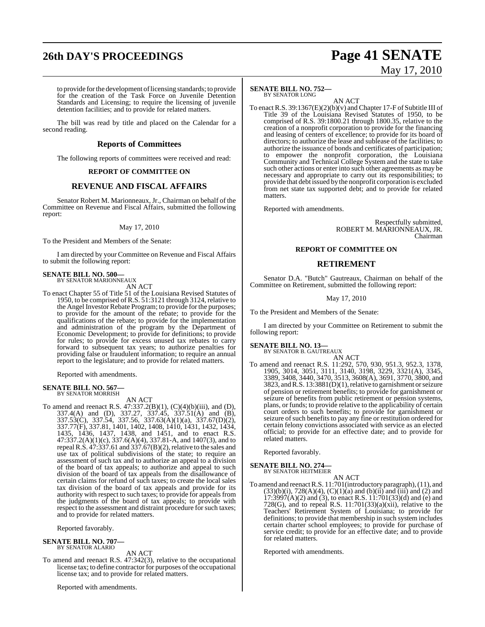## **26th DAY'S PROCEEDINGS Page 41 SENATE**

to provide for the development of licensing standards; to provide for the creation of the Task Force on Juvenile Detention Standards and Licensing; to require the licensing of juvenile detention facilities; and to provide for related matters.

The bill was read by title and placed on the Calendar for a second reading.

## **Reports of Committees**

The following reports of committees were received and read:

#### **REPORT OF COMMITTEE ON**

#### **REVENUE AND FISCAL AFFAIRS**

Senator Robert M. Marionneaux, Jr., Chairman on behalf of the Committee on Revenue and Fiscal Affairs, submitted the following report:

#### May 17, 2010

To the President and Members of the Senate:

I am directed by your Committee on Revenue and Fiscal Affairs to submit the following report:

# **SENATE BILL NO. 500—** BY SENATOR MARIONNEAUX

AN ACT

To enact Chapter 55 of Title 51 of the Louisiana Revised Statutes of 1950, to be comprised ofR.S. 51:3121 through 3124, relative to the Angel Investor Rebate Program; to provide for the purposes; to provide for the amount of the rebate; to provide for the qualifications of the rebate; to provide for the implementation and administration of the program by the Department of Economic Development; to provide for definitions; to provide for rules; to provide for excess unused tax rebates to carry forward to subsequent tax years; to authorize penalties for providing false or fraudulent information; to require an annual report to the legislature; and to provide for related matters.

Reported with amendments.

#### **SENATE BILL NO. 567—** BY SENATOR MORRISH

AN ACT

To amend and reenact R.S. 47:337.2(B)(1), (C)(4)(b)(iii), and (D), 337.4(A) and (D), 337.27, 337.45, 337.51(A) and (B), 337.53(C), 337.54, 337.56, 337.63(A)(1)(a), 337.67(D)(2), 337.77(F), 337.81, 1401, 1402, 1408, 1410, 1431, 1432, 1434, 1435, 1436, 1437, 1438, and 1451, and to enact R.S. 47:337.2(A)(1)(c), 337.6(A)(4), 337.81-A, and 1407(3), and to repeal R.S.  $\overline{47:}337.61$  and  $\overline{337.67(B)(2)}$ , relative to the sales and use tax of political subdivisions of the state; to require an assessment of such tax and to authorize an appeal to a division of the board of tax appeals; to authorize and appeal to such division of the board of tax appeals from the disallowance of certain claims for refund of such taxes; to create the local sales tax division of the board of tax appeals and provide for its authority with respect to such taxes; to provide for appeals from the judgments of the board of tax appeals; to provide with respect to the assessment and distraint procedure for such taxes; and to provide for related matters.

Reported favorably.

#### **SENATE BILL NO. 707—** BY SENATOR ALARIO

#### AN ACT

To amend and reenact R.S. 47:342(3), relative to the occupational license tax; to define contractor for purposes of the occupational license tax; and to provide for related matters.

Reported with amendments.

#### **SENATE BILL NO. 752—** BY SENATOR LONG

AN ACT To enact R.S. 39:1367(E)(2)(b)(v) and Chapter 17-F of Subtitle III of Title 39 of the Louisiana Revised Statutes of 1950, to be comprised of R.S. 39:1800.21 through 1800.35, relative to the creation of a nonprofit corporation to provide for the financing and leasing of centers of excellence; to provide for its board of directors; to authorize the lease and sublease of the facilities; to authorize the issuance of bonds and certificates of participation; to empower the nonprofit corporation, the Louisiana Community and Technical College System and the state to take such other actions or enter into such other agreements as may be necessary and appropriate to carry out its responsibilities; to provide that debt issued by the nonprofit corporation is excluded from net state tax supported debt; and to provide for related matters.

Reported with amendments.

Respectfully submitted, ROBERT M. MARIONNEAUX, JR. Chairman

#### **REPORT OF COMMITTEE ON**

#### **RETIREMENT**

Senator D.A. "Butch" Gautreaux, Chairman on behalf of the Committee on Retirement, submitted the following report:

#### May 17, 2010

To the President and Members of the Senate:

I am directed by your Committee on Retirement to submit the following report:

## **SENATE BILL NO. 13—** BY SENATOR B. GAUTREAUX

AN ACT To amend and reenact R.S. 11:292, 570, 930, 951.3, 952.3, 1378, 1905, 3014, 3051, 3111, 3140, 3198, 3229, 3321(A), 3345, 3389, 3408, 3440, 3470, 3513, 3608(A), 3691, 3770, 3800, and 3823, and R.S. 13:3881(D)(1), relative to garnishment or seizure of pension or retirement benefits; to provide for garnishment or seizure of benefits from public retirement or pension systems, plans, or funds; to provide relative to the applicability of certain court orders to such benefits; to provide for garnishment or seizure of such benefits to pay any fine or restitution ordered for certain felony convictions associated with service as an elected official; to provide for an effective date; and to provide for related matters.

Reported favorably.

#### **SENATE BILL NO. 274—** BY SENATOR HEITMEIER

AN ACT

To amend and reenactR.S. 11:701(introductory paragraph),(11), and  $(33)(b)(i)$ ,  $728(A)(4)$ ,  $(C)(1)(a)$  and  $(b)(ii)$  and  $(iii)$  and  $(2)$  and  $17:3997(A)(2)$  and (3), to enact R.S.  $11:701(33)(d)$  and (e) and 728(G), and to repeal R.S.  $11:701(33)(a)(xii)$ , relative to the Teachers' Retirement System of Louisiana; to provide for definitions; to provide that membership in such system includes certain charter school employees; to provide for purchase of service credit; to provide for an effective date; and to provide for related matters.

Reported with amendments.

# May 17, 2010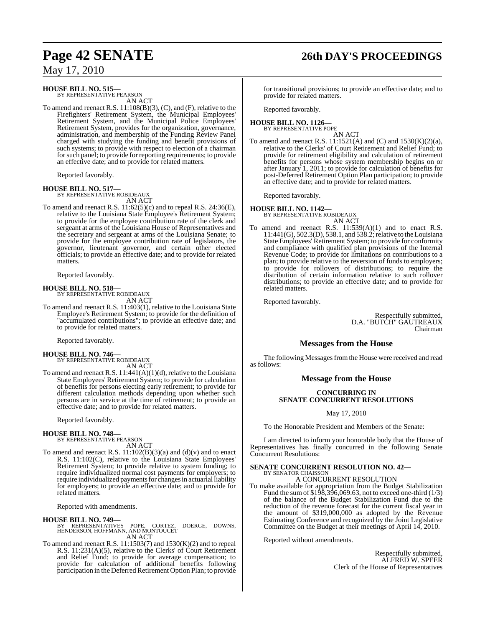## **Page 42 SENATE 26th DAY'S PROCEEDINGS**

## May 17, 2010

**HOUSE BILL NO. 515—** BY REPRESENTATIVE PEARSON

AN ACT

To amend and reenact R.S. 11:108(B)(3), (C), and (F), relative to the Firefighters' Retirement System, the Municipal Employees' Retirement System, and the Municipal Police Employees' Retirement System, provides for the organization, governance, administration, and membership of the Funding Review Panel charged with studying the funding and benefit provisions of such systems; to provide with respect to election of a chairman forsuch panel; to provide for reporting requirements; to provide an effective date; and to provide for related matters.

Reported favorably.

#### **HOUSE BILL NO. 517—**

BY REPRESENTATIVE ROBIDEAUX AN ACT

To amend and reenact R.S. 11:62(5)(c) and to repeal R.S. 24:36(E), relative to the Louisiana State Employee's Retirement System; to provide for the employee contribution rate of the clerk and sergeant at arms of the Louisiana House of Representatives and the secretary and sergeant at arms of the Louisiana Senate; to provide for the employee contribution rate of legislators, the governor, lieutenant governor, and certain other elected officials; to provide an effective date; and to provide for related matters.

Reported favorably.

**HOUSE BILL NO. 518—** BY REPRESENTATIVE ROBIDEAUX AN ACT

To amend and reenact R.S. 11:403(1), relative to the Louisiana State Employee's Retirement System; to provide for the definition of "accumulated contributions"; to provide an effective date; and to provide for related matters.

Reported favorably.

## **HOUSE BILL NO. 746—** BY REPRESENTATIVE ROBIDEAUX

AN ACT

To amend and reenact R.S.  $11:441(A)(1)(d)$ , relative to the Louisiana State Employees' Retirement System; to provide for calculation of benefits for persons electing early retirement; to provide for different calculation methods depending upon whether such persons are in service at the time of retirement; to provide an effective date; and to provide for related matters.

Reported favorably.

#### **HOUSE BILL NO. 748—**

BY REPRESENTATIVE PEARSON AN ACT

To amend and reenact R.S. 11:102(B)(3)(a) and (d)(v) and to enact R.S. 11:102(C), relative to the Louisiana State Employees' Retirement System; to provide relative to system funding; to require individualized normal cost payments for employers; to require individualized payments for changes in actuarial liability for employers; to provide an effective date; and to provide for related matters.

Reported with amendments.

**HOUSE BILL NO. 749—** BY REPRESENTATIVES POPE, CORTEZ, DOERGE, DOWNS, HENDERSON, HOFFMANN, AND MONTOUCET AN ACT

To amend and reenact R.S.  $11:1503(7)$  and  $1530(K)(2)$  and to repeal R.S. 11:231(A)(5), relative to the Clerks' of Court Retirement and Relief Fund; to provide for average compensation; to provide for calculation of additional benefits following participation in the Deferred Retirement Option Plan; to provide for transitional provisions; to provide an effective date; and to provide for related matters.

Reported favorably.

#### **HOUSE BILL NO. 1126—** BY REPRESENTATIVE POPE

AN ACT

To amend and reenact R.S.  $11:1521(A)$  and  $(C)$  and  $1530(K)(2)(a)$ , relative to the Clerks' of Court Retirement and Relief Fund; to provide for retirement eligibility and calculation of retirement benefits for persons whose system membership begins on or after January 1, 2011; to provide for calculation of benefits for post-Deferred Retirement Option Plan participation; to provide an effective date; and to provide for related matters.

Reported favorably.

#### **HOUSE BILL NO. 1142—** BY REPRESENTATIVE ROBIDEAUX

AN ACT

To amend and reenact R.S.  $11:539(A)(1)$  and to enact R.S. 11:441(G), 502.3(D), 538.1, and 538.2;relative to theLouisiana State Employees' Retirement System; to provide for conformity and compliance with qualified plan provisions of the Internal Revenue Code; to provide for limitations on contributions to a plan; to provide relative to the reversion of funds to employers; to provide for rollovers of distributions; to require the distribution of certain information relative to such rollover distributions; to provide an effective date; and to provide for related matters.

Reported favorably.

Respectfully submitted, D.A. "BUTCH" GAUTREAUX Chairman

### **Messages from the House**

The following Messages from the House were received and read as follows:

#### **Message from the House**

#### **CONCURRING IN SENATE CONCURRENT RESOLUTIONS**

May 17, 2010

To the Honorable President and Members of the Senate:

I am directed to inform your honorable body that the House of Representatives has finally concurred in the following Senate Concurrent Resolutions:

#### **SENATE CONCURRENT RESOLUTION NO. 42—** BY SENATOR CHAISSON

A CONCURRENT RESOLUTION

To make available for appropriation from the Budget Stabilization Fund the sum of \$198,396,069.63, not to exceed one-third (1/3) of the balance of the Budget Stabilization Fund due to the reduction of the revenue forecast for the current fiscal year in the amount of \$319,000,000 as adopted by the Revenue Estimating Conference and recognized by the Joint Legislative Committee on the Budget at their meetings of April 14, 2010.

Reported without amendments.

Respectfully submitted, ALFRED W. SPEER Clerk of the House of Representatives